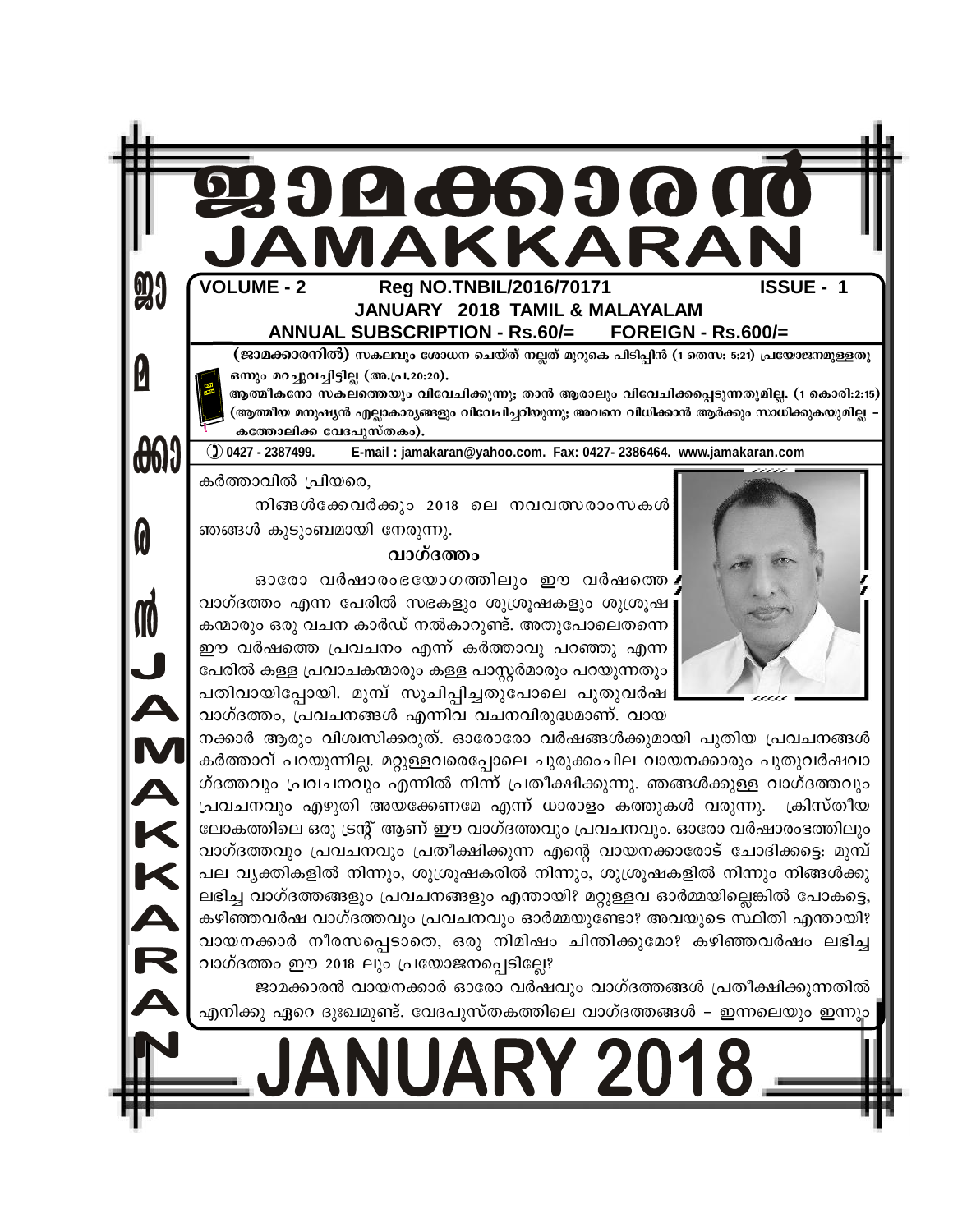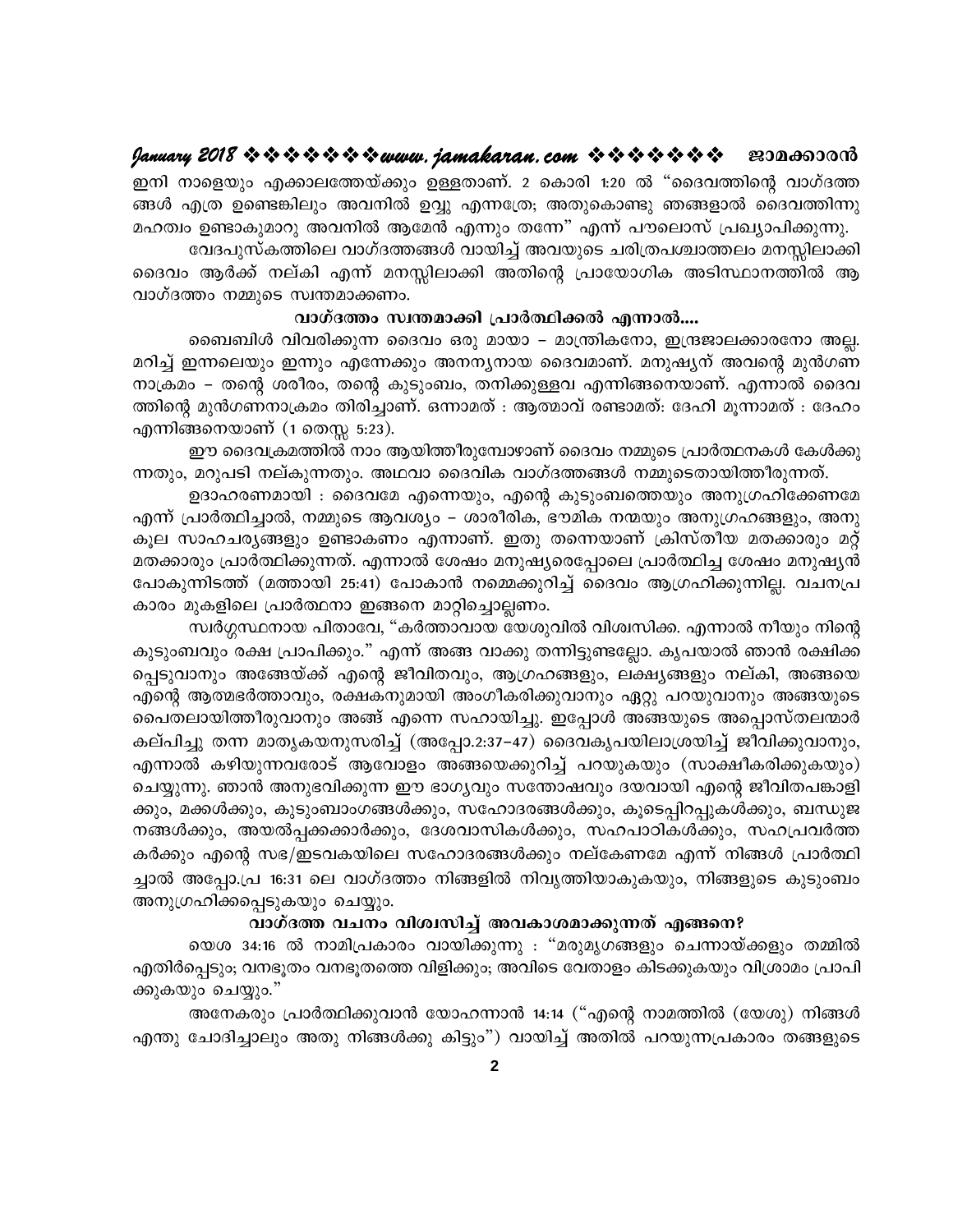ഇനി നാളെയും എക്കാലത്തേയ്ക്കും ഉള്ളതാണ്. 2 കൊരി 1:20 ൽ "ദൈവത്തിന്റെ വാഗ്ദത്ത ങ്ങൾ എത്ര ഉണ്ടെങ്കിലും അവനിൽ ഉവ്വു എന്നത്രേ; അതുകൊണ്ടു ഞങ്ങളാൽ ദൈവത്തിന്നു മഹത്വം ഉണ്ടാകുമാറു അവനിൽ ആമേൻ എന്നും തന്നേ" എന്ന് പൗലൊസ് പ്രഖ്യാപിക്കുന്നു.

വേദപുസ്കത്തിലെ വാഗ്ദത്തങ്ങൾ വായിച്ച് അവയുടെ ചരിത്രപശ്ചാത്തലം മനസ്സിലാക്കി ദൈവം ആർക്ക് നല്കി എന്ന് മനസ്സിലാക്കി അതിന്റെ പ്രായോഗിക അടിസ്ഥാനത്തിൽ ആ വാഗ്ദത്തം നമ്മുടെ സ്വന്തമാക്കണം.

#### വാഗ്ദത്തം സ്വന്തമാക്കി പ്രാർത്ഥിക്കൽ എന്നാൽ....

ബൈബിൾ വിവരിക്കുന്ന ദൈവം ഒരു മായാ – മാന്ത്രികനോ, ഇന്ദ്രജാലക്കാരനോ അല്ല. മറിച്ച് ഇന്നലെയും ഇന്നും എന്നേക്കും അനന്യനായ ദൈവമാണ്. മനുഷ്യന് അവന്റെ മുൻഗണ നാക്രമം – തന്റെ ശരീരം, തന്റെ കുടുംബം, തനിക്കുള്ളവ എന്നിങ്ങനെയാണ്. എന്നാൽ ദൈവ ത്തിന്റെ മുൻഗണനാക്രമം തിരിച്ചാണ്. ഒന്നാമത് : ആത്മാവ് രണ്ടാമത്: ദേഹി മൂന്നാമത് : ദേഹം എന്നിങ്ങനെയാണ് (1 തെസ്സ 5:23).

ഈ ദൈവക്രമത്തിൽ നാം ആയിത്തീരുമ്പോഴാണ് ദൈവം നമ്മുടെ പ്രാർത്ഥനകൾ കേൾക്കു ന്നതും, മറുപടി നല്കുന്നതും. അഥവാ ദൈവിക വാഗ്ദത്തങ്ങൾ നമ്മുടെതായിത്തീരുന്നത്.

ഉദാഹരണമായി : ദൈവമേ എന്നെയും, എന്റെ കുടുംബത്തെയും അനുഗ്രഹിക്കേണമേ എന്ന് പ്രാർത്ഥിച്ചാൽ, നമ്മുടെ ആവശ്യം – ശാരീരിക, ഭൗമിക നന്മയും അനുഗ്രഹങ്ങളും, അനു കൂല സാഹചര്യങ്ങളും ഉണ്ടാകണം എന്നാണ്. ഇതു തന്നെയാണ് ക്രിസ്തീയ മതക്കാരും മറ്റ് മതക്കാരും പ്രാർത്ഥിക്കുന്നത്. എന്നാൽ ശേഷം മനുഷ്യരെപ്പോലെ പ്രാർത്ഥിച്ച ശേഷം മനുഷ്യൻ പോകുന്നിടത്ത് (മത്തായി 25:41) പോകാൻ നമ്മെക്കുറിച്ച് ദൈവം ആഗ്രഹിക്കുന്നില്ല. വചനപ്ര കാരം മുകളിലെ പ്രാർത്ഥനാ ഇങ്ങനെ മാറ്റിച്ചൊല്ലണം.

സ്വർഗ്ഗസ്ഥനായ പിതാവേ, "കർത്താവായ യേശുവിൽ വിശ്വസിക്ക. എന്നാൽ നീയും നിന്റെ കുടുംബവും രക്ഷ പ്രാപിക്കും." എന്ന് അങ്ങ വാക്കു തന്നിട്ടുണ്ടല്ലോ. കൃപയാൽ ഞാൻ രക്ഷിക്ക പ്പെടുവാനും അങ്ങേയ്ക്ക് എന്റെ ജീവിതവും, ആഗ്രഹങ്ങളും, ലക്ഷ്യങ്ങളും നല്കി, അങ്ങയെ എന്റെ ആത്മഭർത്താവും, രക്ഷകനുമായി അംഗീകരിക്കുവാനും ഏറ്റു പറയുവാനും അങ്ങയുടെ പൈതലായിത്തീരുവാനും അങ്ങ് എന്നെ സഹായിച്ചു. ഇപ്പോൾ അങ്ങയുടെ അപ്പൊസ്തലന്മാർ കല്പിച്ചു തന്ന മാതൃകയനുസരിച്ച് (അപ്പോ.2:37–47) ദൈവകൃപയിലാശ്രയിച്ച് ജീവിക്കുവാനും, എന്നാൽ കഴിയുന്നവരോട് ആവോളം അങ്ങയെക്കുറിച്ച് പറയുകയും (സാക്ഷീകരിക്കുകയും) ചെയ്യുന്നു. ഞാൻ അനുഭവിക്കുന്ന ഈ ഭാഗൃവും സന്തോഷവും ദയവായി എന്റെ ജീവിതപങ്കാളി ക്കും, മക്കൾക്കും, കുടുംബാംഗങ്ങൾക്കും, സഹോദരങ്ങൾക്കും, കൂടെപ്പിറപ്പുകൾക്കും, ബന്ധുജ നങ്ങൾക്കും, അയൽപ്പക്കക്കാർക്കും, ദേശവാസികൾക്കും, സഹപാഠികൾക്കും, സഹപ്രവർത്ത കർക്കും എന്റെ സഭ/ഇടവകയിലെ സഹോദരങ്ങൾക്കും നല്കേണമേ എന്ന് നിങ്ങൾ പ്രാർത്ഥി ച്ചാൽ അപ്പോ.പ്ര 16:31 ലെ വാഗ്ദത്തം നിങ്ങളിൽ നിവൃത്തിയാകുകയും, നിങ്ങളുടെ കുടുംബം അനുഗ്രഹിക്കപ്പെടുകയും ചെയ്യും.

#### വാഗ്ദത്ത വചനം വിശ്വസിച്ച് അവകാശമാക്കുന്നത് എങ്ങനെ?

യെശ 34:16 ൽ നാമിപ്രകാരം വായിക്കുന്നു : "മരുമൃഗങ്ങളും ചെന്നായ്ക്കളും തമ്മിൽ എതിർപ്പെടും; വനഭൂതം വനഭൂതത്തെ വിളിക്കും; അവിടെ വേതാളം കിടക്കുകയും വിശ്രാമം പ്രാപി ക്കുകയും ചെയ്യും."

അനേകരും പ്രാർത്ഥിക്കുവാൻ യോഹന്നാൻ 14:14 ("എന്റെ നാമത്തിൽ (യേശു) നിങ്ങൾ എന്തു ചോദിച്ചാലും അതു നിങ്ങൾക്കു കിട്ടും") വായിച്ച് അതിൽ പറയുന്നപ്രകാരം തങ്ങളുടെ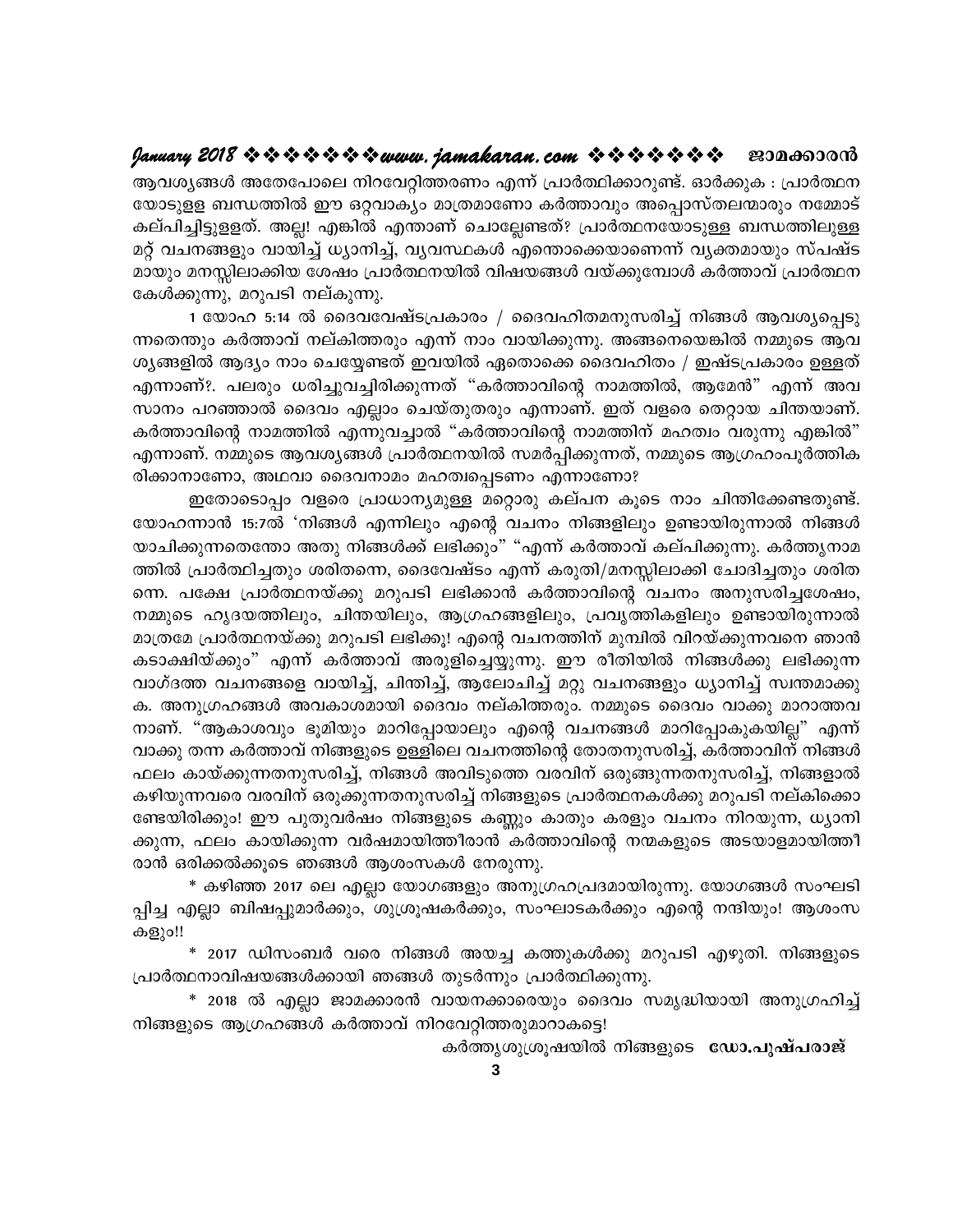ആവശ്യങ്ങൾ അതേപോലെ നിറവേറ്റിത്തരണം എന്ന് പ്രാർത്ഥിക്കാറുണ്ട്. ഓർക്കുക : പ്രാർത്ഥന യോടുളള ബന്ധത്തിൽ ഈ ഒറ്റവാക്യം മാത്രമാണോ കർത്താവും അപ്പൊസ്തലന്മാരും നമ്മോട് കല്പിച്ചിട്ടുളളത്. അല്ല! എങ്കിൽ എന്താണ് ചൊല്ലേണ്ടത്? പ്രാർത്ഥനയോടുള്ള ബന്ധത്തിലുള്ള മറ്റ് വചനങ്ങളും വായിച്ച് ധ്യാനിച്ച്, വ്യവസ്ഥകൾ എന്തൊക്കെയാണെന്ന് വ്യക്തമായും സ്പഷ്ട മായും മനസ്സിലാക്കിയ ശേഷം പ്രാർത്ഥനയിൽ വിഷയങ്ങൾ വയ്ക്കുമ്പോൾ കർത്താവ് പ്രാർത്ഥന കേൾക്കുന്നു, മറുപടി നല്കുന്നു.

1 യോഹ 5:14 ൽ ദൈവവേഷ്ടപ്രകാരം / ദൈവഹിതമനുസരിച്ച് നിങ്ങൾ ആവശ്യപ്പെടു ന്നതെന്തും കർത്താവ് നല്കിത്തരും എന്ന് നാം വായിക്കുന്നു. അങ്ങനെയെങ്കിൽ നമ്മുടെ ആവ ശൃങ്ങളിൽ ആദ്യം നാം ചെയ്യേണ്ടത് ഇവയിൽ ഏതൊക്കെ ദൈവഹിതം / ഇഷ്ടപ്രകാരം ഉള്ളത് എന്നാണ്?. പലരും ധരിച്ചുവച്ചിരിക്കുന്നത് "കർത്താവിന്റെ നാമത്തിൽ, ആമേൻ" എന്ന് അവ സാനം പറഞ്ഞാൽ ദൈവം എല്ലാം ചെയ്തുതരും എന്നാണ്. ഇത് വളരെ തെറ്റായ ചിന്തയാണ്. കർത്താവിന്റെ നാമത്തിൽ എന്നുവച്ചാൽ "കർത്താവിന്റെ നാമത്തിന് മഹത്വം വരുന്നു എങ്കിൽ" എന്നാണ്. നമ്മുടെ ആവശ്യങ്ങൾ പ്രാർത്ഥനയിൽ സമർപ്പിക്കുന്നത്, നമ്മുടെ ആഗ്രഹംപൂർത്തിക രിക്കാനാണോ, അഥവാ ദൈവനാമം മഹത്വപ്പെടണം എന്നാണോ?

ഇതോടൊപ്പം വളരെ പ്രാധാന്യമുള്ള മറ്റൊരു കല്പന കൂടെ നാം ചിന്തിക്കേണ്ടതുണ്ട്. യോഹന്നാൻ 15:7ൽ 'നിങ്ങൾ എന്നിലും എന്റെ വചനം നിങ്ങളിലും ഉണ്ടായിരുന്നാൽ നിങ്ങൾ യാചിക്കുന്നതെന്തോ അതു നിങ്ങൾക്ക് ലഭിക്കും" "എന്ന് കർത്താവ് കല്പിക്കുന്നു. കർത്തൃനാമ ത്തിൽ പ്രാർത്ഥിച്ചതും ശരിതന്നെ, ദൈവേഷ്ടം എന്ന് കരുതി/മനസ്സിലാക്കി ചോദിച്ചതും ശരിത ന്നെ. പക്ഷേ പ്രാർത്ഥനയ്ക്കു മറുപടി ലഭിക്കാൻ കർത്താവിന്റെ വചനം അനുസരിച്ചശേഷം, നമ്മുടെ ഹൃദയത്തിലും, ചിന്തയിലും, ആഗ്രഹങ്ങളിലും, പ്രവൃത്തികളിലും ഉണ്ടായിരുന്നാൽ മാത്രമേ പ്രാർത്ഥനയ്ക്കു മറുപടി ലഭിക്കൂ! എന്റെ വചനത്തിന് മുമ്പിൽ വിറയ്ക്കുന്നവനെ ഞാൻ കടാക്ഷിയ്ക്കും" എന്ന് കർത്താവ് അരുളിച്ചെയ്യുന്നു. ഈ രീതിയിൽ നിങ്ങൾക്കു ലഭിക്കുന്ന വാഗ്ദത്ത വചനങ്ങളെ വായിച്ച്, ചിന്തിച്ച്, ആലോചിച്ച് മറ്റു വചനങ്ങളും ധ്യാനിച്ച് സ്വന്തമാക്കു ക. അനുഗ്രഹങ്ങൾ അവകാശമായി ദൈവം നല്കിത്തരും. നമ്മുടെ ദൈവം വാക്കു മാറാത്തവ നാണ്. "ആകാശവും ഭൂമിയും മാറിപ്പോയാലും എന്റെ വചനങ്ങൾ മാറിപ്പോകുകയില്ല" എന്ന് വാക്കു തന്ന കർത്താവ് നിങ്ങളുടെ ഉള്ളിലെ വചനത്തിന്റെ തോതനുസരിച്ച്, കർത്താവിന് നിങ്ങൾ ഫലം കായ്ക്കുന്നതനുസരിച്ച്, നിങ്ങൾ അവിടുത്തെ വരവിന് ഒരുങ്ങുന്നതനുസരിച്ച്, നിങ്ങളാൽ കഴിയുന്നവരെ വരവിന് ഒരുക്കുന്നതനുസരിച്ച് നിങ്ങളുടെ പ്രാർത്ഥനകൾക്കു മറുപടി നല്കിക്കൊ ണ്ടേയിരിക്കും! ഈ പുതുവർഷം നിങ്ങളുടെ കണ്ണും കാതും കരളും വചനം നിറയുന്ന, ധ്യാനി ക്കുന്ന, ഫലം കായിക്കുന്ന വർഷമായിത്തീരാൻ കർത്താവിന്റെ നന്മകളുടെ അടയാളമായിത്തീ രാൻ ഒരിക്കൽക്കൂടെ ഞങ്ങൾ ആശംസകൾ നേരുന്നു.

\* കഴിഞ്ഞ 2017 ലെ എല്ലാ യോഗങ്ങളും അനുഗ്രഹപ്രദമായിരുന്നു. യോഗങ്ങൾ സംഘടി പ്പിച്ച എല്ലാ ബിഷപ്പുമാർക്കും, ശുശ്രൂഷകർക്കും, സംഘാടകർക്കും എന്റെ നന്ദിയും! ആശംസ കളും!!

\* 2017 ഡിസംബർ വരെ നിങ്ങൾ അയച്ച കത്തുകൾക്കു മറുപടി എഴുതി. നിങ്ങളുടെ പ്രാർത്ഥനാവിഷയങ്ങൾക്കായി ഞങ്ങൾ തുടർന്നും പ്രാർത്ഥിക്കുന്നു.

\* 2018 ൽ എല്ലാ ജാമക്കാരൻ വായനക്കാരെയും ദൈവം സമൃദ്ധിയായി അനുഗ്രഹിച്ച് നിങ്ങളുടെ ആഗ്രഹങ്ങൾ കർത്താവ് നിറവേറ്റിത്തരുമാറാകട്ടെ!

കർത്തൃശുശ്രുഷയിൽ നിങ്ങളുടെ ഡോ.പുഷ്പരാജ്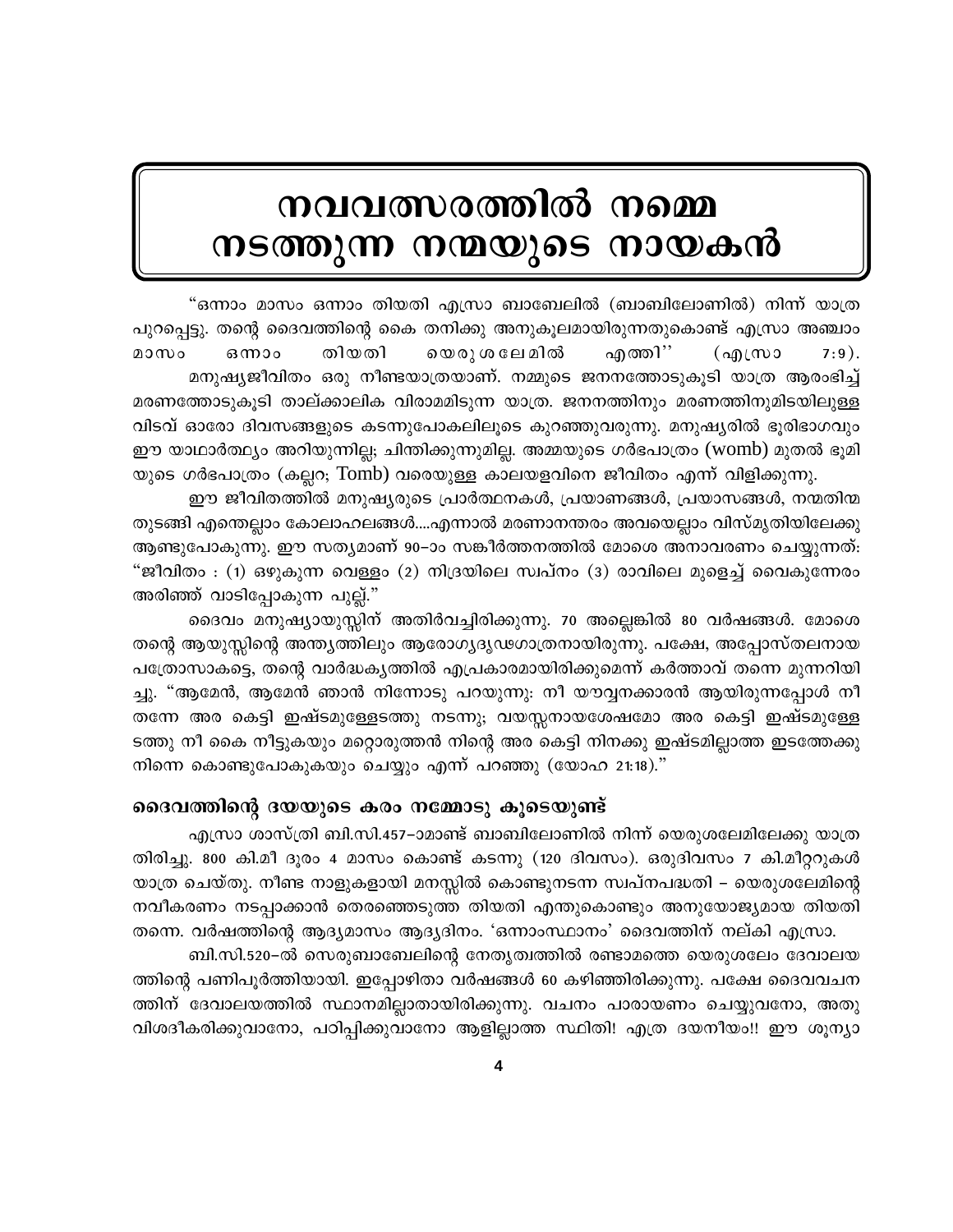# നവവത്സരത്തിൽ നമ്മെ നടത്തുന്ന നന്മയുടെ നായകൻ

"ഒന്നാം മാസം ഒന്നാം തിയതി എസ്രാ ബാബേലിൽ (ബാബിലോണിൽ) നിന്ന് യാത്ര പുറപ്പെട്ടു. തന്റെ ദൈവത്തിന്റെ കൈ തനിക്കു അനുകൂലമായിരുന്നതുകൊണ്ട് എസ്രാ അഞ്ചാം മാസം തിയതി യെരു ശ ലേ മിൽ എത്തി'' ഔരാം  $\omega$  $7:9$ . മനുഷ്യജീവിതം ഒരു നീണ്ടയാത്രയാണ്. നമ്മുടെ ജനനത്തോടുകൂടി യാത്ര ആരംഭിച്ച് മരണത്തോടുകൂടി താല്ക്കാലിക വിരാമമിടുന്ന യാത്ര. ജനനത്തിനും മരണത്തിനുമിടയിലുള്ള വിടവ് ഓരോ ദിവസങ്ങളുടെ കടന്നുപോകലിലൂടെ കുറഞ്ഞുവരുന്നു. മനുഷ്യരിൽ ഭൂരിഭാഗവും ഈ യാഥാർത്ഥ്യം അറിയുന്നില്ല; ചിന്തിക്കുന്നുമില്ല. അമ്മയുടെ ഗർഭപാത്രം (womb) മുതൽ ഭൂമി യുടെ ഗർഭപാത്രം (കല്ലറ; Tomb) വരെയുള്ള കാലയളവിനെ ജീവിതം എന്ന് വിളിക്കുന്നു.

ഈ ജീവിതത്തിൽ മനുഷ്യരുടെ പ്രാർത്ഥനകൾ, പ്രയാണങ്ങൾ, പ്രയാസങ്ങൾ, നന്മതിന്മ തുടങ്ങി എന്തെല്ലാം കോലാഹലങ്ങൾ....എന്നാൽ മരണാനന്തരം അവയെല്ലാം വിസ്മൃതിയിലേക്കു ആണ്ടുപോകുന്നു. ഈ സത്യമാണ് 90–ാം സങ്കീർത്തനത്തിൽ മോശെ അനാവരണം ചെയ്യുന്നത്: "ജീവിതം : (1) ഒഴുകുന്ന വെള്ളം (2) നിദ്രയിലെ സ്വപ്നം (3) രാവിലെ മുളെച്ച് വൈകുന്നേരം അരിഞ്ഞ് വാടിപ്പോകുന്ന പുല്ല്."

ദൈവം മനുഷ്യായുസ്സിന് അതിർവച്ചിരിക്കുന്നു. 70 അല്ലെങ്കിൽ 80 വർഷങ്ങൾ. മോശെ തന്റെ ആയുസ്ലിന്റെ അന്ത്യത്തിലും ആരോഗ്യദൃഢഗാത്രനായിരുന്നു. പക്ഷേ, അപ്പോസ്തലനായ പത്രോസാകട്ടെ, തന്റെ വാർദ്ധകൃത്തിൽ എപ്രകാരമായിരിക്കുമെന്ന് കർത്താവ് തന്നെ മുന്നറിയി ച്ചു. "ആമേൻ, ആമേൻ ഞാൻ നിന്നോടു പറയുന്നു: നീ യൗവ്വനക്കാരൻ ആയിരുന്നപ്പോൾ നീ തന്നേ അര കെട്ടി ഇഷ്ടമുള്ളേടത്തു നടന്നു; വയസ്സനായശേഷമോ അര കെട്ടി ഇഷ്ടമുള്ളേ ടത്തു നീ കൈ നീട്ടുകയും മറ്റൊരുത്തൻ നിന്റെ അര കെട്ടി നിനക്കു ഇഷ്ടമില്ലാത്ത ഇടത്തേക്കു നിന്നെ കൊണ്ടുപോകുകയും ചെയ്യും എന്ന് പറഞ്ഞു (യോഹ 21:18)."

#### ദൈവത്തിന്റെ ദയയുടെ കരം നമ്മോടു കൂടെയുണ്ട്

എസ്രാ ശാസ്ത്രി ബി.സി.457–ാമാണ്ട് ബാബിലോണിൽ നിന്ന് യെരുശലേമിലേക്കു യാത്ര തിരിച്ചു. 800 കി.മീ ദൂരം 4 മാസം കൊണ്ട് കടന്നു (120 ദിവസം). ഒരുദിവസം 7 കി.മീറ്ററുകൾ യാത്ര ചെയ്തു. നീണ്ട നാളുകളായി മനസ്സിൽ കൊണ്ടുനടന്ന സ്വപ്നപദ്ധതി – യെരുശലേമിന്റെ നവീകരണം നടപ്പാക്കാൻ തെരഞ്ഞെടുത്ത തിയതി എന്തുകൊണ്ടും അനുയോജ്യമായ തിയതി തന്നെ. വർഷത്തിന്റെ ആദ്യമാസം ആദ്യദിനം. 'ഒന്നാംസ്ഥാനം' ദൈവത്തിന് നല്കി എസ്രാ.

ബി.സി.520–ൽ സെരുബാബേലിന്റെ നേതൃത്വത്തിൽ രണ്ടാമത്തെ യെരുശലേം ദേവാലയ ത്തിന്റെ പണിപൂർത്തിയായി. ഇപ്പോഴിതാ വർഷങ്ങൾ 60 കഴിഞ്ഞിരിക്കുന്നു. പക്ഷേ ദൈവവചന ത്തിന് ദേവാലയത്തിൽ സ്ഥാനമില്ലാതായിരിക്കുന്നു. വചനം പാരായണം ചെയ്യുവനോ, അതു വിശദീകരിക്കുവാനോ, പഠിപ്പിക്കുവാനോ ആളില്ലാത്ത സ്ഥിതി! എത്ര ദയനീയം!! ഈ ശൂന്യാ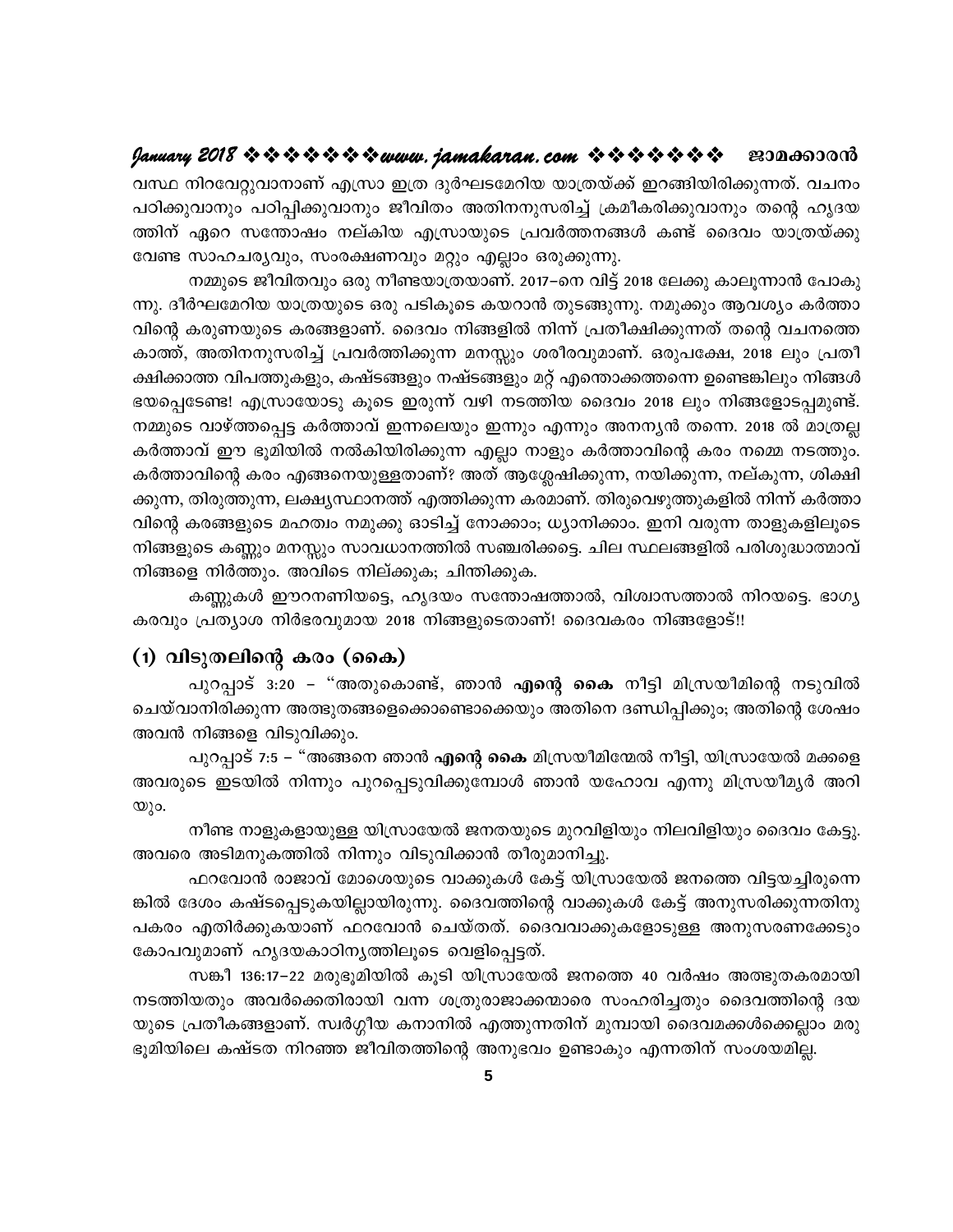വസ്ഥ നിറവേറ്റുവാനാണ് എസ്രാ ഇത്ര ദുർഘടമേറിയ യാത്രയ്ക്ക് ഇറങ്ങിയിരിക്കുന്നത്. വചനം പഠിക്കുവാനും പഠിപ്പിക്കുവാനും ജീവിതം അതിനനുസരിച്ച് ക്രമീകരിക്കുവാനും തന്റെ ഹൃദയ ത്തിന് ഏറെ സന്തോഷം നല്കിയ എസ്രായുടെ പ്രവർത്തനങ്ങൾ കണ്ട് ദൈവം യാത്രയ്ക്കു വേണ്ട സാഹചര്യവും, സംരക്ഷണവും മറ്റും എല്ലാം ഒരുക്കുന്നു.

നമ്മുടെ ജീവിതവും ഒരു നീണ്ടയാത്രയാണ്. 2017–നെ വിട്ട് 2018 ലേക്കു കാലൂന്നാൻ പോകു ന്നു. ദീർഘമേറിയ യാത്രയുടെ ഒരു പടികൂടെ കയറാൻ തുടങ്ങുന്നു. നമുക്കും ആവശ്യം കർത്താ വിന്റെ കരുണയുടെ കരങ്ങളാണ്. ദൈവം നിങ്ങളിൽ നിന്ന് പ്രതീക്ഷിക്കുന്നത് തന്റെ വചനത്തെ കാത്ത്, അതിനനുസരിച്ച് പ്രവർത്തിക്കുന്ന മനസ്സും ശരീരവുമാണ്. ഒരുപക്ഷേ, 2018 ലും പ്രതീ ക്ഷിക്കാത്ത വിപത്തുകളും, കഷ്ടങ്ങളും നഷ്ടങ്ങളും മറ്റ് എന്തൊക്കത്തന്നെ ഉണ്ടെങ്കിലും നിങ്ങൾ ഭയപ്പെടേണ്ട! എസ്രായോടു കൂടെ ഇരുന്ന് വഴി നടത്തിയ ദൈവം 2018 ലും നിങ്ങളോടപ്പമുണ്ട്. നമ്മുടെ വാഴ്ത്തപ്പെട്ട കർത്താവ് ഇന്നലെയും ഇന്നും എന്നും അനന്യൻ തന്നെ. 2018 ൽ മാത്രല്ല കർത്താവ് ഈ ഭൂമിയിൽ നൽകിയിരിക്കുന്ന എല്ലാ നാളും കർത്താവിന്റെ കരം നമ്മെ നടത്തും. കർത്താവിന്റെ കരം എങ്ങനെയുള്ളതാണ്? അത് ആശ്ലേഷിക്കുന്ന, നയിക്കുന്ന, നല്കുന്ന, ശിക്ഷി ക്കുന്ന, തിരുത്തുന്ന, ലക്ഷ്യസ്ഥാനത്ത് എത്തിക്കുന്ന കരമാണ്. തിരുവെഴുത്തുകളിൽ നിന്ന് കർത്താ വിന്റെ കരങ്ങളുടെ മഹത്വം നമുക്കു ഓടിച്ച് നോക്കാം; ധ്യാനിക്കാം. ഇനി വരുന്ന താളുകളിലൂടെ നിങ്ങളുടെ കണ്ണും മനസ്സും സാവധാനത്തിൽ സഞ്ചരിക്കട്ടെ. ചില സ്ഥലങ്ങളിൽ പരിശുദ്ധാത്മാവ് നിങ്ങളെ നിർത്തും. അവിടെ നില്ക്കുക; ചിന്തിക്കുക.

കണ്ണുകൾ ഈറനണിയട്ടെ, ഹൃദയം സന്തോഷത്താൽ, വിശ്വാസത്താൽ നിറയട്ടെ. ഭാഗ്യ കരവും പ്രത്യാശ നിർഭരവുമായ 2018 നിങ്ങളുടെതാണ്! ദൈവകരം നിങ്ങളോട്!!

#### (1) വിടുതലിന്റെ കരം (കൈ)

പുറപ്പാട് 3:20 – "അതുകൊണ്ട്, ഞാൻ <mark>എന്റെ കൈ</mark> നീട്ടി മിസ്രയീമിന്റെ നടുവിൽ ചെയ്വാനിരിക്കുന്ന അത്ഭുതങ്ങളെക്കൊണ്ടൊക്കെയും അതിനെ ദണ്ഡിപ്പിക്കും; അതിന്റെ ശേഷം അവൻ നിങ്ങളെ വിടുവിക്കും.

പുറപ്പാട് 7:5 – "അങ്ങനെ ഞാൻ എന്റെ കൈ മിസ്രയീമിന്മേൽ നീട്ടി, യിസ്രായേൽ മക്കളെ അവരുടെ ഇടയിൽ നിന്നും പുറപ്പെടുവിക്കുമ്പോൾ ഞാൻ യഹോവ എന്നു മിസ്രയീമൃർ അറി  $\omega$ )o.

നീണ്ട നാളുകളായുള്ള യിസ്രായേൽ ജനതയുടെ മുറവിളിയും നിലവിളിയും ദൈവം കേട്ടു. അവരെ അടിമനുകത്തിൽ നിന്നും വിടുവിക്കാൻ തീരുമാനിച്ചു.

ഫറവോൻ രാജാവ് മോശെയുടെ വാക്കുകൾ കേട്ട് യിസ്രായേൽ ജനത്തെ വിട്ടയച്ചിരുന്നെ ങ്കിൽ ദേശം കഷ്ടപ്പെടുകയില്ലായിരുന്നു. ദൈവത്തിന്റെ വാക്കുകൾ കേട്ട് അനുസരിക്കുന്നതിനു പകരം എതിർക്കുകയാണ് ഫറവോൻ ചെയ്തത്. ദൈവവാക്കുകളോടുള്ള അനുസരണക്കേടും കോപവുമാണ് ഹൃദയകാഠിനൃത്തിലൂടെ വെളിപ്പെട്ടത്.

സങ്കീ 136:17–22 മരുഭുമിയിൽ കുടി യിസ്രായേൽ ജനത്തെ 40 വർഷം അത്ഭുതകരമായി നടത്തിയതും അവർക്കെതിരായി വന്ന ശത്രുരാജാക്കന്മാരെ സംഹരിച്ചതും ദൈവത്തിന്റെ ദയ യുടെ പ്രതീകങ്ങളാണ്. സ്വർഗ്ഗീയ കനാനിൽ എത്തുന്നതിന് മുമ്പായി ദൈവമക്കൾക്കെല്ലാം മരു ഭൂമിയിലെ കഷ്ടത നിറഞ്ഞ ജീവിതത്തിന്റെ അനുഭവം ഉണ്ടാകും എന്നതിന് സംശയമില്ല.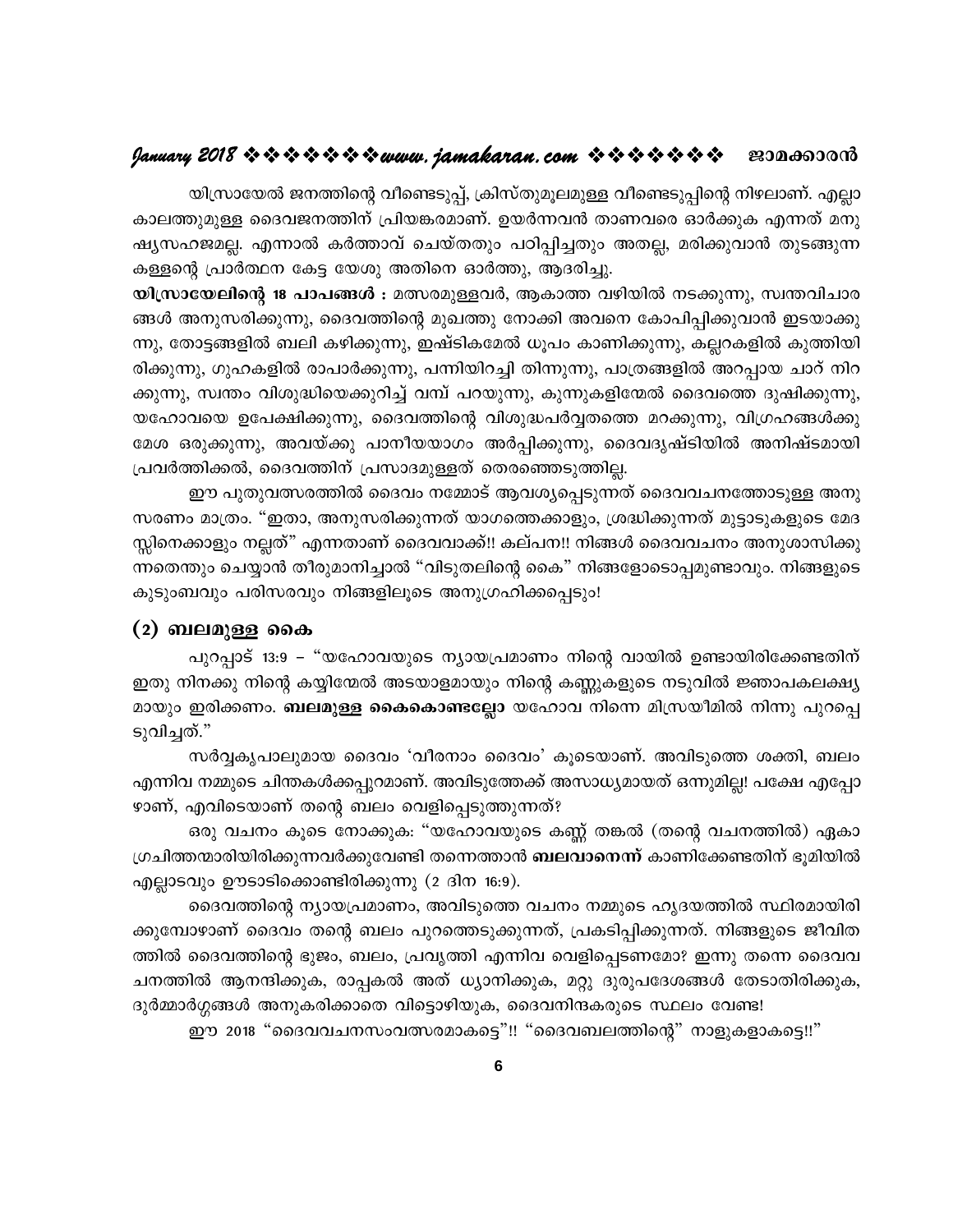# $9$ anuary 2018 \* \* \* \* \* \* \* \* www.jamakaran.com \* \* \* \* \* \* \* \* \* 230000000

യിസ്രായേൽ ജനത്തിന്റെ വീണ്ടെടുപ്പ്, ക്രിസ്തുമൂലമുള്ള വീണ്ടെടുപ്പിന്റെ നിഴലാണ്. എല്ലാ കാലത്തുമുള്ള ദൈവജനത്തിന് പ്രിയങ്കരമാണ്. ഉയർന്നവൻ താണവരെ ഓർക്കുക എന്നത് മനു ഷ്യസഹജമല്ല. എന്നാൽ കർത്താവ് ചെയ്തതും പഠിപ്പിച്ചതും അതല്ല, മരിക്കുവാൻ തുടങ്ങുന്ന കള്ളന്റെ പ്രാർത്ഥന കേട്ട യേശു അതിനെ ഓർത്തു, ആദരിച്ചു.

യിസ്രായേലിന്റെ 18 പാപങ്ങൾ : മത്സരമുള്ളവർ, ആകാത്ത വഴിയിൽ നടക്കുന്നു, സ്വന്തവിചാര ങ്ങൾ അനുസരിക്കുന്നു, ദൈവത്തിന്റെ മുഖത്തു നോക്കി അവനെ കോപിപ്പിക്കുവാൻ ഇടയാക്കു ന്നു, തോട്ടങ്ങളിൽ ബലി കഴിക്കുന്നു, ഇഷ്ടികമേൽ ധൂപം കാണിക്കുന്നു, കല്ലറകളിൽ കുത്തിയി രിക്കുന്നു, ഗുഹകളിൽ രാപാർക്കുന്നു, പന്നിയിറച്ചി തിന്നുന്നു, പാത്രങ്ങളിൽ അറപ്പായ ചാറ് നിറ ക്കുന്നു, സ്വന്തം വിശുദ്ധിയെക്കുറിച്ച് വമ്പ് പറയുന്നു, കുന്നുകളിന്മേൽ ദൈവത്തെ ദുഷിക്കുന്നു, യഹോവയെ ഉപേക്ഷിക്കുന്നു, ദൈവത്തിന്റെ വിശുദ്ധപർവ്വതത്തെ മറക്കുന്നു, വിഗ്രഹങ്ങൾക്കു മേശ ഒരുക്കുന്നു, അവയ്ക്കു പാനീയയാഗം അർപ്പിക്കുന്നു, ദൈവദൃഷ്ടിയിൽ അനിഷ്ടമായി പ്രവർത്തിക്കൽ, ദൈവത്തിന് പ്രസാദമുള്ളത് തെരഞ്ഞെടുത്തില്ല.

ഈ പുതുവത്സരത്തിൽ ദൈവം നമ്മോട് ആവശ്യപ്പെടുന്നത് ദൈവവചനത്തോടുള്ള അനു സരണം മാത്രം. "ഇതാ, അനുസരിക്കുന്നത് യാഗത്തെക്കാളും, ശ്രദ്ധിക്കുന്നത് മുട്ടാടുകളുടെ മേദ സ്ലിനെക്കാളും നല്ലത്" എന്നതാണ് ദൈവവാക്ക്!! കല്പന!! നിങ്ങൾ ദൈവവചനം അനുശാസിക്കു ന്നതെന്തും ചെയ്യാൻ തീരുമാനിച്ചാൽ "വിടുതലിന്റെ കൈ" നിങ്ങളോടൊപ്പമുണ്ടാവും. നിങ്ങളുടെ കുടുംബവും പരിസരവും നിങ്ങളിലൂടെ അനുഗ്രഹിക്കപ്പെടും!

# (2) ബലമുള്ള കൈ

പുറപ്പാട് 13:9 – "യഹോവയുടെ ന്യായപ്രമാണം നിന്റെ വായിൽ ഉണ്ടായിരിക്കേണ്ടതിന് ഇതു നിനക്കു നിന്റെ കയ്യിന്മേൽ അടയാളമായും നിന്റെ കണ്ണുകളുടെ നടുവിൽ ജ്ഞാപകലക്ഷ്യ മായും ഇരിക്കണം. **ബലമുള്ള കൈകൊണ്ടല്ലോ** യഹോവ നിന്നെ മിസ്രയീമിൽ നിന്നു പുറപ്പെ ടുവിച്ചത്."

സർവ്വകൃപാലുമായ ദൈവം 'വീരനാം ദൈവം' കൂടെയാണ്. അവിടുത്തെ ശക്തി, ബലം എന്നിവ നമ്മുടെ ചിന്തകൾക്കപ്പുറമാണ്. അവിടുത്തേക്ക് അസാധ്യമായത് ഒന്നുമില്ല! പക്ഷേ എപ്പോ ഴാണ്, എവിടെയാണ് തന്റെ ബലം വെളിപ്പെടുത്തുന്നത്?

ഒരു വചനം കൂടെ നോക്കുക: "യഹോവയുടെ കണ്ണ് തങ്കൽ (തന്റെ വചനത്തിൽ) ഏകാ ഗ്രചിത്തന്മാരിയിരിക്കുന്നവർക്കുവേണ്ടി തന്നെത്താൻ **ബലവാനെന്ന്** കാണിക്കേണ്ടതിന് ഭൂമിയിൽ എല്ലാടവും ഊടാടിക്കൊണ്ടിരിക്കുന്നു (2 ദിന 16:9).

ദൈവത്തിന്റെ ന്യായപ്രമാണം, അവിടുത്തെ വചനം നമ്മുടെ ഹൃദയത്തിൽ സ്ഥിരമായിരി ക്കുമ്പോഴാണ് ദൈവം തന്റെ ബലം പുറത്തെടുക്കുന്നത്, പ്രകടിപ്പിക്കുന്നത്. നിങ്ങളുടെ ജീവിത ത്തിൽ ദൈവത്തിന്റെ ഭുജം, ബലം, പ്രവൃത്തി എന്നിവ വെളിപ്പെടണമോ? ഇന്നു തന്നെ ദൈവവ ചനത്തിൽ ആനന്ദിക്കുക, രാപ്പകൽ അത് ധ്യാനിക്കുക, മറ്റു ദുരുപദേശങ്ങൾ തേടാതിരിക്കുക, ദുർമ്മാർഗ്ഗങ്ങൾ അനുകരിക്കാതെ വിട്ടൊഴിയുക, ദൈവനിന്ദകരുടെ സ്ഥലം വേണ്ട!

ഈ 2018 "ദൈവവചനസംവത്സരമാകട്ടെ"!! "ദൈവബലത്തിന്റെ" നാളുകളാകട്ടെ!!"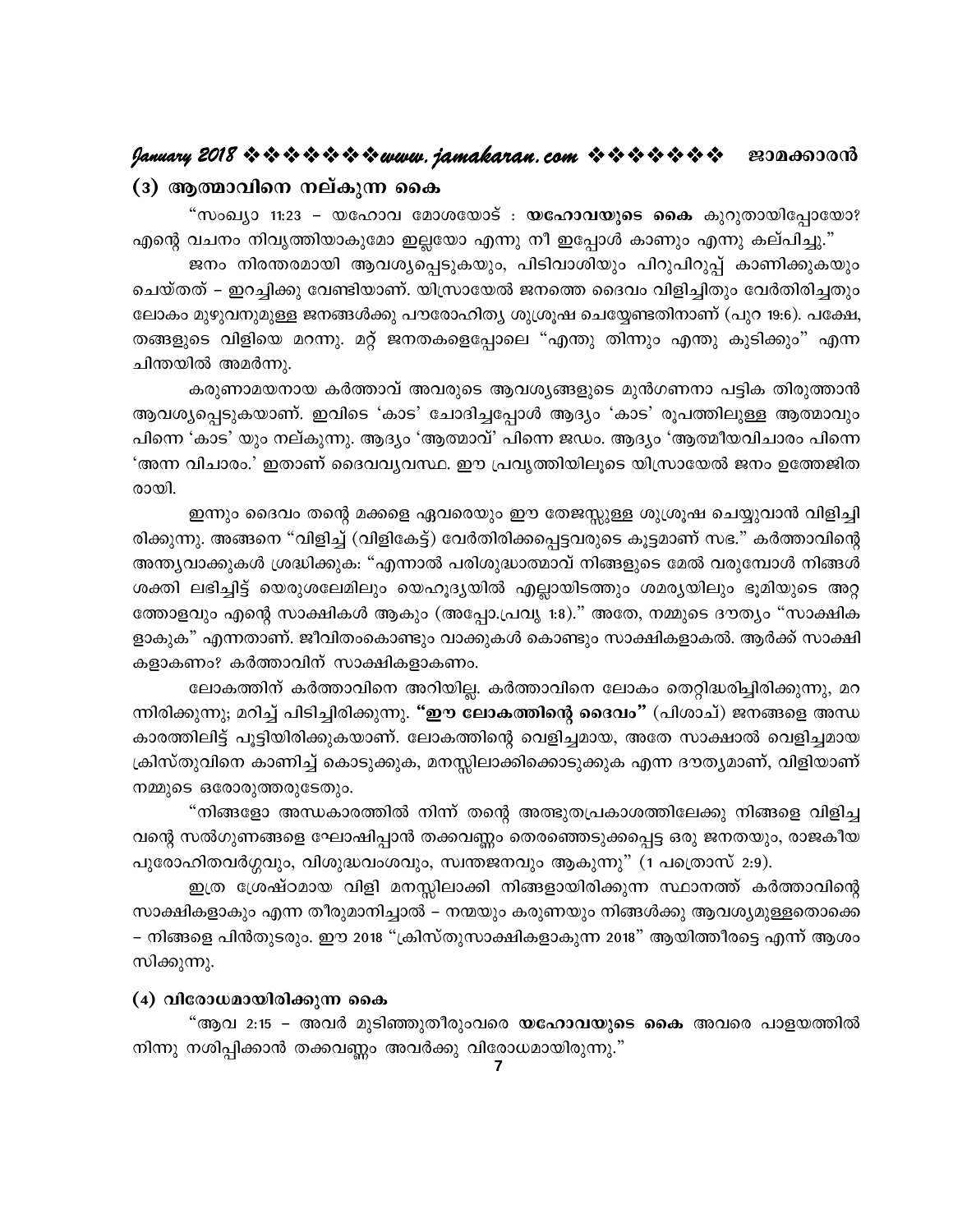#### (3) ആത്മാവിനെ നല്കുന്ന കൈ

"സംഖ്യാ 11:23 – യഹോവ മോശയോട് : **യഹോവയുടെ കൈ** കുറുതായിപ്പോയോ? എന്റെ വചനം നിവൃത്തിയാകുമോ ഇല്ലയോ എന്നു നീ ഇപ്പോൾ കാണും എന്നു കല്പിച്ചു."

ജനം നിരന്തരമായി ആവശ്യപ്പെടുകയും, പിടിവാശിയും പിറുപിറുപ്പ് കാണിക്കുകയും ചെയ്തത് – ഇറച്ചിക്കു വേണ്ടിയാണ്. യിസ്രായേൽ ജനത്തെ ദൈവം വിളിച്ചിതും വേർതിരിച്ചതും ലോകം മുഴുവനുമുള്ള ജനങ്ങൾക്കു പൗരോഹിത്യ ശുശ്രൂഷ ചെയ്യേണ്ടതിനാണ് (പുറ 19:6). പക്ഷേ, തങ്ങളുടെ വിളിയെ മറന്നു. മറ്റ് ജനതകളെപ്പോലെ "എന്തു തിന്നും എന്തു കുടിക്കും" എന്ന ചിന്തയിൽ അമർന്നു.

കരുണാമയനായ കർത്താവ് അവരുടെ ആവശ്യങ്ങളുടെ മുൻഗണനാ പട്ടിക തിരുത്താൻ ആവശ്യപ്പെടുകയാണ്. ഇവിടെ 'കാട' ചോദിച്ചപ്പോൾ ആദ്യം 'കാട' രൂപത്തിലുള്ള ആത്മാവും പിന്നെ 'കാട' യും നല്കുന്നു. ആദ്യം 'ആത്മാവ്' പിന്നെ ജഡം. ആദ്യം 'ആത്മീയവിചാരം പിന്നെ 'അന്ന വിചാരം.' ഇതാണ് ദൈവവൃവസ്ഥ. ഈ പ്രവൃത്തിയിലൂടെ യിസ്രായേൽ ജനം ഉത്തേജിത രായി.

ഇന്നും ദൈവം തന്റെ മക്കളെ ഏവരെയും ഈ തേജസ്സുള്ള ശുശ്രൂഷ ചെയ്യുവാൻ വിളിച്ചി രിക്കുന്നു. അങ്ങനെ "വിളിച്ച് (വിളികേട്ട്) വേർതിരിക്കപ്പെട്ടവരുടെ കൂട്ടമാണ് സഭ." കർത്താവിന്റെ അന്ത്യവാക്കുകൾ ശ്രദ്ധിക്കുക: "എന്നാൽ പരിശുദ്ധാത്മാവ് നിങ്ങളുടെ മേൽ വരുമ്പോൾ നിങ്ങൾ ശക്തി ലഭിച്ചിട്ട് യെരുശലേമിലും യെഹൂദ്യയിൽ എല്ലായിടത്തും ശമര്യയിലും ഭൂമിയുടെ അറ്റ ത്തോളവും എന്റെ സാക്ഷികൾ ആകും (അപ്പോ.പ്രവൃ 1:8)." അതേ, നമ്മുടെ ദൗത്യം "സാക്ഷിക ളാകുക" എന്നതാണ്. ജീവിതംകൊണ്ടും വാക്കുകൾ കൊണ്ടും സാക്ഷികളാകൽ. ആർക്ക് സാക്ഷി കളാകണം? കർത്താവിന് സാക്ഷികളാകണം.

ലോകത്തിന് കർത്താവിനെ അറിയില്ല. കർത്താവിനെ ലോകം തെറ്റിദ്ധരിച്ചിരിക്കുന്നു, മറ ന്നിരിക്കുന്നു; മറിച്ച് പിടിച്ചിരിക്കുന്നു. **"ഈ ലോകത്തിന്റെ ദൈവം"** (പിശാച്) ജനങ്ങളെ അന്ധ കാരത്തിലിട്ട് പൂട്ടിയിരിക്കുകയാണ്. ലോകത്തിന്റെ വെളിച്ചമായ, അതേ സാക്ഷാൽ വെളിച്ചമായ ക്രിസ്തുവിനെ കാണിച്ച് കൊടുക്കുക, മനസ്സിലാക്കിക്കൊടുക്കുക എന്ന ദൗത്യമാണ്, വിളിയാണ് നമ്മുടെ ഒരോരുത്തരുടേതും.

"നിങ്ങളോ അന്ധകാരത്തിൽ നിന്ന് തന്റെ അത്ഭുതപ്രകാശത്തിലേക്കു നിങ്ങളെ വിളിച്ച വന്റെ സൽഗുണങ്ങളെ ഘോഷിപ്പാൻ തക്കവണ്ണം തെരഞ്ഞെടുക്കപ്പെട്ട ഒരു ജനതയും, രാജകീയ പുരോഹിതവർഗ്ഗവും, വിശുദ്ധവംശവും, സ്വന്തജനവും ആകുന്നു" (1 പത്രൊസ് 2:9).

ഇത്ര ശ്രേഷ്ഠമായ വിളി മനസ്സിലാക്കി നിങ്ങളായിരിക്കുന്ന സ്ഥാനത്ത് കർത്താവിന്റെ സാക്ഷികളാകും എന്ന തീരുമാനിച്ചാൽ – നന്മയും കരുണയും നിങ്ങൾക്കു ആവശ്യമുള്ളതൊക്കെ – നിങ്ങളെ പിൻതുടരും. ഈ 2018 "ക്രിസ്തുസാക്ഷികളാകുന്ന 2018" ആയിത്തീരട്ടെ എന്ന് ആശം സിക്കുന്നു.

#### $(4)$  വിരോധമായിരിക്കുന്ന കൈ

"ആവ 2:15 – അവർ മുടിഞ്ഞുതീരുംവരെ **യഹോവയുടെ കൈ** അവരെ പാളയത്തിൽ നിന്നു നശിപ്പിക്കാൻ തക്കവണ്ണം അവർക്കു വിരോധമായിരുന്നു."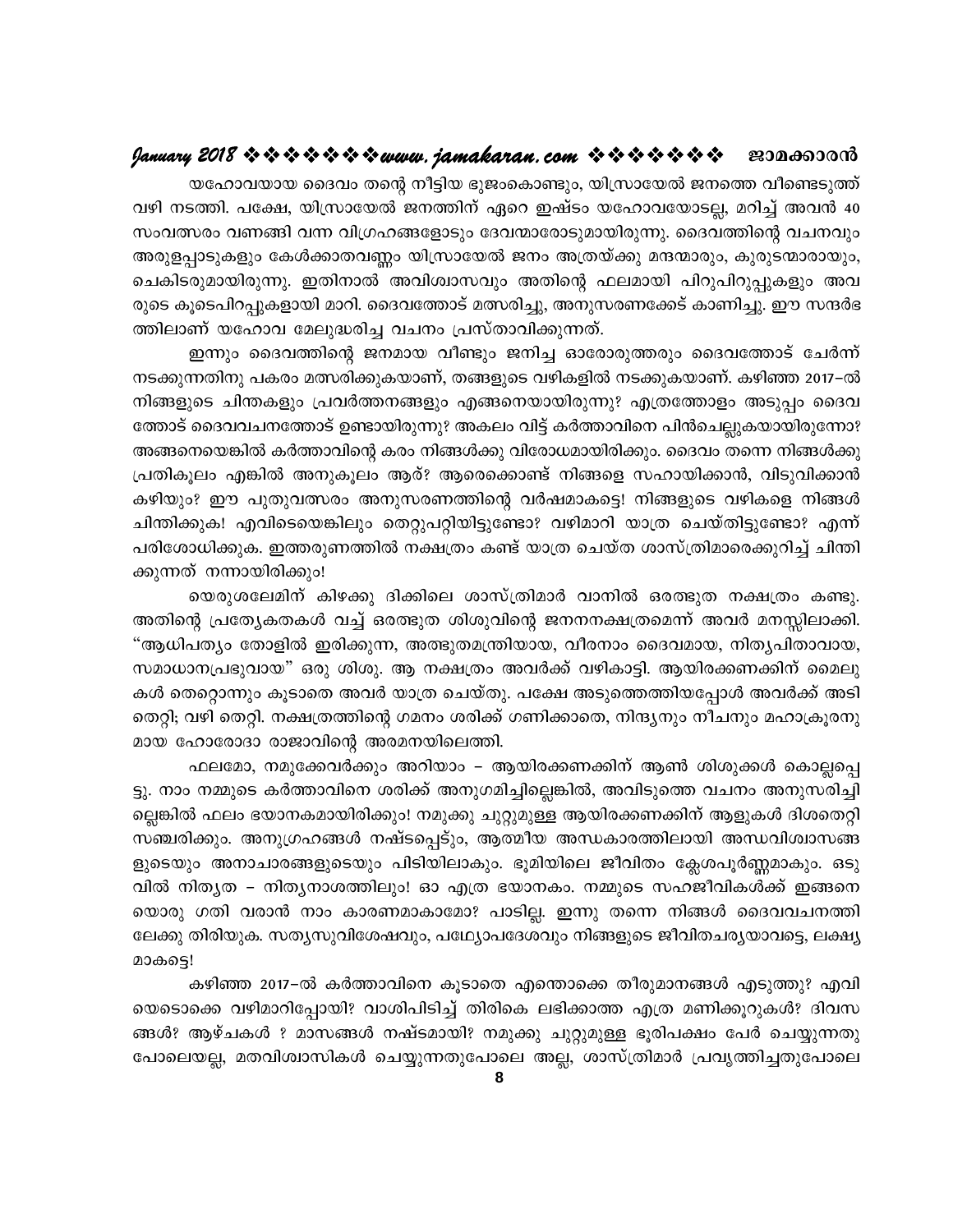യഹോവയായ ദൈവം തന്റെ നീട്ടിയ ഭുജംകൊണ്ടും, യിസ്രായേൽ ജനത്തെ വീണ്ടെടുത്ത് വഴി നടത്തി. പക്ഷേ, യിസ്രായേൽ ജനത്തിന് ഏറെ ഇഷ്ടം യഹോവയോടല്ല, മറിച്ച് അവൻ 40 സംവത്സരം വണങ്ങി വന്ന വിഗ്രഹങ്ങളോടും ദേവന്മാരോടുമായിരുന്നു. ദൈവത്തിന്റെ വചനവും അരുളപ്പാടുകളും കേൾക്കാതവണ്ണം യിസ്രായേൽ ജനം അത്രയ്ക്കു മന്ദന്മാരും, കുരുടന്മാരായും, ചെകിടരുമായിരുന്നു. ഇതിനാൽ അവിശ്വാസവും അതിന്റെ ഫലമായി പിറുപിറുപ്പുകളും അവ രുടെ കൂടെപിറപ്പുകളായി മാറി. ദൈവത്തോട് മത്സരിച്ചു, അനുസരണക്കേട് കാണിച്ചു. ഈ സന്ദർഭ ത്തിലാണ് യഹോവ മേലുദ്ധരിച്ച വചനം പ്രസ്താവിക്കുന്നത്.

ഇന്നും ദൈവത്തിന്റെ ജനമായ വീണ്ടും ജനിച്ച ഓരോരുത്തരും ദൈവത്തോട് ചേർന്ന് നടക്കുന്നതിനു പകരം മത്സരിക്കുകയാണ്, തങ്ങളുടെ വഴികളിൽ നടക്കുകയാണ്. കഴിഞ്ഞ 2017–ൽ നിങ്ങളുടെ ചിന്തകളും പ്രവർത്തനങ്ങളും എങ്ങനെയായിരുന്നു? എത്രത്തോളം അടുപ്പം ദൈവ ത്തോട് ദൈവവചനത്തോട് ഉണ്ടായിരുന്നു? അകലം വിട്ട് കർത്താവിനെ പിൻചെല്ലുകയായിരുന്നോ? അങ്ങനെയെങ്കിൽ കർത്താവിന്റെ കരം നിങ്ങൾക്കു വിരോധമായിരിക്കും. ദൈവം തന്നെ നിങ്ങൾക്കു പ്രതികൂലം എങ്കിൽ അനുകൂലം ആര്? ആരെക്കൊണ്ട് നിങ്ങളെ സഹായിക്കാൻ, വിടുവിക്കാൻ കഴിയും? ഈ പുതുവത്സരം അനുസരണത്തിന്റെ വർഷമാകട്ടെ! നിങ്ങളുടെ വഴികളെ നിങ്ങൾ ചിന്തിക്കുക! എവിടെയെങ്കിലും തെറ്റുപറ്റിയിട്ടുണ്ടോ? വഴിമാറി യാത്ര ചെയ്തിട്ടുണ്ടോ? എന്ന് പരിശോധിക്കുക. ഇത്തരുണത്തിൽ നക്ഷത്രം കണ്ട് യാത്ര ചെയ്ത ശാസ്ത്രിമാരെക്കുറിച്ച് ചിന്തി ക്കുന്നത് നന്നായിരിക്കും!

യെരുശലേമിന് കിഴക്കു ദിക്കിലെ ശാസ്ത്രിമാർ വാനിൽ ഒരത്ഭുത നക്ഷത്രം കണ്ടു. അതിന്റെ പ്രത്യേകതകൾ വച്ച് ഒരത്ഭുത ശിശുവിന്റെ ജനനനക്ഷത്രമെന്ന് അവർ മനസ്സിലാക്കി. "ആധിപത്യം തോളിൽ ഇരിക്കുന്ന, അത്ഭുതമന്ത്രിയായ, വീരനാം ദൈവമായ, നിത്യപിതാവായ, സമാധാനപ്രഭുവായ" ഒരു ശിശു. ആ നക്ഷത്രം അവർക്ക് വഴികാട്ടി. ആയിരക്കണക്കിന് മൈലു കൾ തെറ്റൊന്നും കൂടാതെ അവർ യാത്ര ചെയ്തു. പക്ഷേ അടുത്തെത്തിയപ്പോൾ അവർക്ക് അടി തെറ്റി; വഴി തെറ്റി. നക്ഷത്രത്തിന്റെ ഗമനം ശരിക്ക് ഗണിക്കാതെ, നിന്ദ്യനും നീചനും മഹാക്രൂരനു മായ ഹോരോദാ രാജാവിന്റെ അരമനയിലെത്തി.

ഫലമോ, നമുക്കേവർക്കും അറിയാം – ആയിരക്കണക്കിന് ആൺ ശിശുക്കൾ കൊല്ലപ്പെ ട്ടു. നാം നമ്മുടെ കർത്താവിനെ ശരിക്ക് അനുഗമിച്ചില്ലെങ്കിൽ, അവിടുത്തെ വചനം അനുസരിച്ചി ല്ലെങ്കിൽ ഫലം ഭയാനകമായിരിക്കും! നമുക്കു ചുറ്റുമുള്ള ആയിരക്കണക്കിന് ആളുകൾ ദിശതെറ്റി സഞ്ചരിക്കും. അനുഗ്രഹങ്ങൾ നഷ്ടപ്പെട്ും, ആത്മീയ അന്ധകാരത്തിലായി അന്ധവിശ്വാസങ്ങ ളുടെയും അനാചാരങ്ങളുടെയും പിടിയിലാകും. ഭൂമിയിലെ ജീവിതം ക്ലേശപൂർണ്ണമാകും. ഒടു വിൽ നിതൃത – നിതൃനാശത്തിലും! ഓ എത്ര ഭയാനകം. നമ്മുടെ സഹജീവികൾക്ക് ഇങ്ങനെ യൊരു ഗതി വരാൻ നാം കാരണമാകാമോ? പാടില്ല. ഇന്നു തന്നെ നിങ്ങൾ ദൈവവചനത്തി ലേക്കു തിരിയുക. സത്യസുവിശേഷവും, പഥ്ര്യോപദേശവും നിങ്ങളുടെ ജീവിതചര്യയാവട്ടെ, ലക്ഷ്യ മാകട്ടെ!

കഴിഞ്ഞ 2017–ൽ കർത്താവിനെ കൂടാതെ എന്തൊക്കെ തീരുമാനങ്ങൾ എടുത്തു? എവി യെടൊക്കെ വഴിമാറിപ്പോയി? വാശിപിടിച്ച് തിരികെ ലഭിക്കാത്ത എത്ര മണിക്കൂറുകൾ? ദിവസ ങ്ങൾ? ആഴ്ചകൾ ? മാസങ്ങൾ നഷ്ടമായി? നമുക്കു ചുറ്റുമുള്ള ഭൂരിപക്ഷം പേർ ചെയ്യുന്നതു പോലെയല്ല, മതവിശ്വാസികൾ ചെയ്യുന്നതുപോലെ അല്ല, ശാസ്ത്രിമാർ പ്രവൃത്തിച്ചതുപോലെ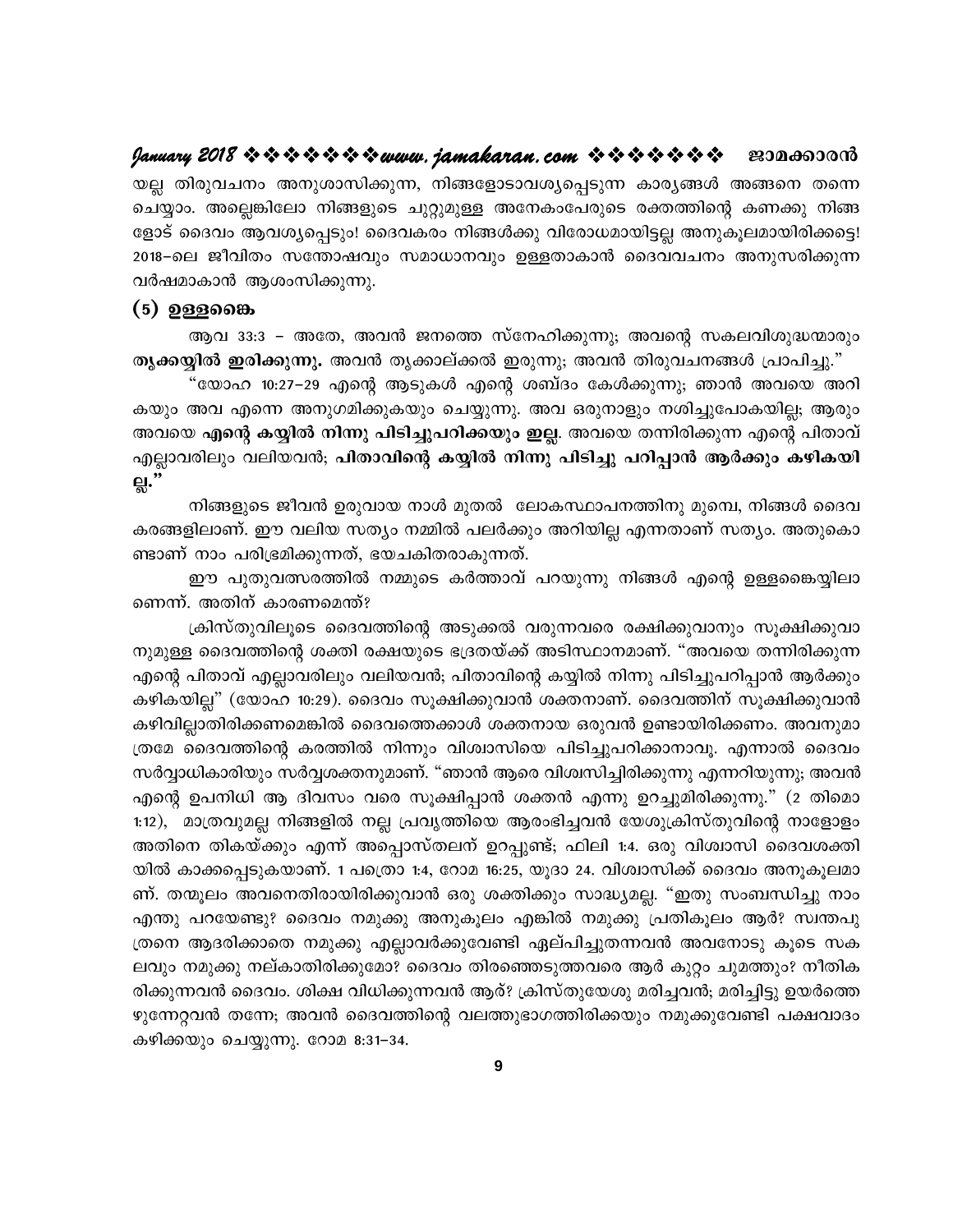യല്ല തിരുവചനം അനുശാസിക്കുന്ന, നിങ്ങളോടാവശ്യപ്പെടുന്ന കാര്യങ്ങൾ അങ്ങനെ തന്നെ ചെയ്യാം. അല്ലെങ്കിലോ നിങ്ങളുടെ ചുറ്റുമുള്ള അനേകംപേരുടെ രക്തത്തിന്റെ കണക്കു നിങ്ങ ളോട് ദൈവം ആവശ്യപ്പെടും! ദൈവകരം നിങ്ങൾക്കു വിരോധമായിട്ടല്ല അനുകൂലമായിരിക്കട്ടെ! 2018–ലെ ജീവിതം സന്തോഷവും സമാധാനവും ഉള്ളതാകാൻ ദൈവവചനം അനുസരിക്കുന്ന വർഷമാകാൻ ആശംസിക്കുന്നു.

#### $(5)$  ഉള്ളജൈ

ആവ 33:3 – അതേ, അവൻ ജനത്തെ സ്നേഹിക്കുന്നു; അവന്റെ സകലവിശുദ്ധന്മാരും തൃക്കയ്യിൽ ഇരിക്കുന്നു. അവൻ തൃക്കാല്ക്കൽ ഇരുന്നു; അവൻ തിരുവചനങ്ങൾ പ്രാപിച്ചു."

"യോഹ 10:27–29 എന്റെ ആടുകൾ എന്റെ ശബ്ദം കേൾക്കുന്നു; ഞാൻ അവയെ അറി കയും അവ എന്നെ അനുഗമിക്കുകയും ചെയ്യുന്നു. അവ ഒരുനാളും നശിച്ചുപോകയില്ല; ആരും അവയെ എന്റെ കയ്യിൽ നിന്നു പിടിച്ചുപറിക്കയും ഇല്ല. അവയെ തന്നിരിക്കുന്ന എന്റെ പിതാവ് എല്ലാവരിലും വലിയവൻ; പിതാവിന്റെ കയ്യിൽ നിന്നു പിടിച്ചു പറിപ്പാൻ ആർക്കും കഴികയി <u>்</u>."

നിങ്ങളുടെ ജീവൻ ഉരുവായ നാൾ മുതൽ ലോകസ്ഥാപനത്തിനു മുമ്പെ, നിങ്ങൾ ദൈവ കരങ്ങളിലാണ്. ഈ വലിയ സത്യം നമ്മിൽ പലർക്കും അറിയില്ല എന്നതാണ് സത്യം. അതുകൊ ണ്ടാണ് നാം പരിഭ്രമിക്കുന്നത്, ഭയചകിതരാകുന്നത്.

ഈ പുതുവത്സരത്തിൽ നമ്മുടെ കർത്താവ് പറയുന്നു നിങ്ങൾ എന്റെ ഉള്ളങ്കൈയ്യിലാ ണെന്ന്. അതിന് കാരണമെന്ത്?

ക്രിസ്തുവിലൂടെ ദൈവത്തിന്റെ അടുക്കൽ വരുന്നവരെ രക്ഷിക്കുവാനും സൂക്ഷിക്കുവാ നുമുള്ള ദൈവത്തിന്റെ ശക്തി രക്ഷയുടെ ഭദ്രതയ്ക്ക് അടിസ്ഥാനമാണ്. "അവയെ തന്നിരിക്കുന്ന എന്റെ പിതാവ് എല്ലാവരിലും വലിയവൻ; പിതാവിന്റെ കയ്യിൽ നിന്നു പിടിച്ചുപറിപ്പാൻ ആർക്കും കഴികയില്ല" (യോഹ 10:29). ദൈവം സൂക്ഷിക്കുവാൻ ശക്തനാണ്. ദൈവത്തിന് സൂക്ഷിക്കുവാൻ കഴിവില്ലാതിരിക്കണമെങ്കിൽ ദൈവത്തെക്കാൾ ശക്തനായ ഒരുവൻ ഉണ്ടായിരിക്കണം. അവനുമാ ത്രമേ ദൈവത്തിന്റെ കരത്തിൽ നിന്നും വിശ്വാസിയെ പിടിച്ചുപറിക്കാനാവൂ. എന്നാൽ ദൈവം സർവ്വാധികാരിയും സർവ്വശക്തനുമാണ്. "ഞാൻ ആരെ വിശ്വസിച്ചിരിക്കുന്നു എന്നറിയുന്നു; അവൻ എന്റെ ഉപനിധി ആ ദിവസം വരെ സൂക്ഷിപ്പാൻ ശക്തൻ എന്നു ഉറച്ചുമിരിക്കുന്നു." (2 തിമൊ 1:12), മാത്രവുമല്ല നിങ്ങളിൽ നല്ല പ്രവൃത്തിയെ ആരംഭിച്ചവൻ യേശുക്രിസ്തുവിന്റെ നാളോളം അതിനെ തികയ്ക്കും എന്ന് അപ്പൊസ്തലന് ഉറപ്പുണ്ട്; ഫിലി 1:4. ഒരു വിശ്വാസി ദൈവശക്തി യിൽ കാക്കപ്പെടുകയാണ്. 1 പത്രൊ 1:4, റോമ 16:25, യൂദാ 24. വിശ്വാസിക്ക് ദൈവം അനൂകൂലമാ ണ്. തന്മൂലം അവനെതിരായിരിക്കുവാൻ ഒരു ശക്തിക്കും സാദ്ധ്യമല്ല. "ഇതു സംബന്ധിച്ചു നാം എന്തു പറയേണ്ടു? ദൈവം നമുക്കു അനുകൂലം എങ്കിൽ നമുക്കു പ്രതികൂലം ആർ? സ്വന്തപു ത്രനെ ആദരിക്കാതെ നമുക്കു എല്ലാവർക്കുവേണ്ടി ഏല്പിച്ചുതന്നവൻ അവനോടു കൂടെ സക ലവും നമുക്കു നല്കാതിരിക്കുമോ? ദൈവം തിരഞ്ഞെടുത്തവരെ ആർ കുറ്റം ചുമത്തും? നീതിക രിക്കുന്നവൻ ദൈവം. ശിക്ഷ വിധിക്കുന്നവൻ ആര്? ക്രിസ്തുയേശു മരിച്ചവൻ; മരിച്ചിട്ടു ഉയർത്തെ ഴുന്നേറ്റവൻ തന്നേ; അവൻ ദൈവത്തിന്റെ വലത്തുഭാഗത്തിരിക്കയും നമുക്കുവേണ്ടി പക്ഷവാദം കഴിക്കയും ചെയ്യുന്നു. റോമ 8:31–34.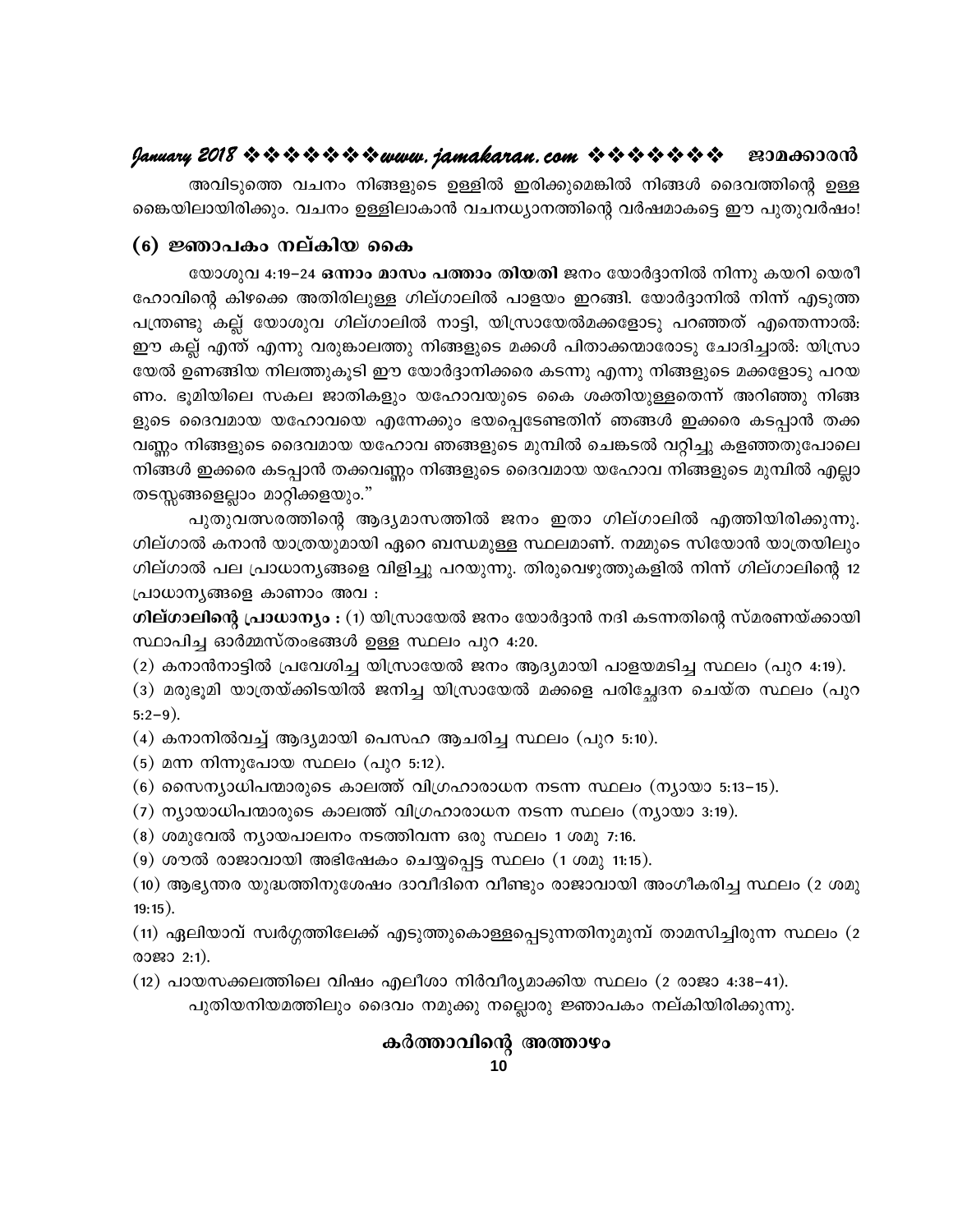അവിടുത്തെ വചനം നിങ്ങളുടെ ഉള്ളിൽ ഇരിക്കുമെങ്കിൽ നിങ്ങൾ ദൈവത്തിന്റെ ഉള്ള ങൈയിലായിരിക്കും. വചനം ഉള്ളിലാകാൻ വചനധ്യാനത്തിന്റെ വർഷമാകട്ടെ ഈ പുതുവർഷം!

### (6) ജ്ഞാപകം നല്കിയ കൈ

യോശുവ 4:19−24 ഒന്നാം മാസം പത്താം തിയതി ജനം യോർദ്ദാനിൽ നിന്നു കയറി യെരീ ഹോവിന്റെ കിഴക്കെ അതിരിലുള്ള ഗില്ഗാലിൽ പാളയം ഇറങ്ങി. യോർദ്ദാനിൽ നിന്ന് എടുത്ത പന്ത്രണ്ടു കല്ല് യോശുവ ഗില്ഗാലിൽ നാട്ടി, യിസ്രായേൽമക്കളോടു പറഞ്ഞത് എന്തെന്നാൽ: ഈ കല്ല് എന്ത് എന്നു വരുങ്കാലത്തു നിങ്ങളുടെ മക്കൾ പിതാക്കന്മാരോടു ചോദിച്ചാൽ: യിസ്രാ യേൽ ഉണങ്ങിയ നിലത്തുകൂടി ഈ യോർദ്ദാനിക്കരെ കടന്നു എന്നു നിങ്ങളുടെ മക്കളോടു പറയ ണം. ഭുമിയിലെ സകല ജാതികളും യഹോവയുടെ കൈ ശക്തിയുള്ളതെന്ന് അറിഞ്ഞു നിങ്ങ ളുടെ ദൈവമായ യഹോവയെ എന്നേക്കും ഭയപ്പെടേണ്ടതിന് ഞങ്ങൾ ഇക്കരെ കടപ്പാൻ തക്ക വണ്ണം നിങ്ങളുടെ ദൈവമായ യഹോവ ഞങ്ങളുടെ മുമ്പിൽ ചെങ്കടൽ വറ്റിച്ചു കളഞ്ഞതുപോലെ നിങ്ങൾ ഇക്കരെ കടപ്പാൻ തക്കവണ്ണം നിങ്ങളുടെ ദൈവമായ യഹോവ നിങ്ങളുടെ മുമ്പിൽ എല്ലാ തടസ്സങ്ങളെല്ലാം മാറ്റിക്കളയും."

പുതുവത്സരത്തിന്റെ ആദ്യമാസത്തിൽ ജനം ഇതാ ഗില്ഗാലിൽ എത്തിയിരിക്കുന്നു. ഗില്ഗാൽ കനാൻ യാത്രയുമായി ഏറെ ബന്ധമുള്ള സ്ഥലമാണ്. നമ്മുടെ സിയോൻ യാത്രയിലും ഗില്ഗാൽ പല പ്രാധാനൃങ്ങളെ വിളിച്ചു പറയുന്നു. തിരുവെഴുത്തുകളിൽ നിന്ന് ഗില്ഗാലിന്റെ 12 പ്രാധാന്യങ്ങളെ കാണാം അവ :

ഗില്ഗാലിന്റെ പ്രാധാന്യം : (1) യിസ്രായേൽ ജനം യോർദ്ദാൻ നദി കടന്നതിന്റെ സ്മരണയ്ക്കായി സ്ഥാപിച്ച ഓർമ്മസ്തംഭങ്ങൾ ഉള്ള സ്ഥലം പുറ 4:20.

(2) കനാൻനാട്ടിൽ പ്രവേശിച്ച യിസ്രായേൽ ജനം ആദ്യമായി പാളയമടിച്ച സ്ഥലം (പുറ 4:19).

(3) മരുഭൂമി യാത്രയ്ക്കിടയിൽ ജനിച്ച യിസ്രായേൽ മക്കളെ പരിച്ഛേദന ചെയ്ത സ്ഥലം (പുറ  $5:2-9$ ).

(4) കനാനിൽവച്ച് ആദ്യമായി പെസഹ ആചരിച്ച സ്ഥലം (പുറ 5:10).

(5) മന്ന നിന്നുപോയ സ്ഥലം (പുറ 5:12).

(6) സൈന്യാധിപന്മാരുടെ കാലത്ത് വിഗ്രഹാരാധന നടന്ന സ്ഥലം (ന്യായാ 5:13–15).

- (7) ന്യായാധിപന്മാരുടെ കാലത്ത് വിഗ്രഹാരാധന നടന്ന സ്ഥലം (ന്യായാ 3:19).
- (8) ശമുവേൽ ന്യായപാലനം നടത്തിവന്ന ഒരു സ്ഥലം 1 ശമു 7:16.

(9) ശൗൽ രാജാവായി അഭിഷേകം ചെയ്യപ്പെട്ട സ്ഥലം (1 ശമു 11:15).

(10) ആഭ്യന്തര യുദ്ധത്തിനുശേഷം ദാവീദിനെ വീണ്ടും രാജാവായി അംഗീകരിച്ച സ്ഥലം (2 ശമു  $19:15$ ).

(11) ഏലിയാവ് സ്വർഗ്ഗത്തിലേക്ക് എടുത്തുകൊള്ളപ്പെടുന്നതിനുമുമ്പ് താമസിച്ചിരുന്ന സ്ഥലം (2 രാജാ 2:1).

(12) പായസക്കലത്തിലെ വിഷം എലീശാ നിർവീര്യമാക്കിയ സ്ഥലം (2 രാജാ 4:38–41).

പുതിയനിയമത്തിലും ദൈവം നമുക്കു നല്ലൊരു ജ്ഞാപകം നല്കിയിരിക്കുന്നു.

## കർത്താവിന്റെ അത്താഴം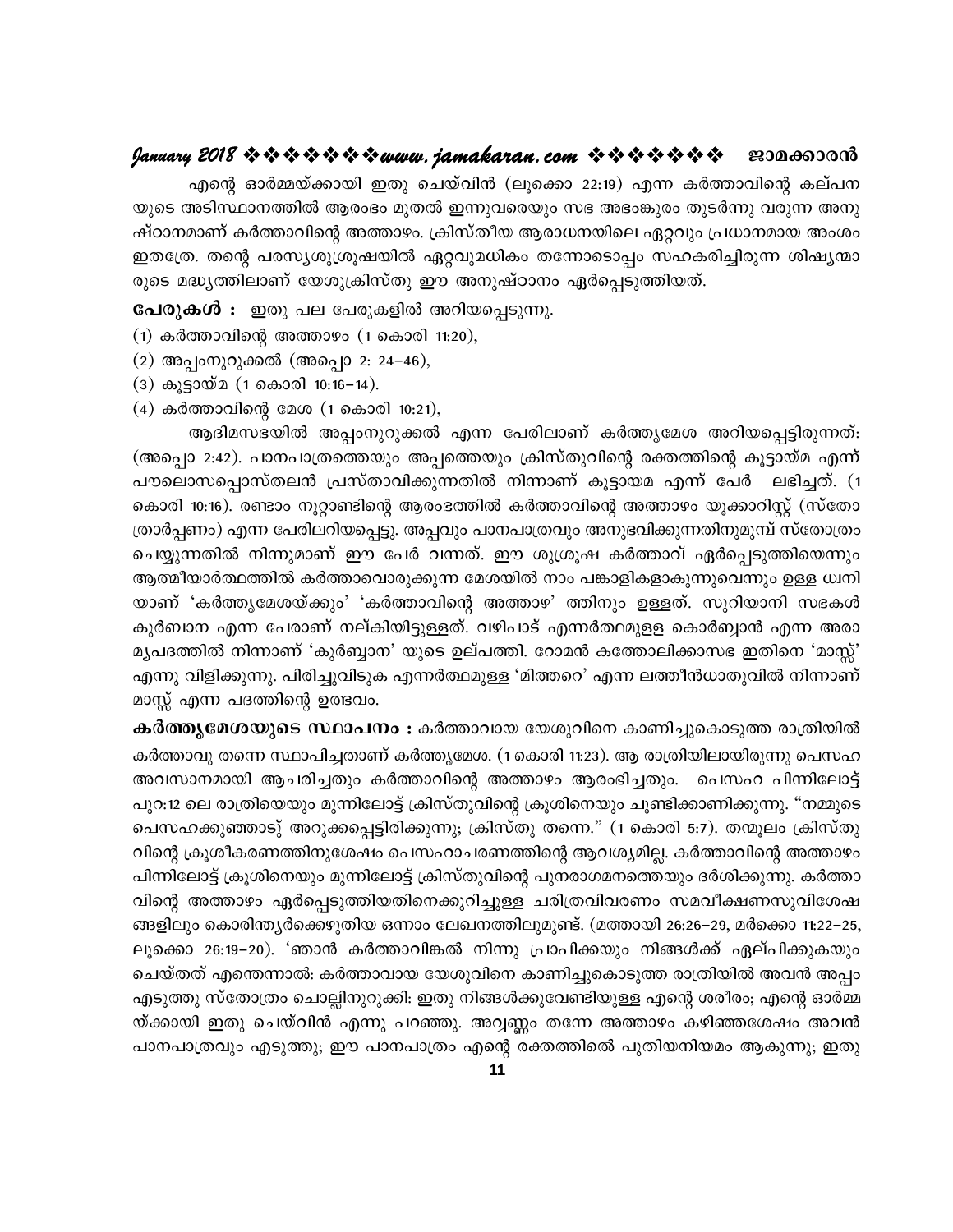എന്റെ ഓർമ്മയ്ക്കായി ഇതു ചെയ്വിൻ (ലൂക്കൊ 22:19) എന്ന കർത്താവിന്റെ കല്പന യുടെ അടിസ്ഥാനത്തിൽ ആരംഭം മുതൽ ഇന്നുവരെയും സഭ അഭംങ്കുരം തുടർന്നു വരുന്ന അനു ഷ്ഠാനമാണ് കർത്താവിന്റെ അത്താഴം. ക്രിസ്തീയ ആരാധനയിലെ ഏറ്റവും പ്രധാനമായ അംശം ഇതത്രേ. തന്റെ പരസ്യശുശ്രൂഷയിൽ ഏറ്റവുമധികം തന്നോടൊപ്പം സഹകരിച്ചിരുന്ന ശിഷ്യന്മാ രുടെ മദ്ധ്യത്തിലാണ് യേശുക്രിസ്തു ഈ അനുഷ്ഠാനം ഏർപ്പെടുത്തിയത്.

പേരുകൾ : ഇതു പല പേരുകളിൽ അറിയപ്പെടുന്നു.

- $(1)$  കർത്താവിന്റെ അത്താഴം  $(1 \text{ a}$ കാരി 11:20),
- $(2)$  അപ്പംനുറുക്കൽ (അപ്പൊ 2: 24–46),
- (3) കൂട്ടായ്മ (1 കൊരി 10:16-14).
- $(4)$  കർത്താവിന്റെ മേശ  $(1 \text{ a}$ കാരി 10:21),

ആദിമസഭയിൽ അപ്പംനുറുക്കൽ എന്ന പേരിലാണ് കർത്തൃമേശ അറിയപ്പെട്ടിരുന്നത്: (അപ്പൊ 2:42). പാനപാത്രത്തെയും അപ്പത്തെയും ക്രിസ്തുവിന്റെ രക്തത്തിന്റെ കൂട്ടായ്മ എന്ന് പൗലൊസപ്പൊസ്തലൻ പ്രസ്താവിക്കുന്നതിൽ നിന്നാണ് കൂട്ടായമ എന്ന് പേർ ലഭിച്ചത്. (1 കൊരി 10:16). രണ്ടാം നൂറ്റാണ്ടിന്റെ ആരംഭത്തിൽ കർത്താവിന്റെ അത്താഴം യൂക്കാറിസ്റ്റ് (സ്തോ ത്രാർപ്പണം) എന്ന പേരിലറിയപ്പെട്ടു. അപ്പവും പാനപാത്രവും അനുഭവിക്കുന്നതിനുമുമ്പ് സ്തോത്രം ചെയ്യുന്നതിൽ നിന്നുമാണ് ഈ പേർ വന്നത്. ഈ ശുശ്രൂഷ കർത്താവ് ഏർപ്പെടുത്തിയെന്നും ആത്മീയാർത്ഥത്തിൽ കർത്താവൊരുക്കുന്ന മേശയിൽ നാം പങ്കാളികളാകുന്നുവെന്നും ഉള്ള ധ്വനി യാണ് 'കർത്തൃമേശയ്ക്കും' 'കർത്താവിന്റെ അത്താഴ' ത്തിനും ഉള്ളത്. സുറിയാനി സഭകൾ കുർബാന എന്ന പേരാണ് നല്കിയിട്ടുള്ളത്. വഴിപാട് എന്നർത്ഥമുളള കൊർബ്ബാൻ എന്ന അരാ മൃപദത്തിൽ നിന്നാണ് 'കുർബ്ബാന' യുടെ ഉല്പത്തി. റോമൻ കത്തോലിക്കാസഭ ഇതിനെ 'മാസ്സ്' എന്നു വിളിക്കുന്നു. പിരിച്ചുവിടുക എന്നർത്ഥമുള്ള 'മിത്തറെ' എന്ന ലത്തീൻധാതുവിൽ നിന്നാണ് മാസ്സ് എന്ന പദത്തിന്റെ ഉത്ഭവം.

**കർത്തൃമേശയുടെ സ്ഥാപനം :** കർത്താവായ യേശുവിനെ കാണിച്ചുകൊടുത്ത രാത്രിയിൽ കർത്താവു തന്നെ സ്ഥാപിച്ചതാണ് കർത്തൃമേശ. (1കൊരി 11:23). ആ രാത്രിയിലായിരുന്നു പെസഹ അവസാനമായി ആചരിച്ചതും കർത്താവിന്റെ അത്താഴം ആരംഭിച്ചതും. പെസഹ പിന്നിലോട്ട് പുറ:12 ലെ രാത്രിയെയും മുന്നിലോട്ട് ക്രിസ്തുവിന്റെ ക്രൂശിനെയും ചൂണ്ടിക്കാണിക്കുന്നു. "നമ്മുടെ പെസഹക്കുഞ്ഞാടു് അറുക്കപ്പെട്ടിരിക്കുന്നു; ക്രിസ്തു തന്നെ." (1 കൊരി 5:7). തന്മൂലം ക്രിസ്തു വിന്റെ ക്രൂശീകരണത്തിനുശേഷം പെസഹാചരണത്തിന്റെ ആവശ്യമില്ല. കർത്താവിന്റെ അത്താഴം പിന്നിലോട്ട് ക്രൂശിനെയും മുന്നിലോട്ട് ക്രിസ്തുവിന്റെ പുനരാഗമനത്തെയും ദർശിക്കുന്നു. കർത്താ വിന്റെ അത്താഴം ഏർപ്പെടുത്തിയതിനെക്കുറിച്ചുള്ള ചരിത്രവിവരണം സമവീക്ഷണസുവിശേഷ ങ്ങളിലും കൊരിന്തൃർക്കെഴുതിയ ഒന്നാം ലേഖനത്തിലുമുണ്ട്. (മത്തായി 26:26–29, മർക്കൊ 11:22–25, ലൂക്കൊ 26:19–20). 'ഞാൻ കർത്താവിങ്കൽ നിന്നു പ്രാപിക്കയും നിങ്ങൾക്ക് ഏല്പിക്കുകയും ചെയ്തത് എന്തെന്നാൽ: കർത്താവായ യേശുവിനെ കാണിച്ചുകൊടുത്ത രാത്രിയിൽ അവൻ അപ്പം എടുത്തു സ്തോത്രം ചൊല്ലിനുറുക്കി: ഇതു നിങ്ങൾക്കുവേണ്ടിയുള്ള എന്റെ ശരീരം; എന്റെ ഓർമ്മ യ്ക്കായി ഇതു ചെയ്വിൻ എന്നു പറഞ്ഞു. അവ്വണ്ണം തന്നേ അത്താഴം കഴിഞ്ഞശേഷം അവൻ പാനപാത്രവും എടുത്തു; ഈ പാനപാത്രം എന്റെ രക്തത്തിതെ പുതിയനിയമം ആകുന്നു; ഇതു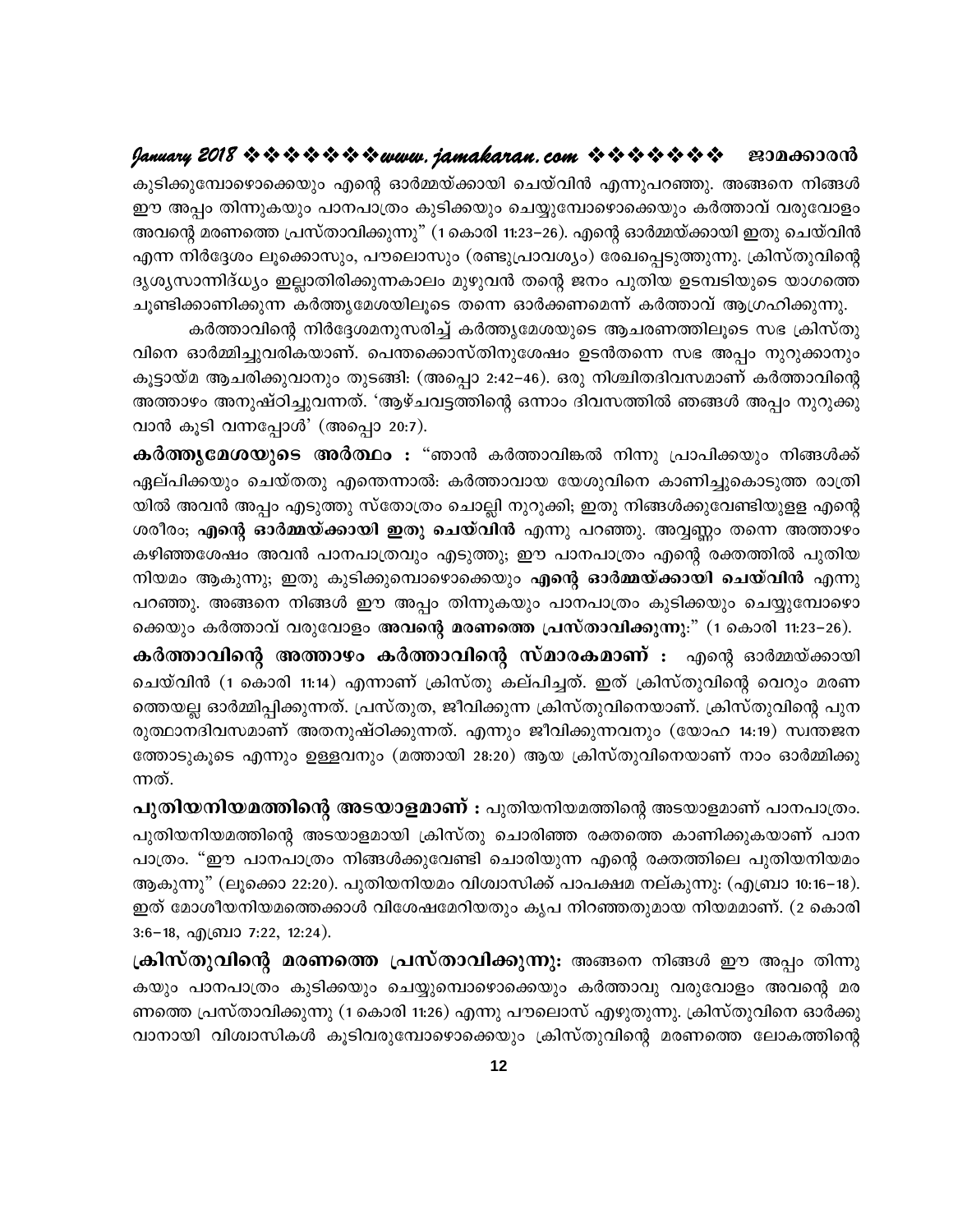കുടിക്കുമ്പോഴൊക്കെയും എന്റെ ഓർമ്മയ്ക്കായി ചെയ്വിൻ എന്നുപറഞ്ഞു. അങ്ങനെ നിങ്ങൾ ഈ അപ്പം തിന്നുകയും പാനപാത്രം കുടിക്കയും ചെയ്യുമ്പോഴൊക്കെയും കർത്താവ് വരുവോളം അവന്റെ മരണത്തെ പ്രസ്താവിക്കുന്നു" (1 കൊരി 11:23–26). എന്റെ ഓർമ്മയ്ക്കായി ഇതു ചെയ്വിൻ എന്ന നിർദ്ദേശം ലൂക്കൊസും, പൗലൊസും (രണ്ടുപ്രാവശ്യം) രേഖപ്പെടുത്തുന്നു. ക്രിസ്തുവിന്റെ ദൃശൃസാന്നിദ്ധ്യം ഇല്ലാതിരിക്കുന്നകാലം മുഴുവൻ തന്റെ ജനം പുതിയ ഉടമ്പടിയുടെ യാഗത്തെ ചുണ്ടിക്കാണിക്കുന്ന കർത്തൃമേശയിലൂടെ തന്നെ ഓർക്കണമെന്ന് കർത്താവ് ആഗ്രഹിക്കുന്നു.

കർത്താവിന്റെ നിർദ്ദേശമനുസരിച്ച് കർത്തൃമേശയുടെ ആചരണത്തിലൂടെ സഭ ക്രിസ്തു വിനെ ഓർമ്മിച്ചുവരികയാണ്. പെന്തക്കൊസ്തിനുശേഷം ഉടൻതന്നെ സഭ അപ്പം നുറുക്കാനും കൂട്ടായ്മ ആചരിക്കുവാനും തുടങ്ങി: (അപ്പൊ 2:42–46). ഒരു നിശ്ചിതദിവസമാണ് കർത്താവിന്റെ അത്താഴം അനുഷ്ഠിച്ചുവന്നത്. 'ആഴ്ചവട്ടത്തിന്റെ ഒന്നാം ദിവസത്തിൽ ഞങ്ങൾ അപ്പം നുറുക്കു വാൻ കൂടി വന്നപ്പോൾ' (അപ്പൊ 20:7).

**കർത്തൃമേശയുടെ അർത്ഥം :** "ഞാൻ കർത്താവിങ്കൽ നിന്നു പ്രാപിക്കയും നിങ്ങൾക്ക് ഏല്പിക്കയും ചെയ്തതു എന്തെന്നാൽ: കർത്താവായ യേശുവിനെ കാണിച്ചുകൊടുത്ത രാത്രി യിൽ അവൻ അപ്പം എടുത്തു സ്തോത്രം ചൊല്ലി നുറുക്കി; ഇതു നിങ്ങൾക്കുവേണ്ടിയുളള എന്റെ ശരീരം; എന്റെ ഓർമ്മയ്ക്കായി ഇതു ചെയ്വിൻ എന്നു പറഞ്ഞു. അവ്വണ്ണം തന്നെ അത്താഴം കഴിഞ്ഞശേഷം അവൻ പാനപാത്രവും എടുത്തു; ഈ പാനപാത്രം എന്റെ രക്തത്തിൽ പുതിയ നിയമം ആകുന്നു; ഇതു കുടിക്കുമ്പൊഴൊക്കെയും **എന്റെ ഓർമ്മയ്ക്കായി ചെയ്വിൻ** എന്നു പറഞ്ഞു. അങ്ങനെ നിങ്ങൾ ഈ അപ്പം തിന്നുകയും പാനപാത്രം കുടിക്കയും ചെയ്യുമ്പോഴൊ ക്കെയും കർത്താവ് വരുവോളം അവന്റെ മരണത്തെ പ്രസ്താവിക്കുന്നു:" (1 കൊരി 11:23–26).

കർത്താവിന്റെ അത്താഴം കർത്താവിന്റെ സ്മാരകമാണ് : എന്റെ ഓർമ്മയ്ക്കായി ചെയ്വിൻ (1 കൊരി 11:14) എന്നാണ് ക്രിസ്തു കല്പിച്ചത്. ഇത് ക്രിസ്തുവിന്റെ വെറും മരണ ത്തെയല്ല ഓർമ്മിപ്പിക്കുന്നത്. പ്രസ്തുത, ജീവിക്കുന്ന ക്രിസ്തുവിനെയാണ്. ക്രിസ്തുവിന്റെ പുന രുത്ഥാനദിവസമാണ് അതനുഷ്ഠിക്കുന്നത്. എന്നും ജീവിക്കുന്നവനും (യോഹ 14:19) സ്വന്തജന ത്തോടുകുടെ എന്നും ഉള്ളവനും (മത്തായി 28:20) ആയ ക്രിസ്തുവിനെയാണ് നാം ഓർമ്മിക്കു ന്നത്.

പുതിയനിയമത്തിന്റെ അടയാളമാണ് : പുതിയനിയമത്തിന്റെ അടയാളമാണ് പാനപാത്രം. പുതിയനിയമത്തിന്റെ അടയാളമായി ക്രിസ്തു ചൊരിഞ്ഞ രക്തത്തെ കാണിക്കുകയാണ് പാന പാത്രം. "ഈ പാനപാത്രം നിങ്ങൾക്കുവേണ്ടി ചൊരിയുന്ന എന്റെ രക്തത്തിലെ പുതിയനിയമം ആകുന്നു" (ലൂക്കൊ 22:20). പുതിയനിയമം വിശ്വാസിക്ക് പാപക്ഷമ നല്കുന്നു: (എബ്രാ 10:16–18). ഇത് മോശീയനിയമത്തെക്കാൾ വിശേഷമേറിയതും കൃപ നിറഞ്ഞതുമായ നിയമമാണ്. (2 കൊരി 3:6-18, എബ്രാ 7:22, 12:24).

ക്രിസ്തുവിന്റെ മരണത്തെ പ്രസ്താവിക്കുന്നു: അങ്ങനെ നിങ്ങൾ ഈ അപ്പം തിന്നു കയും പാനപാത്രം കുടിക്കയും ചെയ്യുമ്പൊഴൊക്കെയും കർത്താവു വരുവോളം അവന്റെ മര ണത്തെ പ്രസ്താവിക്കുന്നു (1 കൊരി 11:26) എന്നു പൗലൊസ് എഴുതുന്നു. ക്രിസ്തുവിനെ ഓർക്കു വാനായി വിശ്വാസികൾ കൂടിവരുമ്പോഴൊക്കെയും ക്രിസ്തുവിന്റെ മരണത്തെ ലോകത്തിന്റെ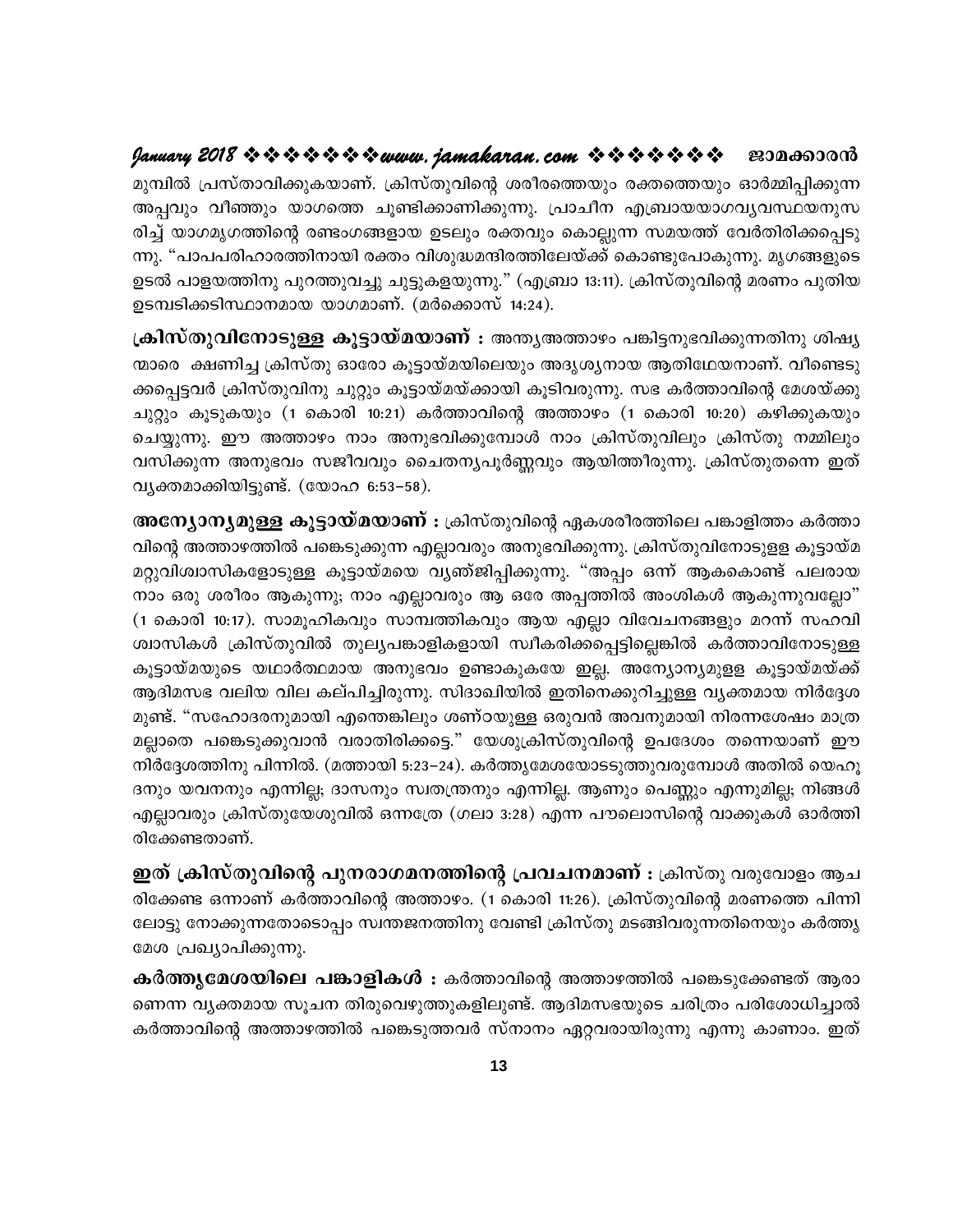മുമ്പിൽ പ്രസ്താവിക്കുകയാണ്. ക്രിസ്തുവിന്റെ ശരീരത്തെയും രക്തത്തെയും ഓർമ്മിപ്പിക്കുന്ന അപ്പവും വീഞ്ഞും യാഗത്തെ ചൂണ്ടിക്കാണിക്കുന്നു. പ്രാചീന എബ്രായയാഗവൃവസ്ഥയനുസ രിച്ച് യാഗമൃഗത്തിന്റെ രണ്ടംഗങ്ങളായ ഉടലും രക്തവും കൊല്ലുന്ന സമയത്ത് വേർതിരിക്കപ്പെടു ന്നു. "പാപപരിഹാരത്തിനായി രക്തം വിശുദ്ധമന്ദിരത്തിലേയ്ക്ക് കൊണ്ടുപോകുന്നു. മൃഗങ്ങളുടെ ഉടൽ പാളയത്തിനു പുറത്തുവച്ചു ചുട്ടുകളയുന്നു." (എബ്രാ 13:11). ക്രിസ്തുവിന്റെ മരണം പുതിയ ഉടമ്പടിക്കടിസ്ഥാനമായ യാഗമാണ്. (മർക്കൊസ് 14:24).

ക്രിസ്തുവിനോടുള്ള കൂട്ടായ്മയാണ് : അന്തൃഅത്താഴം പങ്കിട്ടനുഭവിക്കുന്നതിനു ശിഷ്യ ന്മാരെ ക്ഷണിച്ച ക്രിസ്തു ഓരോ കൂട്ടായ്മയിലെയും അദൃശൃനായ ആതിഥേയനാണ്. വീണ്ടെടു ക്കപ്പെട്ടവർ ക്രിസ്തുവിനു ചുറ്റും കൂട്ടായ്മയ്ക്കായി കൂടിവരുന്നു. സഭ കർത്താവിന്റെ മേശയ്ക്കു ചുറ്റും കൂടുകയും (1 കൊരി 10:21) കർത്താവിന്റെ അത്താഴം (1 കൊരി 10:20) കഴിക്കുകയും ചെയ്യുന്നു. ഈ അത്താഴം നാം അനുഭവിക്കുമ്പോൾ നാം ക്രിസ്തുവിലും ക്രിസ്തു നമ്മിലും വസിക്കുന്ന അനുഭവം സജീവവും ചൈതന്യപൂർണ്ണവും ആയിത്തീരുന്നു. ക്രിസ്തുതന്നെ ഇത് വൃക്തമാക്കിയിട്ടുണ്ട്. (യോഹ 6:53–58).

**അന്യോനൃമുള്ള കൂട്ടായ്മയാണ് :** ക്രിസ്തുവിന്റെ ഏകശരീരത്തിലെ പങ്കാളിത്തം കർത്താ വിന്റെ അത്താഴത്തിൽ പങ്കെടുക്കുന്ന എല്ലാവരും അനുഭവിക്കുന്നു. ക്രിസ്തുവിനോടുളള കൂട്ടായ്മ മറ്റുവിശ്വാസികളോടുള്ള കൂട്ടായ്മയെ വൃഞ്ജിപ്പിക്കുന്നു. "അപ്പം ഒന്ന് ആകകൊണ്ട് പലരായ നാം ഒരു ശരീരം ആകുന്നു; നാം എല്ലാവരും ആ ഒരേ അപ്പത്തിൽ അംശികൾ ആകുന്നുവല്ലോ" (1 കൊരി 10:17). സാമൂഹികവും സാമ്പത്തികവും ആയ എല്ലാ വിവേചനങ്ങളും മറന്ന് സഹവി ശ്വാസികൾ ക്രിസ്തുവിൽ തുലൃപങ്കാളികളായി സ്വീകരിക്കപ്പെട്ടില്ലെങ്കിൽ കർത്താവിനോടുള്ള കൂട്ടായ്മയുടെ യഥാർത്ഥമായ അനുഭവം ഉണ്ടാകുകയേ ഇല്ല. അന്യോന്യമുളള കൂട്ടായ്മയ്ക്ക് ആദിമസഭ വലിയ വില കല്പിച്ചിരുന്നു. സിദാഖിയിൽ ഇതിനെക്കുറിച്ചുള്ള വൃക്തമായ നിർദ്ദേശ മുണ്ട്. "സഹോദരനുമായി എന്തെങ്കിലും ശണ്ഠയുള്ള ഒരുവൻ അവനുമായി നിരന്നശേഷം മാത്ര മല്ലാതെ പങ്കെടുക്കുവാൻ വരാതിരിക്കട്ടെ." യേശുക്രിസ്തുവിന്റെ ഉപദേശം തന്നെയാണ് ഈ നിർദ്ദേശത്തിനു പിന്നിൽ. (മത്തായി 5:23–24). കർത്തൃമേശയോടടുത്തുവരുമ്പോൾ അതിൽ യെഹൂ ദനും യവനനും എന്നില്ല; ദാസനും സ്വതന്ത്രനും എന്നില്ല. ആണും പെണ്ണും എന്നുമില്ല; നിങ്ങൾ എല്ലാവരും ക്രിസ്തുയേശുവിൽ ഒന്നത്രേ (ഗലാ 3:28) എന്ന പൗലൊസിന്റെ വാക്കുകൾ ഓർത്തി രിക്കേണ്ടതാണ്.

ഇത് ക്രിസ്തുവിന്റെ പുനരാഗമനത്തിന്റെ പ്രവചനമാണ് : ക്രിസ്തു വരുവോളം ആച രിക്കേണ്ട ഒന്നാണ് കർത്താവിന്റെ അത്താഴം. (1 കൊരി 11:26). ക്രിസ്തുവിന്റെ മരണത്തെ പിന്നി ലോട്ടു നോക്കുന്നതോടൊപ്പം സ്വന്തജനത്തിനു വേണ്ടി ക്രിസ്തു മടങ്ങിവരുന്നതിനെയും കർത്തൃ മേശ പ്രഖ്യാപിക്കുന്നു.

കർത്തൃമേശയിലെ പങ്കാളികൾ : കർത്താവിന്റെ അത്താഴത്തിൽ പങ്കെടുക്കേണ്ടത് ആരാ ണെന്ന വൃക്തമായ സൂചന തിരുവെഴുത്തുകളിലുണ്ട്. ആദിമസഭയുടെ ചരിത്രം പരിശോധിച്ചാൽ കർത്താവിന്റെ അത്താഴത്തിൽ പങ്കെടുത്തവർ സ്നാനം ഏറ്റവരായിരുന്നു എന്നു കാണാം. ഇത്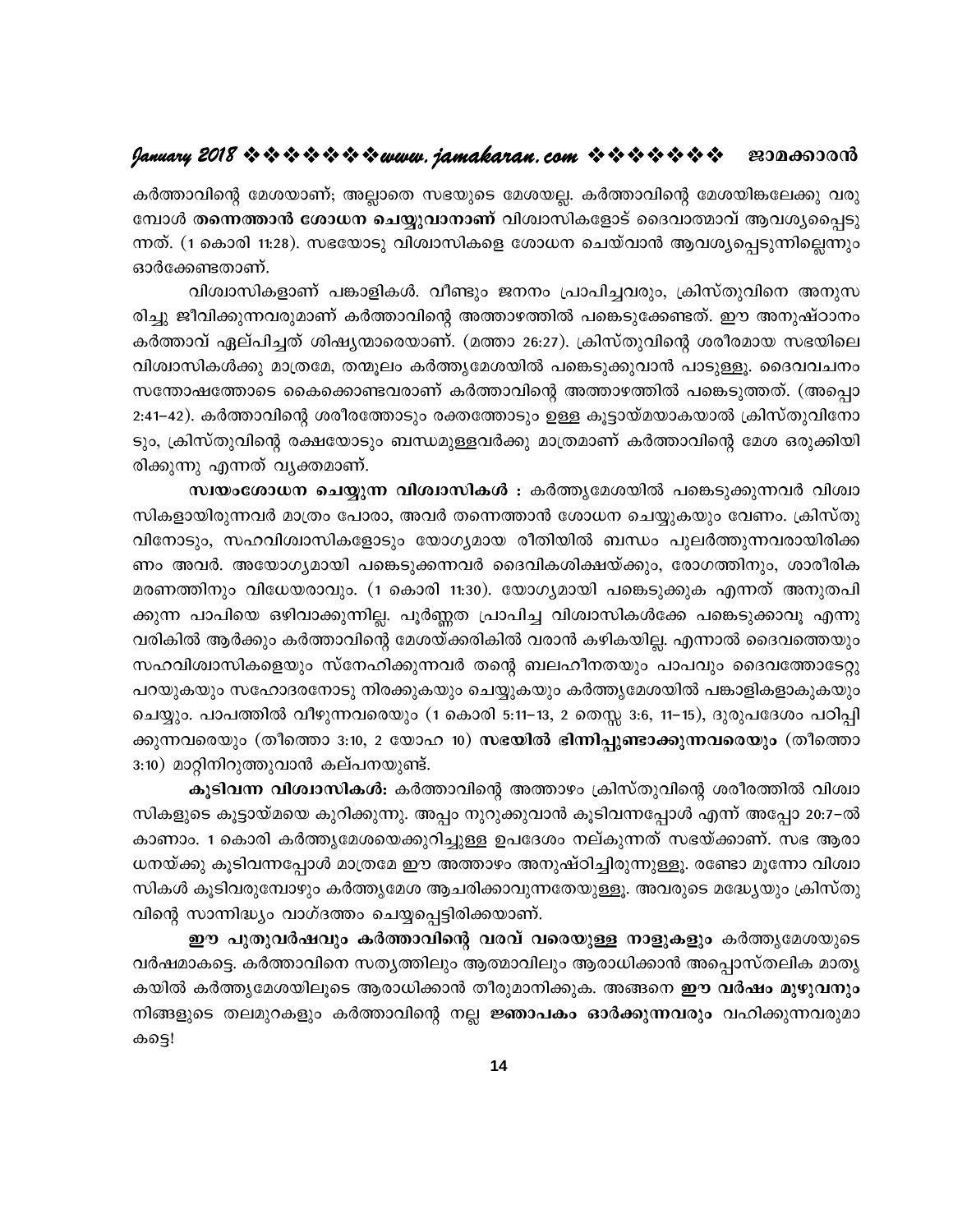കർത്താവിന്റെ മേശയാണ്; അല്ലാതെ സഭയുടെ മേശയല്ല. കർത്താവിന്റെ മേശയിങ്കലേക്കു വരു മ്പോൾ തന്നെത്താൻ ശോധന ചെയ്യുവാനാണ് വിശ്വാസികളോട് ദൈവാത്മാവ് ആവശ്യപ്പൈടു ന്നത്. (1 കൊരി 11:28). സഭയോടു വിശ്വാസികളെ ശോധന ചെയ്വാൻ ആവശ്യപ്പെടുന്നില്ലെന്നും ഓർക്കേണ്ടതാണ്.

വിശ്വാസികളാണ് പങ്കാളികൾ. വീണ്ടും ജനനം പ്രാപിച്ചവരും, ക്രിസ്തുവിനെ അനുസ രിച്ചു ജീവിക്കുന്നവരുമാണ് കർത്താവിന്റെ അത്താഴത്തിൽ പങ്കെടുക്കേണ്ടത്. ഈ അനുഷ്ഠാനം കർത്താവ് ഏല്പിച്ചത് ശിഷ്യന്മാരെയാണ്. (മത്താ 26:27). ക്രിസ്തുവിന്റെ ശരീരമായ സഭയിലെ വിശ്വാസികൾക്കു മാത്രമേ, തന്മൂലം കർത്തൃമേശയിൽ പങ്കെടുക്കുവാൻ പാടുള്ളൂ. ദൈവവചനം സന്തോഷത്തോടെ കൈക്കൊണ്ടവരാണ് കർത്താവിന്റെ അത്താഴത്തിൽ പങ്കെടുത്തത്. (അപ്പൊ 2:41–42). കർത്താവിന്റെ ശരീരത്തോടും രക്തത്തോടും ഉള്ള കൂട്ടായ്മയാകയാൽ ക്രിസ്തുവിനോ ടും, ക്രിസ്തുവിന്റെ രക്ഷയോടും ബന്ധമുള്ളവർക്കു മാത്രമാണ് കർത്താവിന്റെ മേശ ഒരുക്കിയി രിക്കുന്നു എന്നത് വ്യക്തമാണ്.

സ്ഥയംശോധന ചെയ്യുന്ന വിശ്വാസികൾ : കർത്തൃമേശയിൽ പങ്കെടുക്കുന്നവർ വിശ്വാ സികളായിരുന്നവർ മാത്രം പോരാ, അവർ തന്നെത്താൻ ശോധന ചെയ്യുകയും വേണം. ക്രിസ്തു വിനോടും, സഹവിശ്വാസികളോടും യോഗ്യമായ രീതിയിൽ ബന്ധം പുലർത്തുന്നവരായിരിക്ക ണം അവർ. അയോഗ്യമായി പങ്കെടുക്കന്നവർ ദൈവികശിക്ഷയ്ക്കും, രോഗത്തിനും, ശാരീരിക മരണത്തിനും വിധേയരാവും. (1 കൊരി 11:30). യോഗ്യമായി പങ്കെടുക്കുക എന്നത് അനുതപി ക്കുന്ന പാപിയെ ഒഴിവാക്കുന്നില്ല. പൂർണ്ണത പ്രാപിച്ച വിശ്വാസികൾക്കേ പങ്കെടുക്കാവൂ എന്നു വരികിൽ ആർക്കും കർത്താവിന്റെ മേശയ്ക്കരികിൽ വരാൻ കഴികയില്ല. എന്നാൽ ദൈവത്തെയും സഹവിശ്വാസികളെയും സ്നേഹിക്കുന്നവർ തന്റെ ബലഹീനതയും പാപവും ദൈവത്തോടേറ്റു പറയുകയും സഹോദരനോടു നിരക്കുകയും ചെയ്യുകയും കർത്തൃമേശയിൽ പങ്കാളികളാകുകയും ചെയ്യും. പാപത്തിൽ വീഴുന്നവരെയും (1 കൊരി 5:11–13, 2 തെസ്സ 3:6, 11–15), ദുരുപദേശം പഠിപ്പി ക്കുന്നവരെയും (തീത്തൊ 3:10, 2 യോഹ 10) <mark>സഭയിൽ ഭിന്നിപ്പുണ്ടാക്കുന്നവരെയും</mark> (തീത്തൊ 3:10) മാറ്റിനിറുത്തുവാൻ കല്പനയുണ്ട്.

കൂടിവന്ന വിശ്വാസികൾ: കർത്താവിന്റെ അത്താഴം ക്രിസ്തുവിന്റെ ശരീരത്തിൽ വിശ്വാ സികളുടെ കൂട്ടായ്മയെ കുറിക്കുന്നു. അപ്പം നുറുക്കുവാൻ കൂടിവന്നപ്പോൾ എന്ന് അപ്പോ 20:7–ൽ കാണാം. 1 കൊരി കർത്തൃമേശയെക്കുറിച്ചുള്ള ഉപദേശം നല്കുന്നത് സഭയ്ക്കാണ്. സഭ ആരാ ധനയ്ക്കു കൂടിവന്നപ്പോൾ മാത്രമേ ഈ അത്താഴം അനുഷ്ഠിച്ചിരുന്നുള്ളൂ. രണ്ടോ മൂന്നോ വിശ്വാ സികൾ കൂടിവരുമ്പോഴും കർത്തൃമേശ ആചരിക്കാവുന്നതേയുള്ളൂ. അവരുടെ മദ്ധ്യേയും ക്രിസ്തു വിന്റെ സാന്നിദ്ധ്യം വാഗ്ദത്തം ചെയ്യപ്പെട്ടിരിക്കയാണ്.

ഈ പുതുവർഷവും കർത്താവിന്റെ വരവ് വരെയുള്ള നാളുകളും കർത്തൃമേശയുടെ വർഷമാകട്ടെ. കർത്താവിനെ സതൃത്തിലും ആത്മാവിലും ആരാധിക്കാൻ അപ്പൊസ്തലിക മാതൃ കയിൽ കർത്തൃമേശയിലൂടെ ആരാധിക്കാൻ തീരുമാനിക്കുക. അങ്ങനെ **ഈ വർഷം മുഴുവനും** നിങ്ങളുടെ തലമുറകളും കർത്താവിന്റെ നല്ല **ജ്ഞാപകം ഓർക്കുന്നവരും** വഹിക്കുന്നവരുമാ കട്ടെ!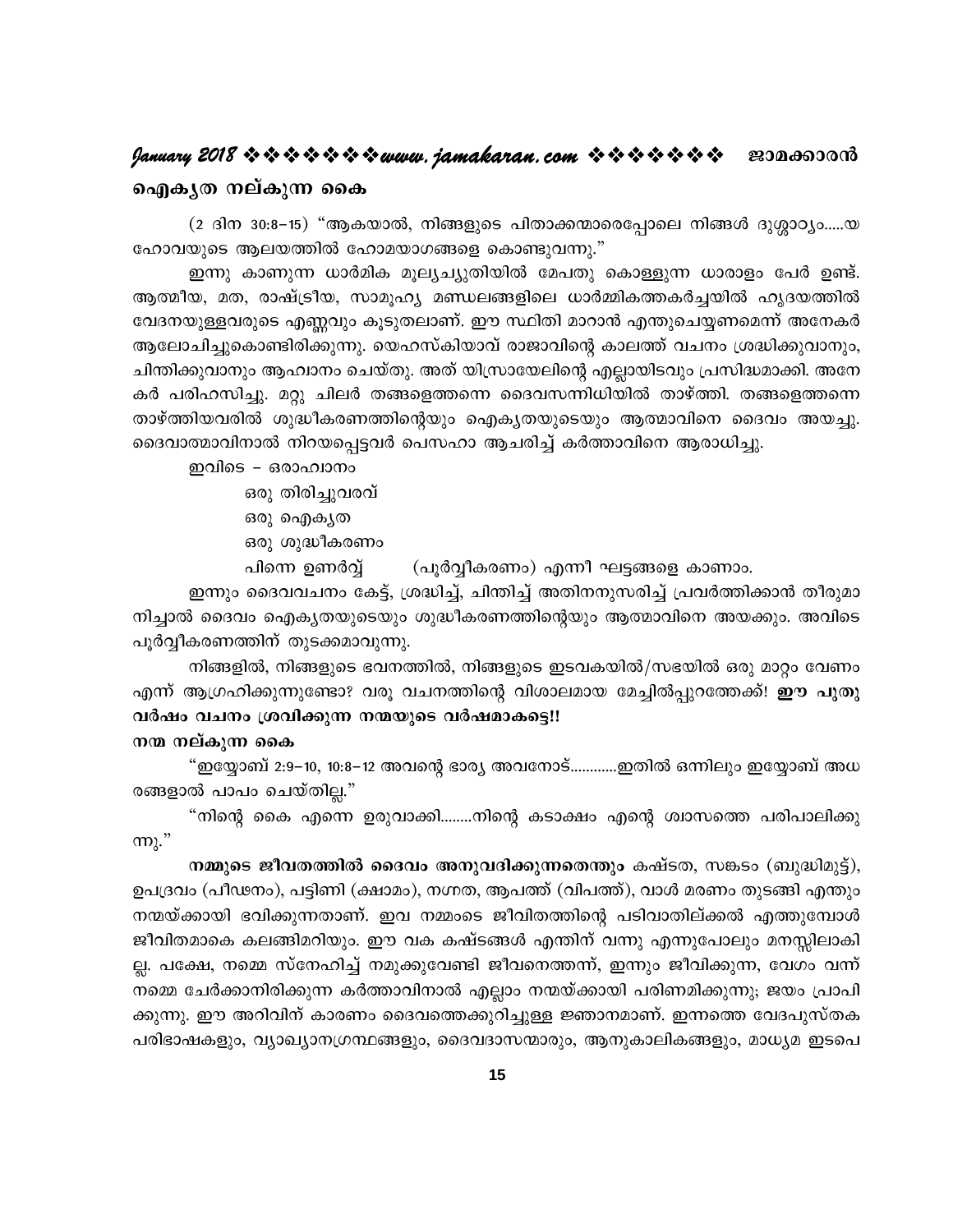# $9$ anuary 2018 \* \* \* \* \* \* \* \* www.jamakaran.com \* \* \* \* \* \* \* \* 230000000

#### ഐകൃത നല്കുന്ന കൈ

(2 ദിന 30:8–15) "ആകയാൽ, നിങ്ങളുടെ പിതാക്കന്മാരെപ്പോലെ നിങ്ങൾ ദുശ്ശാഠ്യം.....യ ഹോവയുടെ ആലയത്തിൽ ഹോമയാഗങ്ങളെ കൊണ്ടുവന്നു."

ഇന്നു കാണുന്ന ധാർമിക മൂല്യച്യുതിയിൽ മേപതു കൊള്ളുന്ന ധാരാളം പേർ ഉണ്ട്. ആത്മീയ, മത, രാഷ്ട്രീയ, സാമൂഹ്യ മണ്ഡലങ്ങളിലെ ധാർമ്മികത്തകർച്ചയിൽ ഹൃദയത്തിൽ വേദനയുള്ളവരുടെ എണ്ണവും കൂടുതലാണ്. ഈ സ്ഥിതി മാറാൻ എന്തുചെയ്യണമെന്ന് അനേകർ ആലോചിച്ചുകൊണ്ടിരിക്കുന്നു. യെഹസ്കിയാവ് രാജാവിന്റെ കാലത്ത് വചനം ശ്രദ്ധിക്കുവാനും, ചിന്തിക്കുവാനും ആഹ്വാനം ചെയ്തു. അത് യിസ്രായേലിന്റെ എല്ലായിടവും പ്രസിദ്ധമാക്കി. അനേ കർ പരിഹസിച്ചു. മറ്റു ചിലർ തങ്ങളെത്തന്നെ ദൈവസന്നിധിയിൽ താഴ്ത്തി. തങ്ങളെത്തന്നെ താഴ്ത്തിയവരിൽ ശുദ്ധീകരണത്തിന്റെയും ഐകൃതയുടെയും ആത്മാവിനെ ദൈവം അയച്ചു. ദൈവാത്മാവിനാൽ നിറയപ്പെട്ടവർ പെസഹാ ആചരിച്ച് കർത്താവിനെ ആരാധിച്ചു.

- ഇവിടെ ഒരാഹ്വാനം ഒരു തിരിച്ചുവരവ് ഒരു ഐകൃത
	- ഒരു ശുദ്ധീകരണം

പിന്നെ ഉണർവ്വ് (പൂർവ്വീകരണം) എന്നീ ഘട്ടങ്ങളെ കാണാം.

ഇന്നും ദൈവവചനം കേട്ട്, ശ്രദ്ധിച്ച്, ചിന്തിച്ച് അതിനനുസരിച്ച് പ്രവർത്തിക്കാൻ തീരുമാ നിച്ചാൽ ദൈവം ഐക്യതയുടെയും ശുദ്ധീകരണത്തിന്റെയും ആത്മാവിനെ അയക്കും. അവിടെ പൂർവ്വീകരണത്തിന് തുടക്കമാവുന്നു.

നിങ്ങളിൽ, നിങ്ങളുടെ ഭവനത്തിൽ, നിങ്ങളുടെ ഇടവകയിൽ/സഭയിൽ ഒരു മാറ്റം വേണം എന്ന് ആഗ്രഹിക്കുന്നുണ്ടോ? വരു വചനത്തിന്റെ വിശാലമായ മേച്ചിൽപ്പുറത്തേക്ക്! **ഈ പുതു** വർഷം വചനം ശ്രവിക്കുന്ന നന്മയുടെ വർഷമാകട്ടെ!!

നന്മ നല്കുന്ന കൈ

"ഇയ്യോബ് 2:9−10, 10:8−12 അവന്റെ ഭാര്യ അവനോട്.............ഇതിൽ ഒന്നിലും ഇയ്യോബ് അധ രങ്ങളാൽ പാപം ചെയ്തില്ല."

"നിന്റെ കൈ എന്നെ ഉരുവാക്കി……..നിന്റെ കടാക്ഷം എന്റെ ശ്വാസത്തെ പരിപാലിക്കു  $m<sub>1</sub>$ ."

നമ്മുടെ ജീവതത്തിൽ ദൈവം അനുവദിക്കുന്നതെന്തും കഷ്ടത, സങ്കടം (ബുദ്ധിമുട്ട്), ഉപദ്രവം (പീഢനം), പട്ടിണി (ക്ഷാമം), നഗ്നത, ആപത്ത് (വിപത്ത്), വാൾ മരണം തുടങ്ങി എന്തും നന്മയ്ക്കായി ഭവിക്കുന്നതാണ്. ഇവ നമ്മംടെ ജീവിതത്തിന്റെ പടിവാതില്ക്കൽ എത്തുമ്പോൾ ജീവിതമാകെ കലങ്ങിമറിയും. ഈ വക കഷ്ടങ്ങൾ എന്തിന് വന്നു എന്നുപോലും മനസ്സിലാകി ല്ല. പക്ഷേ, നമ്മെ സ്നേഹിച്ച് നമുക്കുവേണ്ടി ജീവനെത്തന്ന്, ഇന്നും ജീവിക്കുന്ന, വേഗം വന്ന് നമ്മെ ചേർക്കാനിരിക്കുന്ന കർത്താവിനാൽ എല്ലാം നന്മയ്ക്കായി പരിണമിക്കുന്നു; ജയം പ്രാപി ക്കുന്നു. ഈ അറിവിന് കാരണം ദൈവത്തെക്കുറിച്ചുള്ള ജ്ഞാനമാണ്. ഇന്നത്തെ വേദപുസ്തക പരിഭാഷകളും, വ്യാഖ്യാനഗ്രന്ഥങ്ങളും, ദൈവദാസന്മാരും, ആനുകാലികങ്ങളും, മാധ്യമ ഇടപെ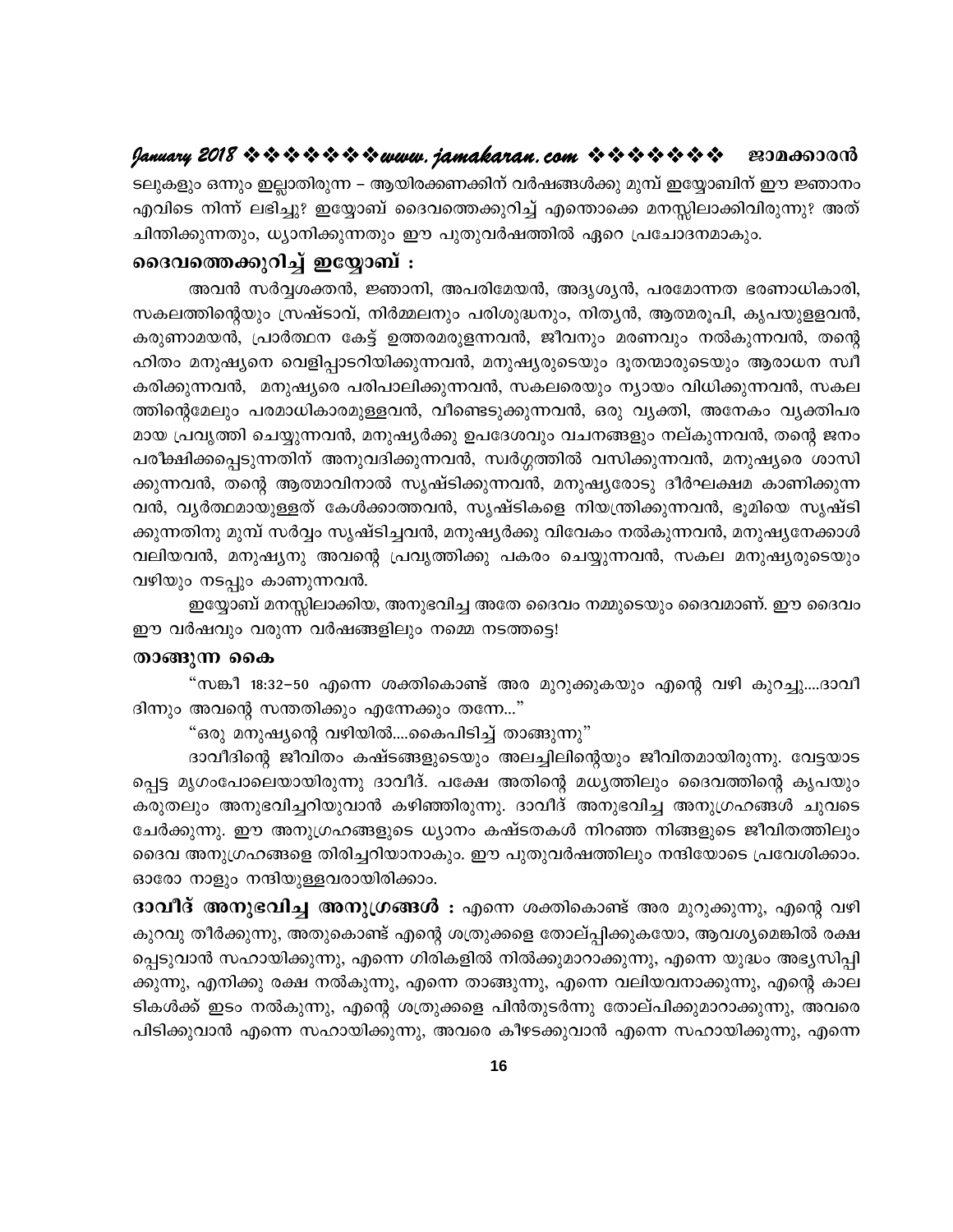ടലുകളും ഒന്നും ഇല്ലാതിരുന്ന – ആയിരക്കണക്കിന് വർഷങ്ങൾക്കു മുമ്പ് ഇയ്യോബിന് ഈ ജ്ഞാനം എവിടെ നിന്ന് ലഭിച്ചു? ഇയ്യോബ് ദൈവത്തെക്കുറിച്ച് എന്തൊക്കെ മനസ്സിലാക്കിവിരുന്നു? അത് ചിന്തിക്കുന്നതും, ധ്യാനിക്കുന്നതും ഈ പുതുവർഷത്തിൽ ഏറെ പ്രചോദനമാകും.

# ദൈവത്തെക്കുറിച്ച് ഇയ്യോബ് :

അവൻ സർവ്വശക്തൻ, ജ്ഞാനി, അപരിമേയൻ, അദൃശ്യൻ, പരമോന്നത ഭരണാധികാരി, സകലത്തിന്റെയും സ്രഷ്ടാവ്, നിർമ്മലനും പരിശുദ്ധനും, നിത്യൻ, ആത്മരൂപി, കൃപയുളളവൻ, കരുണാമയൻ, പ്രാർത്ഥന കേട്ട് ഉത്തരമരുളന്നവൻ, ജീവനും മരണവും നൽകുന്നവൻ, തന്റെ ഹിതം മനുഷ്യനെ വെളിപ്പാടറിയിക്കുന്നവൻ, മനുഷ്യരുടെയും ദൂതന്മാരുടെയും ആരാധന സ്വീ കരിക്കുന്നവൻ, മനുഷ്യരെ പരിപാലിക്കുന്നവൻ, സകലരെയും ന്യായം വിധിക്കുന്നവൻ, സകല ത്തിന്റെമേലും പരമാധികാരമുള്ളവൻ, വീണ്ടെടുക്കുന്നവൻ, ഒരു വ്യക്തി, അനേകം വ്യക്തിപര മായ പ്രവൃത്തി ചെയ്യുന്നവൻ, മനുഷ്യർക്കു ഉപദേശവും വചനങ്ങളും നല്കുന്നവൻ, തന്റെ ജനം പരീക്ഷിക്കപ്പെടുന്നതിന് അനുവദിക്കുന്നവൻ, സ്വർഗ്ഗത്തിൽ വസിക്കുന്നവൻ, മനുഷ്യരെ ശാസി ക്കുന്നവൻ, തന്റെ ആത്മാവിനാൽ സൃഷ്ടിക്കുന്നവൻ, മനുഷ്യരോടു ദീർഘക്ഷമ കാണിക്കുന്ന വൻ, വ്യർത്ഥമായുള്ളത് കേൾക്കാത്തവൻ, സൃഷ്ടികളെ നിയന്ത്രിക്കുന്നവൻ, ഭൂമിയെ സൃഷ്ടി ക്കുന്നതിനു മുമ്പ് സർവ്വം സൃഷ്ടിച്ചവൻ, മനുഷ്യർക്കു വിവേകം നൽകുന്നവൻ, മനുഷ്യനേക്കാൾ വലിയവൻ, മനുഷ്യനു അവന്റെ പ്രവ്യത്തിക്കു പകരം ചെയ്യുന്നവൻ, സകല മനുഷ്യരുടെയും വഴിയും നടപ്പും കാണുന്നവൻ.

ഇയ്യോബ് മനസ്സിലാക്കിയ, അനുഭവിച്ച അതേ ദൈവം നമ്മുടെയും ദൈവമാണ്. ഈ ദൈവം ഈ വർഷവും വരുന്ന വർഷങ്ങളിലും നമ്മെ നടത്തട്ടെ!

#### താങ്ങുന്ന കൈ

"സങ്കീ 18:32–50 എന്നെ ശക്തികൊണ്ട് അര മുറുക്കുകയും എന്റെ വഴി കുറച്ചു....ദാവീ ദിന്നും അവന്റെ സന്തതിക്കും എന്നേക്കും തന്നേ..."

"ഒരു മനുഷ്യന്റെ വഴിയിൽ….കൈപിടിച്ച് താങ്ങുന്നു"

ദാവീദിന്റെ ജീവിതം കഷ്ടങ്ങളുടെയും അലച്ചിലിന്റെയും ജീവിതമായിരുന്നു. വേട്ടയാട പ്പെട്ട മൃഗംപോലെയായിരുന്നു ദാവീദ്. പക്ഷേ അതിന്റെ മധൃത്തിലും ദൈവത്തിന്റെ കൃപയും കരുതലും അനുഭവിച്ചറിയുവാൻ കഴിഞ്ഞിരുന്നു. ദാവീദ് അനുഭവിച്ച അനുഗ്രഹങ്ങൾ ചുവടെ ചേർക്കുന്നു. ഈ അനുഗ്രഹങ്ങളുടെ ധ്യാനം കഷ്ടതകൾ നിറഞ്ഞ നിങ്ങളുടെ ജീവിതത്തിലും ദൈവ അനുഗ്രഹങ്ങളെ തിരിച്ചറിയാനാകും. ഈ പുതുവർഷത്തിലും നന്ദിയോടെ പ്രവേശിക്കാം. ഓരോ നാളും നന്ദിയുള്ളവരായിരിക്കാം.

**ദാവീദ് അനുഭവിച്ച അനുഗ്രങ്ങൾ :** എന്നെ ശക്തികൊണ്ട് അര മുറുക്കുന്നു, എന്റെ വഴി കുറവു തീർക്കുന്നു, അതുകൊണ്ട് എന്റെ ശത്രുക്കളെ തോല്പ്പിക്കുകയോ, ആവശ്യമെങ്കിൽ രക്ഷ പ്പെടുവാൻ സഹായിക്കുന്നു, എന്നെ ഗിരികളിൽ നിൽക്കുമാറാക്കുന്നു, എന്നെ യുദ്ധം അഭ്യസിപ്പി ക്കുന്നു, എനിക്കു രക്ഷ നൽകുന്നു, എന്നെ താങ്ങുന്നു, എന്നെ വലിയവനാക്കുന്നു, എന്റെ കാല ടികൾക്ക് ഇടം നൽകുന്നു, എന്റെ ശത്രുക്കളെ പിൻതുടർന്നു തോല്പിക്കുമാറാക്കുന്നു, അവരെ പിടിക്കുവാൻ എന്നെ സഹായിക്കുന്നു, അവരെ കീഴടക്കുവാൻ എന്നെ സഹായിക്കുന്നു, എന്നെ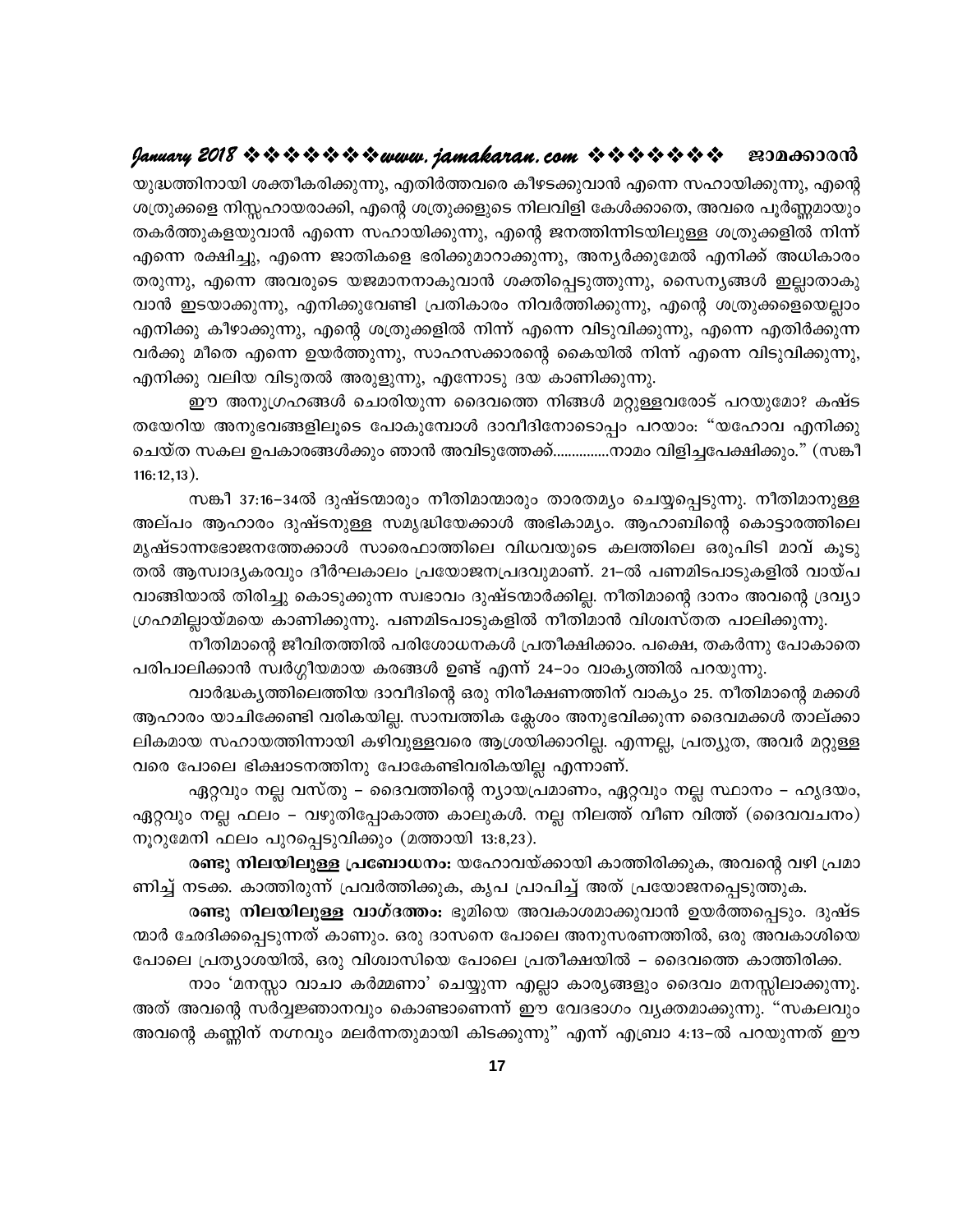യുദ്ധത്തിനായി ശക്തീകരിക്കുന്നു, എതിർത്തവരെ കീഴടക്കുവാൻ എന്നെ സഹായിക്കുന്നു, എന്റെ ശത്രുക്കളെ നിസ്സഹായരാക്കി, എന്റെ ശത്രുക്കളുടെ നിലവിളി കേൾക്കാതെ, അവരെ പൂർണ്ണമായും തകർത്തുകളയുവാൻ എന്നെ സഹായിക്കുന്നു, എന്റെ ജനത്തിന്നിടയിലുള്ള ശത്രുക്കളിൽ നിന്ന് എന്നെ രക്ഷിച്ചു, എന്നെ ജാതികളെ ഭരിക്കുമാറാക്കുന്നു, അന്യർക്കുമേൽ എനിക്ക് അധികാരം തരുന്നു, എന്നെ അവരുടെ യജമാനനാകുവാൻ ശക്തിപ്പെടുത്തുന്നു, സൈന്യങ്ങൾ ഇല്ലാതാകു വാൻ ഇടയാക്കുന്നു, എനിക്കുവേണ്ടി പ്രതികാരം നിവർത്തിക്കുന്നു, എന്റെ ശത്രുക്കളെയെല്ലാം എനിക്കു കീഴാക്കുന്നു, എന്റെ ശത്രുക്കളിൽ നിന്ന് എന്നെ വിടുവിക്കുന്നു, എന്നെ എതിർക്കുന്ന വർക്കു മീതെ എന്നെ ഉയർത്തുന്നു, സാഹസക്കാരന്റെ കൈയിൽ നിന്ന് എന്നെ വിടുവിക്കുന്നു, എനിക്കു വലിയ വിടുതൽ അരുളുന്നു, എന്നോടു ദയ കാണിക്കുന്നു.

ഈ അനുഗ്രഹങ്ങൾ ചൊരിയുന്ന ദൈവത്തെ നിങ്ങൾ മറ്റുള്ളവരോട് പറയുമോ? കഷ്ട തയേറിയ അനുഭവങ്ങളിലൂടെ പോകുമ്പോൾ ദാവീദിനോടൊപ്പം പറയാം: "യഹോവ എനിക്കു ചെയ്ത സകല ഉപകാരങ്ങൾക്കും ഞാൻ അവിടുത്തേക്ക്...............നാമം വിളിച്ചപേക്ഷിക്കും." (സങ്കീ  $116:12,13$ ).

സങ്കീ 37:16–34ൽ ദുഷ്ടന്മാരും നീതിമാന്മാരും താരതമ്യം ചെയ്യപ്പെടുന്നു. നീതിമാനുള്ള അല്പം ആഹാരം ദുഷ്ടനുള്ള സമൃദ്ധിയേക്കാൾ അഭികാമൃം. ആഹാബിന്റെ കൊട്ടാരത്തിലെ മൃഷ്ടാന്നഭോജനത്തേക്കാൾ സാരെഫാത്തിലെ വിധവയുടെ കലത്തിലെ ഒരുപിടി മാവ് കൂടു തൽ ആസ്വാദൃകരവും ദീർഘകാലം പ്രയോജനപ്രദവുമാണ്. 21–ൽ പണമിടപാടുകളിൽ വായ്പ വാങ്ങിയാൽ തിരിച്ചു കൊടുക്കുന്ന സ്വഭാവം ദുഷ്ടന്മാർക്കില്ല. നീതിമാന്റെ ദാനം അവന്റെ ദ്രവ്യാ ഗ്രഹമില്ലായ്മയെ കാണിക്കുന്നു. പണമിടപാടുകളിൽ നീതിമാൻ വിശ്വസ്തത പാലിക്കുന്നു.

നീതിമാന്റെ ജീവിതത്തിൽ പരിശോധനകൾ പ്രതീക്ഷിക്കാം. പക്ഷെ, തകർന്നു പോകാതെ പരിപാലിക്കാൻ സ്വർഗ്ഗീയമായ കരങ്ങൾ ഉണ്ട് എന്ന് 24–ാം വാകൃത്തിൽ പറയുന്നു.

വാർദ്ധകൃത്തിലെത്തിയ ദാവീദിന്റെ ഒരു നിരീക്ഷണത്തിന് വാകൃം 25. നീതിമാന്റെ മക്കൾ ആഹാരം യാചിക്കേണ്ടി വരികയില്ല. സാമ്പത്തിക ക്ലേശം അനുഭവിക്കുന്ന ദൈവമക്കൾ താല്ക്കാ ലികമായ സഹായത്തിന്നായി കഴിവുള്ളവരെ ആശ്രയിക്കാറില്ല. എന്നല്ല, പ്രത്യുത, അവർ മറ്റുള്ള വരെ പോലെ ഭിക്ഷാടനത്തിനു പോകേണ്ടിവരികയില്ല എന്നാണ്.

ഏറ്റവും നല്ല വസ്തു – ദൈവത്തിന്റെ ന്യായപ്രമാണം, ഏറ്റവും നല്ല സ്ഥാനം – ഹൃദയം, ഏറ്റവും നല്ല ഫലം – വഴുതിപ്പോകാത്ത കാലുകൾ. നല്ല നിലത്ത് വീണ വിത്ത് (ദൈവവചനം) നൂറുമേനി ഫലം പുറപ്പെടുവിക്കും (മത്തായി 13:8,23).

രണ്ടു നിലയിലുള്ള പ്രബോധനം: യഹോവയ്ക്കായി കാത്തിരിക്കുക, അവന്റെ വഴി പ്രമാ ണിച്ച് നടക്ക. കാത്തിരുന്ന് പ്രവർത്തിക്കുക, കൃപ പ്രാപിച്ച് അത് പ്രയോജനപ്പെടുത്തുക.

രണ്ടു നിലയിലുള്ള വാഗ്ദത്തം: ഭൂമിയെ അവകാശമാക്കുവാൻ ഉയർത്തപ്പെടും. ദുഷ്ട ന്മാർ ഛേദിക്കപ്പെടുന്നത് കാണും. ഒരു ദാസനെ പോലെ അനുസരണത്തിൽ, ഒരു അവകാശിയെ പോലെ പ്രത്യാശയിൽ, ഒരു വിശ്വാസിയെ പോലെ പ്രതീക്ഷയിൽ – ദൈവത്തെ കാത്തിരിക്ക.

നാം 'മനസ്സാ വാചാ കർമ്മണാ' ചെയ്യുന്ന എല്ലാ കാര്യങ്ങളും ദൈവം മനസ്സിലാക്കുന്നു. അത് അവന്റെ സർവ്വജ്ഞാനവും കൊണ്ടാണെന്ന് ഈ വേദഭാഗം വ്യക്തമാക്കുന്നു. "സകലവും അവന്റെ കണ്ണിന് നഗ്നവും മലർന്നതുമായി കിടക്കുന്നു" എന്ന് എബ്രാ 4:13–ൽ പറയുന്നത് ഈ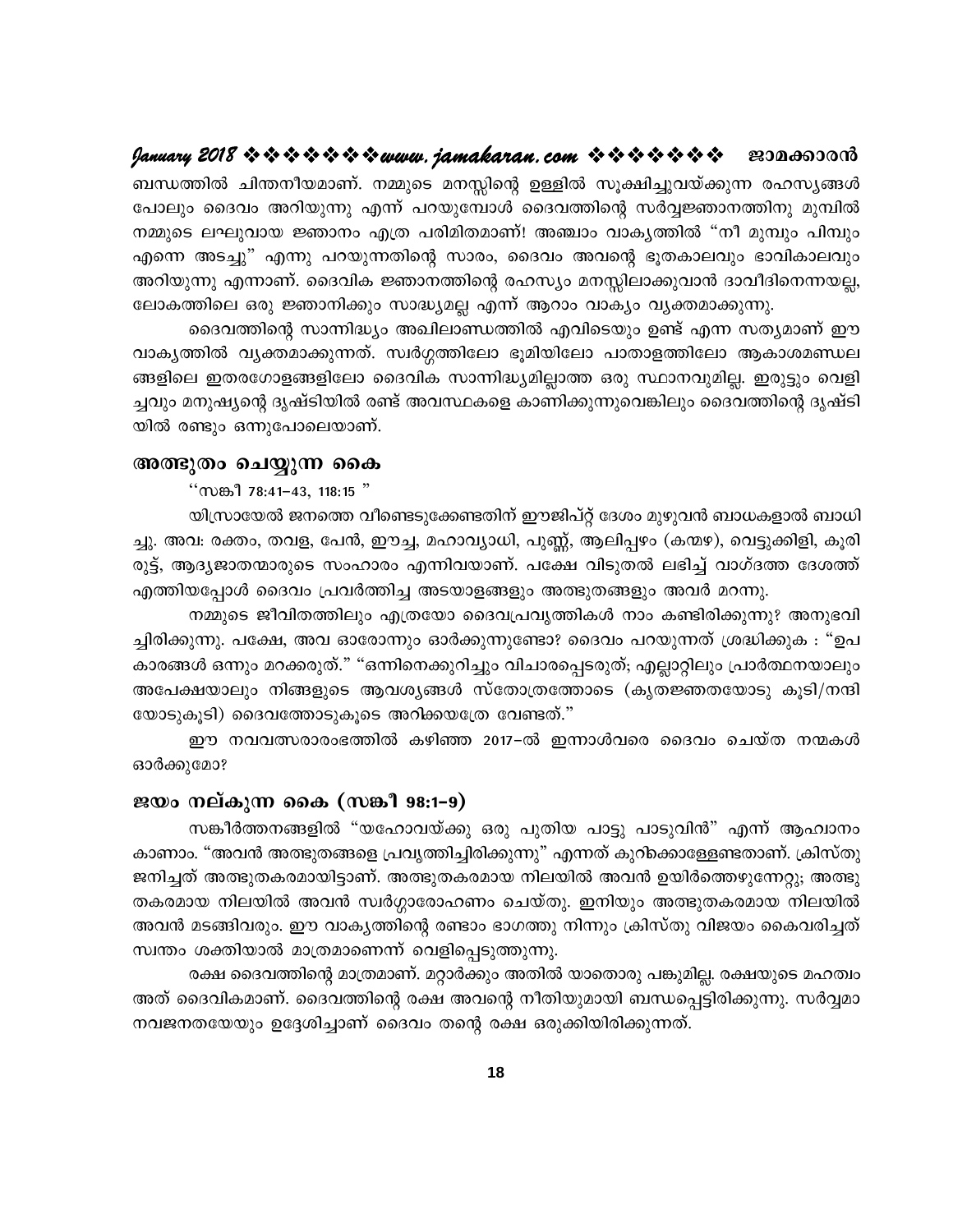ബന്ധത്തിൽ ചിന്തനീയമാണ്. നമ്മുടെ മനസ്സിന്റെ ഉള്ളിൽ സൂക്ഷിച്ചുവയ്ക്കുന്ന രഹസൃങ്ങൾ പോലും ദൈവം അറിയുന്നു എന്ന് പറയുമ്പോൾ ദൈവത്തിന്റെ സർവ്വജ്ഞാനത്തിനു മുമ്പിൽ നമ്മുടെ ലഘുവായ ജ്ഞാനം എത്ര പരിമിതമാണ്! അഞ്ചാം വാകൃത്തിൽ "നീ മുമ്പും പിമ്പും എന്നെ അടച്ചു" എന്നു പറയുന്നതിന്റെ സാരം, ദൈവം അവന്റെ ഭൂതകാലവും ഭാവികാലവും അറിയുന്നു എന്നാണ്. ദൈവിക ജ്ഞാനത്തിന്റെ രഹസ്യം മനസ്സിലാക്കുവാൻ ദാവീദിനെന്നയല്ല, ലോകത്തിലെ ഒരു ജ്ഞാനിക്കും സാദ്ധ്യമല്ല എന്ന് ആറാം വാക്യം വ്യക്തമാക്കുന്നു.

ദൈവത്തിന്റെ സാന്നിദ്ധ്യം അഖിലാണ്ഡത്തിൽ എവിടെയും ഉണ്ട് എന്ന സത്യമാണ് ഈ വാകൃത്തിൽ വൃക്തമാക്കുന്നത്. സ്വർഗ്ഗത്തിലോ ഭൂമിയിലോ പാതാളത്തിലോ ആകാശമണ്ഡല ങ്ങളിലെ ഇതരഗോളങ്ങളിലോ ദൈവിക സാന്നിദ്ധ്യമില്ലാത്ത ഒരു സ്ഥാനവുമില്ല. ഇരുട്ടും വെളി ച്ചവും മനുഷ്യന്റെ ദൃഷ്ടിയിൽ രണ്ട് അവസ്ഥകളെ കാണിക്കുന്നുവെങ്കിലും ദൈവത്തിന്റെ ദൃഷ്ടി യിൽ രണ്ടും ഒന്നുപോലെയാണ്.

#### അത്ഭുതം ചെയ്യുന്ന കൈ

" ( $m$  $m$ <sup>1</sup> 78:41-43, 118:15"

യിസ്രായേൽ ജനത്തെ വീണ്ടെടുക്കേണ്ടതിന് ഈജിപ്റ്റ് ദേശം മുഴുവൻ ബാധകളാൽ ബാധി ച്ചു. അവ: രക്തം, തവള, പേൻ, ഈച്ച, മഹാവ്യാധി, പുണ്ണ്, ആലിപ്പഴം (കന്മഴ), വെട്ടുക്കിളി, കൂരി രുട്ട്, ആദ്യജാതന്മാരുടെ സംഹാരം എന്നിവയാണ്. പക്ഷേ വിടുതൽ ലഭിച്ച് വാഗ്ദത്ത ദേശത്ത് എത്തിയപ്പോൾ ദൈവം പ്രവർത്തിച്ച അടയാളങ്ങളും അത്ഭുതങ്ങളും അവർ മറന്നു.

നമ്മുടെ ജീവിതത്തിലും എത്രയോ ദൈവപ്രവൃത്തികൾ നാം കണ്ടിരിക്കുന്നു? അനുഭവി ച്ചിരിക്കുന്നു. പക്ഷേ, അവ ഓരോന്നും ഓർക്കുന്നുണ്ടോ? ദൈവം പറയുന്നത് ശ്രദ്ധിക്കുക : "ഉപ കാരങ്ങൾ ഒന്നും മറക്കരുത്." "ഒന്നിനെക്കുറിച്ചും വിചാരപ്പെടരുത്; എല്ലാറ്റിലും പ്രാർത്ഥനയാലും അപേക്ഷയാലും നിങ്ങളുടെ ആവശ്യങ്ങൾ സ്തോത്രത്തോടെ (കൃതജ്ഞതയോടു കൂടി/നന്ദി യോടുകൂടി) ദൈവത്തോടുകൂടെ അറിക്കയത്രേ വേണ്ടത്."

ഈ നവവത്സരാരംഭത്തിൽ കഴിഞ്ഞ 2017–ൽ ഇന്നാൾവരെ ദൈവം ചെയ്ത നന്മകൾ ഓർക്കുമോ?

#### ജയം നല്കുന്ന കൈ (സങ്കീ 98:1-9)

സങ്കീർത്തനങ്ങളിൽ "യഹോവയ്ക്കു ഒരു പുതിയ പാട്ടു പാടുവിൻ" എന്ന് ആഹ്വാനം കാണാം. "അവൻ അത്ഭുതങ്ങളെ പ്രവൃത്തിച്ചിരിക്കുന്നു" എന്നത് കുറിക്കൊള്ളേണ്ടതാണ്. ക്രിസ്തു ജനിച്ചത് അത്ഭുതകരമായിട്ടാണ്. അത്ഭുതകരമായ നിലയിൽ അവൻ ഉയിർത്തെഴുന്നേറ്റു; അത്ഭു തകരമായ നിലയിൽ അവൻ സ്വർഗ്ഗാരോഹണം ചെയ്തു. ഇനിയും അത്ഭുതകരമായ നിലയിൽ അവൻ മടങ്ങിവരും. ഈ വാകൃത്തിന്റെ രണ്ടാം ഭാഗത്തു നിന്നും ക്രിസ്തു വിജയം കൈവരിച്ചത് സ്വന്തം ശക്തിയാൽ മാത്രമാണെന്ന് വെളിപ്പെടുത്തുന്നു.

രക്ഷ ദൈവത്തിന്റെ മാത്രമാണ്. മറ്റാർക്കും അതിൽ യാതൊരു പങ്കുമില്ല. രക്ഷയുടെ മഹത്വം അത് ദൈവികമാണ്. ദൈവത്തിന്റെ രക്ഷ അവന്റെ നീതിയുമായി ബന്ധപ്പെട്ടിരിക്കുന്നു. സർവ്വമാ നവജനതയേയും ഉദ്ദേശിച്ചാണ് ദൈവം തന്റെ രക്ഷ ഒരുക്കിയിരിക്കുന്നത്.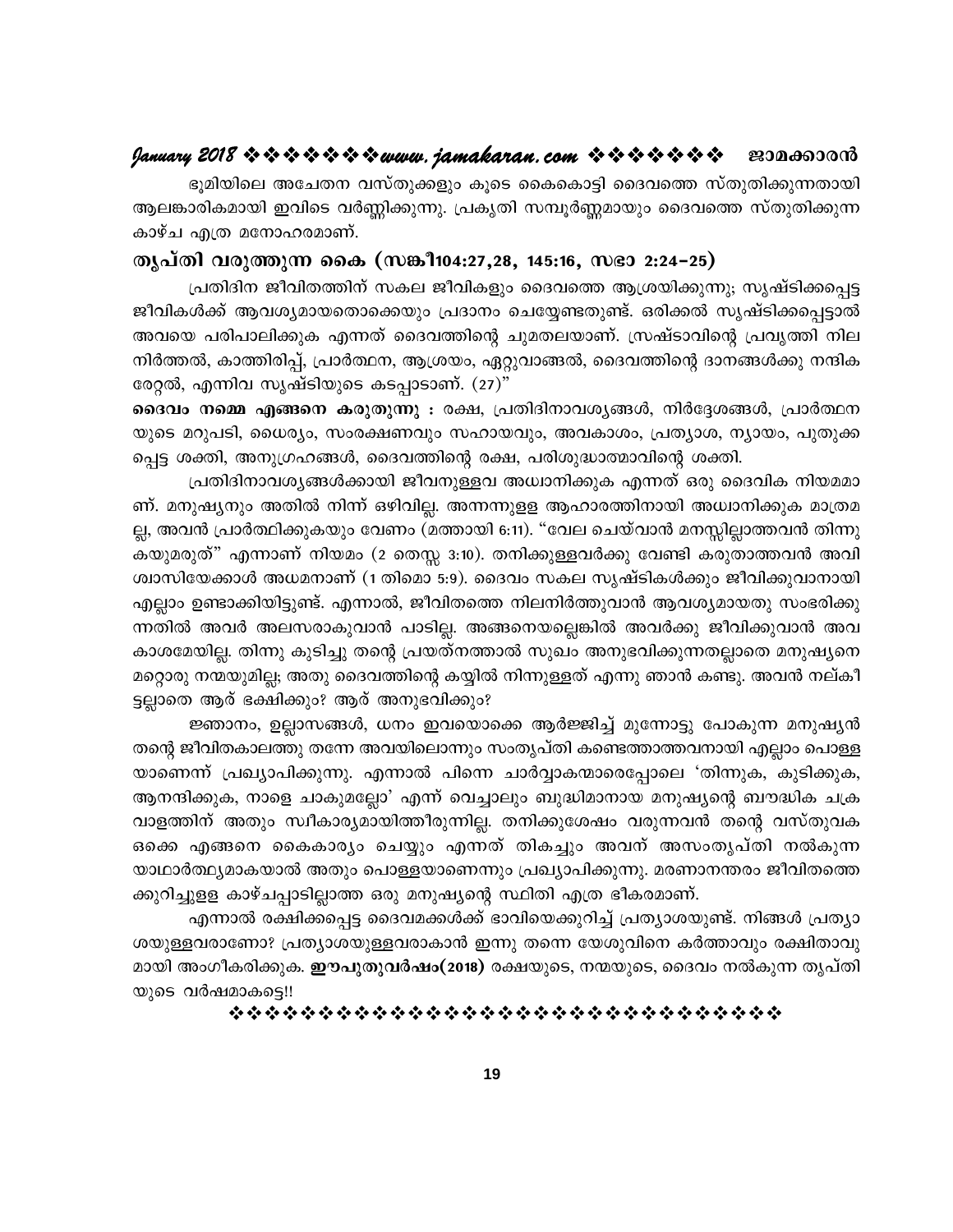# 

ഭൂമിയിലെ അചേതന വസ്തുക്കളും കൂടെ കൈകൊട്ടി ദൈവത്തെ സ്തുതിക്കുന്നതായി ആലങ്കാരികമായി ഇവിടെ വർണ്ണിക്കുന്നു. പ്രകൃതി സമ്പൂർണ്ണമായും ദൈവത്തെ സ്തുതിക്കുന്ന കാഴ്ച എത്ര മനോഹരമാണ്.

#### തൃപ്തി വരുത്തുന്ന കൈ (സങ്കീ104:27,28, 145:16, സഭാ 2:24–25)

പ്രതിദിന ജീവിതത്തിന് സകല ജീവികളും ദൈവത്തെ ആശ്രയിക്കുന്നു; സൃഷ്ടിക്കപ്പെട്ട ജീവികൾക്ക് ആവശ്യമായതൊക്കെയും പ്രദാനം ചെയ്യേണ്ടതുണ്ട്. ഒരിക്കൽ സൃഷ്ടിക്കപ്പെട്ടാൽ അവയെ പരിപാലിക്കുക എന്നത് ദൈവത്തിന്റെ ചുമതലയാണ്. സ്രഷ്ടാവിന്റെ പ്രവൃത്തി നില നിർത്തൽ, കാത്തിരിപ്പ്, പ്രാർത്ഥന, ആശ്രയം, ഏറ്റുവാങ്ങൽ, ദൈവത്തിന്റെ ദാനങ്ങൾക്കു നന്ദിക രേറ്റൽ, എന്നിവ സൃഷ്ടിയുടെ കടപ്പാടാണ്. (27)"

ദൈവം നമ്മെ എങ്ങനെ കരുതുന്നു : രക്ഷ, പ്രതിദിനാവശ്യങ്ങൾ, നിർദ്ദേശങ്ങൾ, പ്രാർത്ഥന യുടെ മറുപടി, ധൈര്യം, സംരക്ഷണവും സഹായവും, അവകാശം, പ്രത്യാശ, ന്യായം, പുതുക്ക പ്പെട്ട ശക്തി, അനുഗ്രഹങ്ങൾ, ദൈവത്തിന്റെ രക്ഷ, പരിശുദ്ധാത്മാവിന്റെ ശക്തി.

പ്രതിദിനാവശ്യങ്ങൾക്കായി ജീവനുള്ളവ അധ്വാനിക്കുക എന്നത് ഒരു ദൈവിക നിയമമാ ണ്. മനുഷ്യനും അതിൽ നിന്ന് ഒഴിവില്ല. അന്നന്നുളള ആഹാരത്തിനായി അധ്വാനിക്കുക മാത്രമ ല്ല, അവൻ പ്രാർത്ഥിക്കുകയും വേണം (മത്തായി 6:11). "വേല ചെയ്വാൻ മനസ്സില്ലാത്തവൻ തിന്നു കയുമരുത്" എന്നാണ് നിയമം (2 തെസ്സ 3:10). തനിക്കുള്ളവർക്കു വേണ്ടി കരുതാത്തവൻ അവി ശ്വാസിയേക്കാൾ അധമനാണ് (1 തിമൊ 5:9). ദൈവം സകല സൃഷ്ടികൾക്കും ജീവിക്കുവാനായി എല്ലാം ഉണ്ടാക്കിയിട്ടുണ്ട്. എന്നാൽ, ജീവിതത്തെ നിലനിർത്തുവാൻ ആവശ്യമായതു സംഭരിക്കു ന്നതിൽ അവർ അലസരാകുവാൻ പാടില്ല. അങ്ങനെയല്ലെങ്കിൽ അവർക്കു ജീവിക്കുവാൻ അവ കാശമേയില്ല. തിന്നു കുടിച്ചു തന്റെ പ്രയത്നത്താൽ സുഖം അനുഭവിക്കുന്നതല്ലാതെ മനുഷ്യനെ മറ്റൊരു നന്മയുമില്ല; അതു ദൈവത്തിന്റെ കയ്യിൽ നിന്നുള്ളത് എന്നു ഞാൻ കണ്ടു. അവൻ നല്കീ ട്ടല്ലാതെ ആര് ഭക്ഷിക്കും? ആര് അനുഭവിക്കും?

ജ്ഞാനം, ഉല്ലാസങ്ങൾ, ധനം ഇവയൊക്കെ ആർജ്ജിച്ച് മുന്നോട്ടു പോകുന്ന മനുഷ്യൻ തന്റെ ജീവിതകാലത്തു തന്നേ അവയിലൊന്നും സംതൃപ്തി കണ്ടെത്താത്തവനായി എല്ലാം പൊള്ള യാണെന്ന് പ്രഖ്യാപിക്കുന്നു. എന്നാൽ പിന്നെ ചാർവ്വാകന്മാരെപ്പോലെ 'തിന്നുക, കുടിക്കുക, ആനന്ദിക്കുക, നാളെ ചാകുമല്ലോ' എന്ന് വെച്ചാലും ബുദ്ധിമാനായ മനുഷ്യന്റെ ബൗദ്ധിക ചക്ര വാളത്തിന് അതും സ്ഥീകാര്യമായിത്തീരുന്നില്ല. തനിക്കുശേഷം വരുന്നവൻ തന്റെ വസ്തുവക ഒക്കെ എങ്ങനെ കൈകാര്യം ചെയ്യും എന്നത് തികച്ചും അവന് അസംതൃപ്തി നൽകുന്ന യാഥാർത്ഥ്യമാകയാൽ അതും പൊള്ളയാണെന്നും പ്രഖ്യാപിക്കുന്നു. മരണാനന്തരം ജീവിതത്തെ ക്കുറിച്ചുളള കാഴ്ചപ്പാടില്ലാത്ത ഒരു മനുഷ്യന്റെ സ്ഥിതി എത്ര ഭീകരമാണ്.

എന്നാൽ രക്ഷിക്കപ്പെട്ട ദൈവമക്കൾക്ക് ഭാവിയെക്കുറിച്ച് പ്രത്യാശയുണ്ട്. നിങ്ങൾ പ്രത്യാ ശയുള്ളവരാണോ? പ്രത്യാശയുള്ളവരാകാൻ ഇന്നു തന്നെ യേശുവിനെ കർത്താവും രക്ഷിതാവു മായി അംഗീകരിക്കുക. **ഈപുതുവർഷം(2018)** രക്ഷയുടെ, നന്മയുടെ, ദൈവം നൽകുന്ന തൃപ്തി യുടെ വർഷമാകട്ടെ!!

\*\*\*\*\*\*\*\*\*\*\*\*\*\*\*\*\*\*\*\*\*\*\*\*\*\*\*\*\*\*\*\*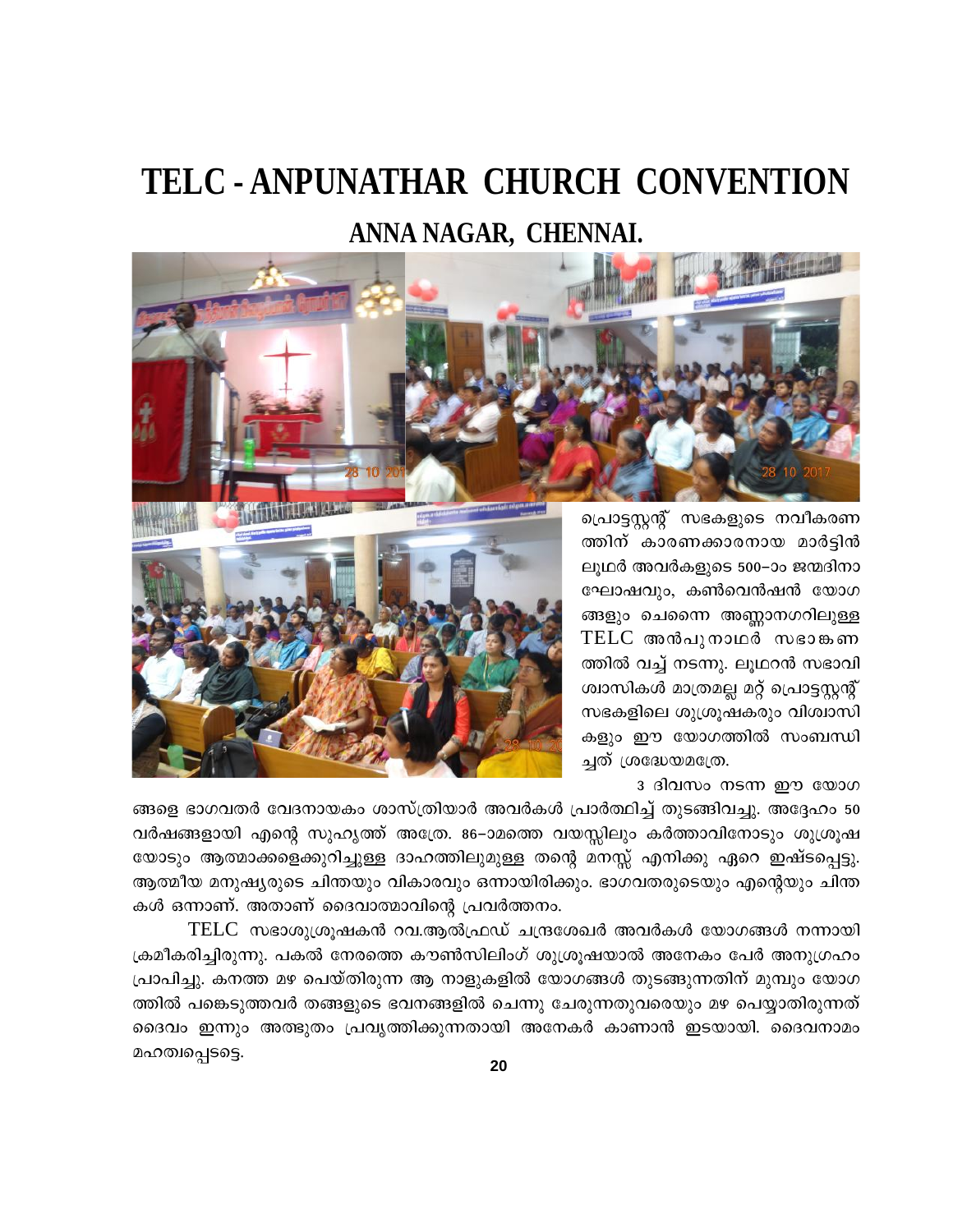# TELC - ANPUNATHAR CHURCH CONVENTION ANNA NAGAR, CHENNAI.



ത്തിന് കാരണക്കാരനായ മാർട്ടിൻ ലുഥർ അവർകളുടെ 500–ാം ജന്മദിനാ ഘോഷവും, കൺവെൻഷൻ യോഗ ങ്ങളും ചെന്നൈ അണ്ണാനഗറിലുള്ള TELC അൻപുനാഥർ സഭാങ്കണ ത്തിൽ വച്ച് നടന്നു. ലൂഥറൻ സഭാവി ശ്വാസികൾ മാത്രമല്ല മറ്റ് പ്രൊട്ടസ്റ്റന്റ് സഭകളിലെ ശുശ്രൂഷകരും വിശ്വാസി കളും ഈ യോഗത്തിൽ സംബന്ധി ച്ചത് ശ്രദ്ധേയമത്രേ.

<u>3 ദിവസം നടന്ന ഈ യോഗ</u>

ങ്ങളെ ഭാഗവതർ വേദനായകം ശാസ്ത്രിയാർ അവർകൾ പ്രാർത്ഥിച്ച് തുടങ്ങിവച്ചു. അദ്ദേഹം 50 വർഷങ്ങളായി എന്റെ സുഹൃത്ത് അത്രേ. 86–ാമത്തെ വയസ്സിലും കർത്താവിനോടും ശുശ്രൂഷ യോടും ആത്മാക്കളെക്കുറിച്ചുള്ള ദാഹത്തിലുമുള്ള തന്റെ മനസ്സ് എനിക്കു ഏറെ ഇഷ്ടപ്പെട്ടു. ആത്മീയ മനുഷ്യരുടെ ചിന്തയും വികാരവും ഒന്നായിരിക്കും. ഭാഗവതരുടെയും എന്റെയും ചിന്ത കൾ ഒന്നാണ്. അതാണ് ദൈവാത്മാവിന്റെ പ്രവർത്തനം.

TELC സഭാശുശ്രൂഷകൻ റവ.ആൽഫ്രഡ് ചന്ദ്രശേഖർ അവർകൾ യോഗങ്ങൾ നന്നായി ക്രമീകരിച്ചിരുന്നു. പകൽ നേരത്തെ കൗൺസിലിംഗ് ശുശ്രുഷയാൽ അനേകം പേർ അനുഗ്രഹം പ്രാപിച്ചു. കനത്ത മഴ പെയ്തിരുന്ന ആ നാളുകളിൽ യോഗങ്ങൾ തുടങ്ങുന്നതിന് മുമ്പും യോഗ ത്തിൽ പങ്കെടുത്തവർ തങ്ങളുടെ ഭവനങ്ങളിൽ ചെന്നു ചേരുന്നതുവരെയും മഴ പെയ്യാതിരുന്നത് ദൈവം ഇന്നും അത്ഭുതം പ്രവൃത്തിക്കുന്നതായി അനേകർ കാണാൻ ഇടയായി. ദൈവനാമം മഹത്വപ്പെടട്ടെ.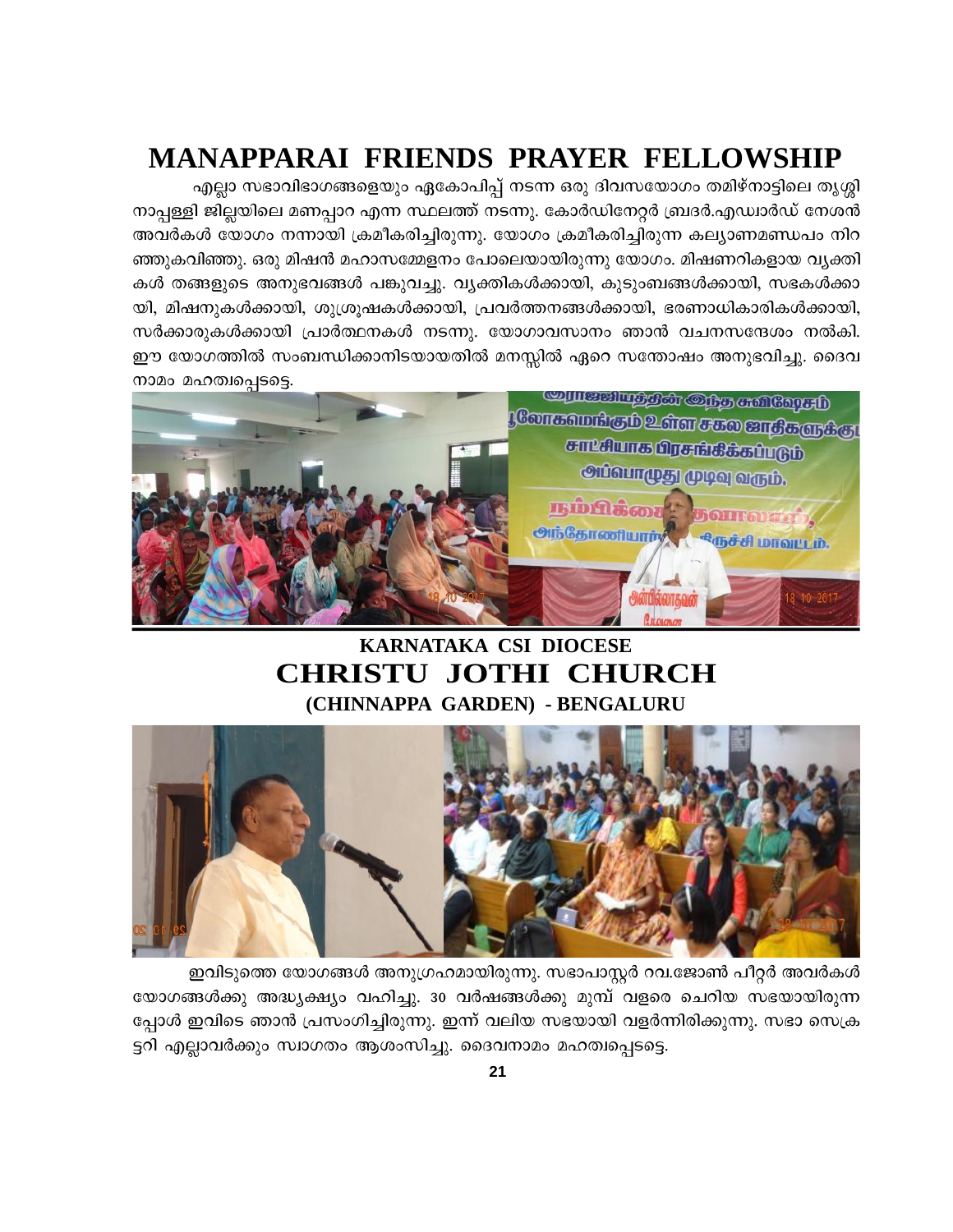# **MANAPPARAI FRIENDS PRAYER FELLOWSHIP**

എല്ലാ സഭാവിഭാഗങ്ങളെയും ഏകോപിപ്പ് നടന്ന ഒരു ദിവസയോഗം തമിഴ്നാട്ടിലെ തൃശ്ശി നാപ്പള്ളി ജില്ലയിലെ മണപ്പാറ എന്ന സ്ഥലത്ത് നടന്നു. കോർഡിനേറ്റർ ബ്രദർ.എഡ്വാർഡ് നേശൻ അവർകൾ യോഗം നന്നായി ക്രമീകരിച്ചിരുന്നു. യോഗം ക്രമീകരിച്ചിരുന്ന കല്യാണമണ്ഡപം നിറ ഞ്ഞുകവിഞ്ഞു. ഒരു മിഷൻ മഹാസമ്മേളനം പോലെയായിരുന്നു യോഗം. മിഷണറികളായ വ്യക്തി കൾ തങ്ങളുടെ അനുഭവങ്ങൾ പങ്കുവച്ചു. വ്യക്തികൾക്കായി, കുടുംബങ്ങൾക്കായി, സഭകൾക്കാ യി, മിഷനുകൾക്കായി, ശുശ്രൂഷകൾക്കായി, പ്രവർത്തനങ്ങൾക്കായി, ഭരണാധികാരികൾക്കായി, സർക്കാരുകൾക്കായി പ്രാർത്ഥനകൾ നടന്നു. യോഗാവസാനം ഞാൻ വചനസന്ദേശം നൽകി. ഈ യോഗത്തിൽ സംബന്ധിക്കാനിടയായതിൽ മനസ്സിൽ ഏറെ സന്തോഷം അനുഭവിച്ചു. ദൈവ നാമം മഹത്വപ്പെടട്ടെ.



# KARNATAKA CSI DIOCESE **CHRISTU JOTHI CHURCH** (CHINNAPPA GARDEN) - BENGALURU



ഇവിടുത്തെ യോഗങ്ങൾ അനുഗ്രഹമായിരുന്നു. സഭാപാസ്റ്റർ റവ.ജോൺ പീറ്റർ അവർകൾ യോഗങ്ങൾക്കു അദ്ധ്യക്ഷ്യം വഹിച്ചു. 30 വർഷങ്ങൾക്കു മുമ്പ് വളരെ ചെറിയ സഭയായിരുന്ന പ്പോൾ ഇവിടെ ഞാൻ പ്രസംഗിച്ചിരുന്നു. ഇന്ന് വലിയ സഭയായി വളർന്നിരിക്കുന്നു. സഭാ സെക്ര ട്ടറി എല്ലാവർക്കും സ്വാഗതം ആശംസിച്ചു. ദൈവനാമം മഹത്വപ്പെടട്ടെ.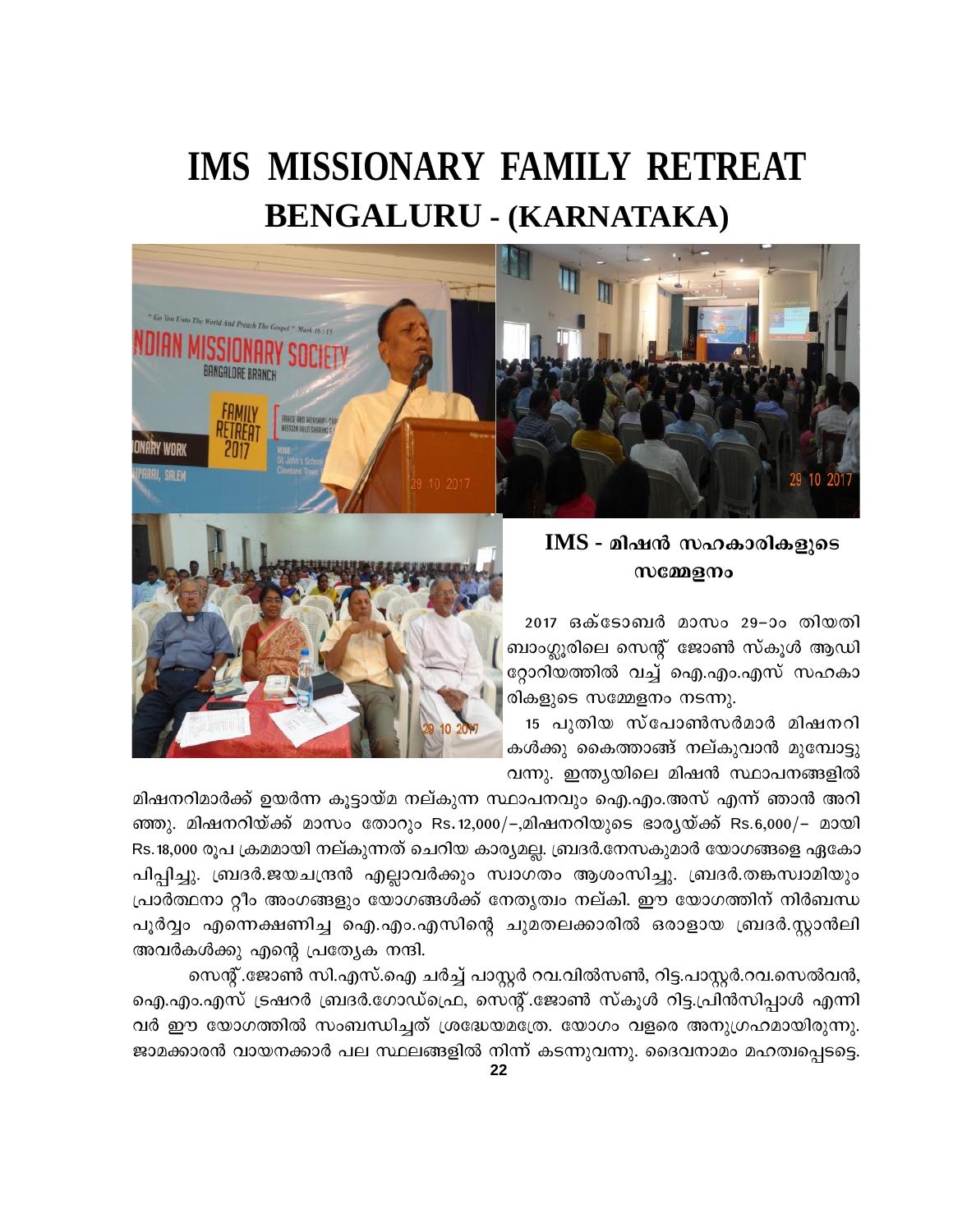# **IMS MISSIONARY FAMILY RETREAT BENGALURU - (KARNATAKA)**



# IMS - മിഷൻ സഹകാരികളുടെ സമ്മേളനം

2017 ഒക്ടോബർ മാസം 29–ാം തിയതി ബാംഗ്ലൂരിലെ സെന്റ് ജോൺ സ്കൂൾ ആഡി റ്റോറിയത്തിൽ വച്ച് ഐ.എം.എസ് സഹകാ രികളുടെ സമ്മേളനം നടന്നു.

15 പുതിയ സ്പോൺസർമാർ മിഷനറി കൾക്കു കൈത്താങ്ങ് നല്കുവാൻ മുമ്പോട്ടു വന്നു. ഇന്ത്യയിലെ മിഷൻ സ്ഥാപനങ്ങളിൽ



മിഷനറിമാർക്ക് ഉയർന്ന കുട്ടായ്മ നല്കുന്ന സ്ഥാപനവും ഐ.എം.അസ് എന്ന് ഞാൻ അറി ഞ്ഞു. മിഷനറിയ്ക്ക് മാസം തോറും Rs.12,000/–,മിഷനറിയുടെ ഭാര്യയ്ക്ക് Rs.6,000/– മായി Rs.18,000 രൂപ ക്രമമായി നല്കുന്നത് ചെറിയ കാര്യമല്ല. ബ്രദർ.നേസകുമാർ യോഗങ്ങളെ ഏകോ പിപ്പിച്ചു. ബ്രദർ.ജയചന്ദ്രൻ എല്ലാവർക്കും സ്വാഗതം ആശംസിച്ചു. ബ്രദർ.തങ്കസ്വാമിയും പ്രാർത്ഥനാ റ്റീം അംഗങ്ങളും യോഗങ്ങൾക്ക് നേതൃത്വം നല്കി. ഈ യോഗത്തിന് നിർബന്ധ പൂർവ്വം എന്നെക്ഷണിച്ച ഐ.എം.എസിന്റെ ചുമതലക്കാരിൽ ഒരാളായ ബ്രദർ.സ്റ്റാൻലി അവർകൾക്കു എന്റെ പ്രത്യേക നന്ദി.

സെന്റ്.ജോൺ സി.എസ്.ഐ ചർച്ച് പാസ്റ്റർ റവ.വിൽസൺ, റിട്ട.പാസ്റ്റർ.റവ.സെൽവൻ, ഐ.എം.എസ് ട്രഷറർ ബ്രദർ.ഗോഡ്ഫ്രെ, സെന്റ്.ജോൺ സ്കൂൾ റിട്ട.പ്രിൻസിപ്പാൾ എന്നി വർ ഈ യോഗത്തിൽ സംബന്ധിച്ചത് ശ്രദ്ധേയമത്രേ. യോഗം വളരെ അനുഗ്രഹമായിരുന്നു. ജാമക്കാരൻ വായനക്കാർ പല സ്ഥലങ്ങളിൽ നിന്ന് കടന്നുവന്നു. ദൈവനാമം മഹത്വപ്പെടട്ടെ.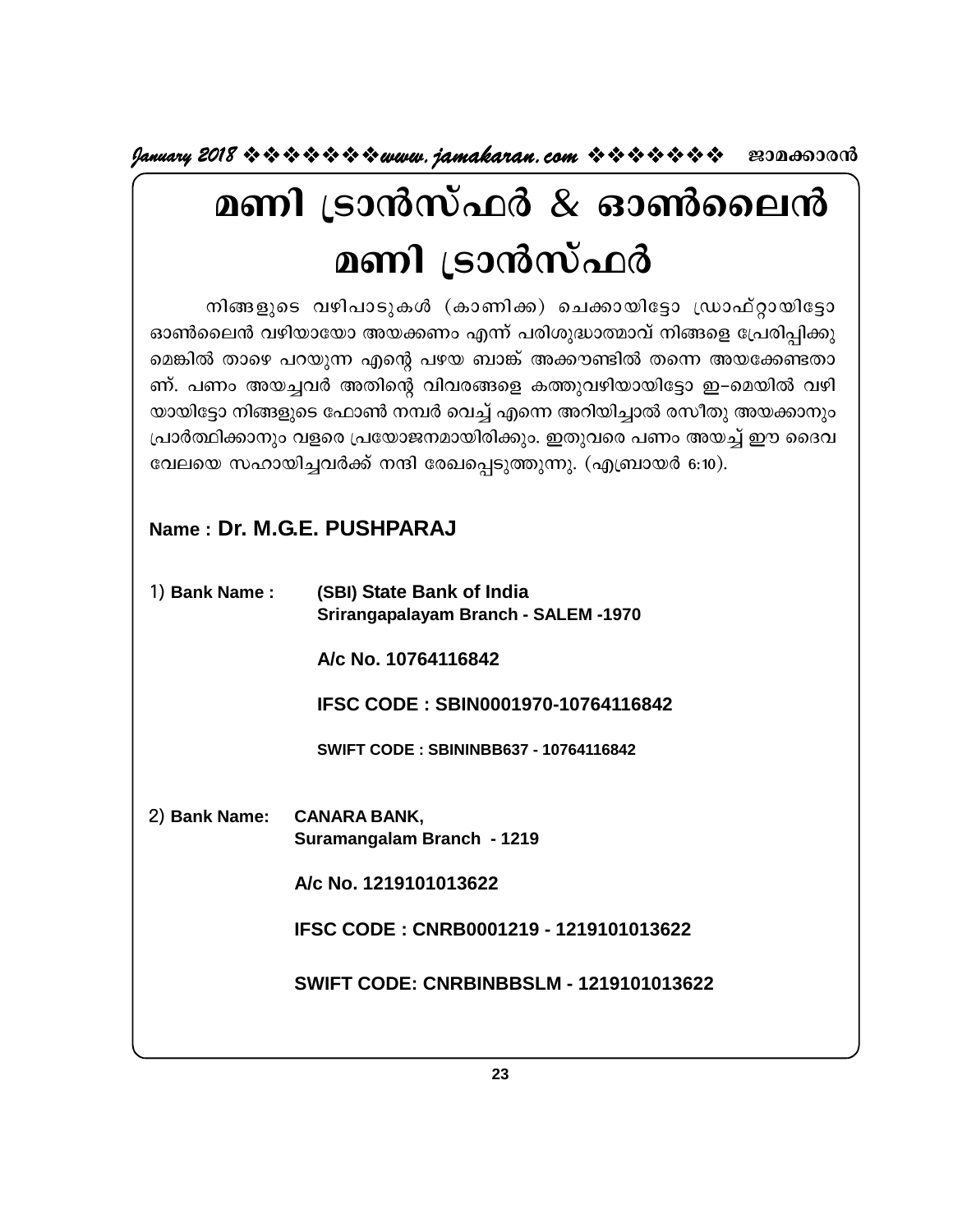**January 2018 www.jamakaran.com Pma¡mc³**

# **മണി ട്രാൻസ്ഫർ & ഓൺലൈൻ<br>മണി ട്രാൻസ്ഫർ<br><sup>നിങ്ങളുടെ വഴിപാടുകൾ (കാണിക്ക) ചെക്കായിട്ടോ ഡ്രാഫ്റ്റായിട്ടോ<br>ലെൻ വഴിയായോ അയക്കണം എന്ന് പരിശുദ്ധാത്മാവ് നിങ്ങളെ പ്രേരിപ്പിക്കു<br>ർ താഴെ പറയുന്ന എന്റെ പഴയ ബാങ്ക് അക്കൗണ്ടിൽ തന്നെ അയക്കേണ്ട**</sup> **മണി** ട്രാൻസ്ഫർ

**മണി ട്രാൻസ്ഫർ**<br>കാൺലൈൻ വഴിപാടുകൾ (കാണിക്ക) ചെക്കായിട്ടോ ഡ്രാഫ്റ്റായിട്ടോ<br>ഓൺലൈൻ വഴിയായോ അയക്കണം എന്ന് പരിശുദ്ധാത്മാവ് നിങ്ങളെ പ്രേരിപ്പിക്കു<br>ബ്. പണം അയച്ചവർ അതിന്റെ വിവരങ്ങളെ കത്തുവഴിയായിട്ടോ ഇ-മെയിൽ വഴി **മണി (ടാന്സ്ഫര്**<br>തിങ്ങളുടെ വഴിപാടുകൾ (കാണിക്ക) ചെക്കായിട്ടോ ഡ്രാഫ്റ്റായിട്ടോ<br>ഓൺലൈൻ വഴിയായോ അയക്കണം എന്ന് പരിശുദ്ധാത്മാവ് നിങ്ങളെ പ്രേരിപ്പിക്കു<br>മെങ്കിൽ താഴെ പറയുന്ന എന്റെ പഴയ ബാങ്ക് അക്കൗണ്ടിൽ തന്നെ അയക്കേണ്ടതാ<br>ന്. പണം അ നിങ്ങളുടെ വഴിപാടുകൾ (കാണിക്ക) ചെക്കായിട്ടോ ഡ്രാഫ്റ്റായിട്ടോ<br>ഓൺലൈൻ വഴിയായോ അയക്കണം എന്ന് പരിശുദ്ധാത്മാവ് നിങ്ങളെ പ്രേരിപ്പിക്കു<br>മെങ്കിൽ താഴെ പറയുന്ന എന്റെ പഴയ ബാങ്ക് അക്കൗണ്ടിൽ തന്നെ അയക്കേണ്ടതാ<br>ണ്. പണം അയച്ചവർ അതിന്റെ വി യായിട്ടോ നിങ്ങളുടെ ഫോൺ നമ്പർ വെച്ച് എന്നെ അറിയിച്ചാൽ രസീതു അയക്കാനും | ഓൺലൈൻ വഴിയായോ അയക്കണം എന്ന് പരിശുദ്ധാത്മാവ് നിങ്ങളെ പ്രേരിപ്പിക്കു<br>മെങ്കിൽ താഴെ പറയുന്ന എന്റെ പഴയ ബാങ്ക് അക്കൗണ്ടിൽ തന്നെ അയക്കേണ്ടതാ<br>ണ്. പണം അയച്ചവർ അതിന്റെ വിവരങ്ങളെ കത്തുവഴിയായിട്ടോ ഇ–മെയിൽ വഴി<br>യായിട്ടോ നിങ്ങളുടെ ഫോൺ ന മെങ്കിൽ താഴെ പറയുന്ന എന്റെ പഴയ ബാങ്ക് അക്കൗണ്ടിൽ തന്നെ അയക്കേണ്. പണം അയച്ചവർ അതിന്റെ വിവരങ്ങളെ കത്തുവഴിയായിട്ടോ ഇ–മെയിൽ<br>യായിട്ടോ നിങ്ങളുടെ ഫോൺ നമ്പർ വെച്ച് എന്നെ അറിയിച്ചാൽ രസീതു അയക്ക<br>പ്രാർത്ഥിക്കാനും വളരെ പ്രയോജനമായിരിക

# **Name : Dr. M.G.E. PUSHPARAJ**

| 1) Bank Name: | (SBI) State Bank of India<br>Srirangapalayam Branch - SALEM -1970 |
|---------------|-------------------------------------------------------------------|
|               | A/c No. 10764116842                                               |
|               | <b>IFSC CODE: SBIN0001970-10764116842</b>                         |
|               | <b>SWIFT CODE: SBININBB637 - 10764116842</b>                      |
|               | 2) Bank Name: CANARA BANK,<br>Suramangalam Branch - 1219          |
|               | A/c No. 1219101013622                                             |
|               | IFSC CODE: CNRB0001219 - 1219101013622                            |
|               | <b>SWIFT CODE: CNRBINBBSLM - 1219101013622</b>                    |
|               |                                                                   |